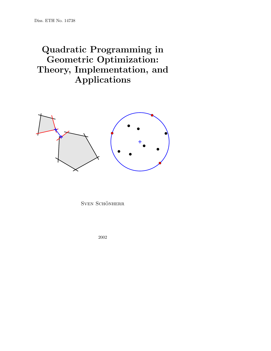## Quadratic Programming in Geometric Optimization: Theory, Implementation, and Applications



SVEN SCHÖNHERR

2002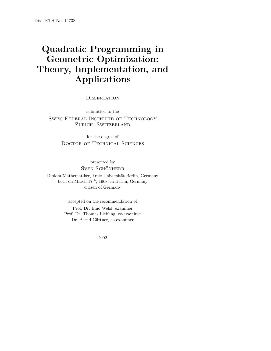## Quadratic Programming in Geometric Optimization: Theory, Implementation, and Applications

**DISSERTATION** 

submitted to the Swiss Federal Institute of Technology ZURICH, SWITZERLAND

> for the degree of Doctor of Technical Sciences

presented by SVEN SCHÖNHERR Diplom-Mathematiker, Freie Universität Berlin, Germany born on March 17th, 1968, in Berlin, Germany citizen of Germany

accepted on the recommendation of

Prof. Dr. Emo Welzl, examiner Prof. Dr. Thomas Liebling, co-examiner Dr. Bernd Gärtner, co-examiner

2002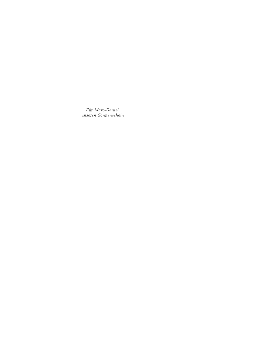Für Marc-Daniel,  $\it unseren~ Sonnenschein$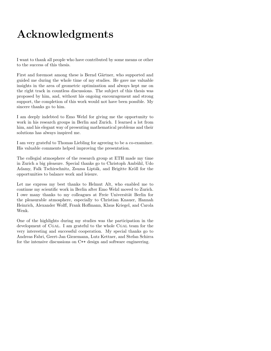# Acknowledgments

I want to thank all people who have contributed by some means or other to the success of this thesis.

First and foremost among these is Bernd Gärtner, who supported and guided me during the whole time of my studies. He gave me valuable insights in the area of geometric optimization and always kept me on the right track in countless discussions. The subject of this thesis was proposed by him, and, without his ongoing encouragement and strong support, the completion of this work would not have been possible. My sincere thanks go to him.

I am deeply indebted to Emo Welzl for giving me the opportunity to work in his research groups in Berlin and Zurich. I learned a lot from him, and his elegant way of presenting mathematical problems and their solutions has always inspired me.

I am very grateful to Thomas Liebling for agreeing to be a co-examiner. His valuable comments helped improving the presentation.

The collegial atmosphere of the research group at ETH made my time in Zurich a big pleasure. Special thanks go to Christoph Ambühl, Udo Adamy, Falk Tschirschnitz, Zsuzsa Lipták, and Brigitte Kröll for the opportunities to balance work and leisure.

Let me express my best thanks to Helmut Alt, who enabled me to continue my scientific work in Berlin after Emo Welzl moved to Zurich. I owe many thanks to my colleagues at Freie Universität Berlin for the pleasurable atmosphere, especially to Christian Knauer, Hannah Heinrich, Alexander Wolff, Frank Hoffmann, Klaus Kriegel, and Carola Wenk.

One of the highlights during my studies was the participation in the development of Cgal. I am grateful to the whole Cgal team for the very interesting and successful cooperation. My special thanks go to Andreas Fabri, Geert-Jan Giezemann, Lutz Kettner, and Stefan Schirra for the intensive discussions on C++ design and software engineering.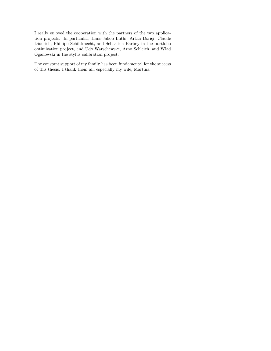I really enjoyed the cooperation with the partners of the two application projects. In particular, Hans-Jakob Lüthi, Artan Boriçi, Claude Diderich, Phillipe Schiltknecht, and Sébastien Barbey in the portfolio optimization project, and Udo Warschewske, Arno Schleich, and Wlad Oganowski in the stylus calibration project.

The constant support of my family has been fundamental for the success of this thesis. I thank them all, especially my wife, Martina.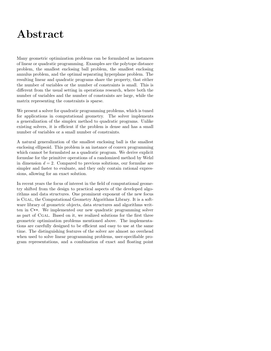## Abstract

Many geometric optimization problems can be formulated as instances of linear or quadratic programming. Examples are the polytope distance problem, the smallest enclosing ball problem, the smallest enclosing annulus problem, and the optimal separating hyperplane problem. The resulting linear and quadratic programs share the property, that either the number of variables or the number of constraints is small. This is different from the usual setting in operations research, where both the number of variables and the number of constraints are large, while the matrix representing the constraints is sparse.

We present a solver for quadratic programming problems, which is tuned for applications in computational geometry. The solver implements a generalization of the simplex method to quadratic programs. Unlike existing solvers, it is efficient if the problem is dense and has a small number of variables or a small number of constraints.

A natural generalization of the smallest enclosing ball is the smallest enclosing ellipsoid. This problem is an instance of convex programming which cannot be formulated as a quadratic program. We derive explicit formulae for the primitive operations of a randomized method by Welzl in dimension  $d = 2$ . Compared to previous solutions, our formulae are simpler and faster to evaluate, and they only contain rational expressions, allowing for an exact solution.

In recent years the focus of interest in the field of computational geometry shifted from the design to practical aspects of the developed algorithms and data structures. One prominent exponent of the new focus is Cgal, the Computational Geometry Algorithms Library. It is a software library of geometric objects, data structures and algorithms written in C++. We implemented our new quadratic programming solver as part of Cgal. Based on it, we realized solutions for the first three geometric optimization problems mentioned above. The implementations are carefully designed to be efficient and easy to use at the same time. The distinguishing features of the solver are almost no overhead when used to solve linear programming problems, user-specifiable program representations, and a combination of exact and floating point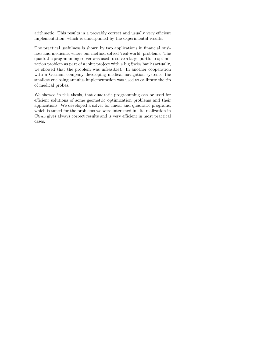arithmetic. This results in a provably correct and usually very efficient implementation, which is underpinned by the experimental results.

The practical usefulness is shown by two applications in financial business and medicine, where our method solved 'real-world' problems. The quadratic programming solver was used to solve a large portfolio optimization problem as part of a joint project with a big Swiss bank (actually, we showed that the problem was infeasible). In another cooperation with a German company developing medical navigation systems, the smallest enclosing annulus implementation was used to calibrate the tip of medical probes.

We showed in this thesis, that quadratic programming can be used for efficient solutions of some geometric optimization problems and their applications. We developed a solver for linear and quadratic programs, which is tuned for the problems we were interested in. Its realization in Cgal gives always correct results and is very efficient in most practical cases.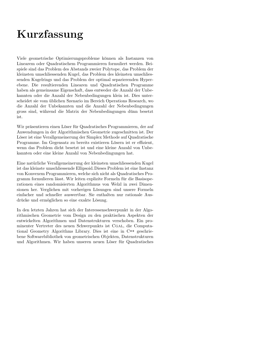# Kurzfassung

Viele geometrische Optimierungsprobleme können als Instanzen von Linearem oder Quadratischem Programmieren formuliert werden. Beispiele sind das Problem des Abstands zweier Polytope, das Problem der kleinsten umschliessenden Kugel, das Problem des kleinsten umschliessenden Kugelrings und das Problem der optimal separierenden Hyperebene. Die resultierenden Linearen und Quadratischen Programme haben als gemeinsame Eigenschaft, dass entweder die Anzahl der Unbekannten oder die Anzahl der Nebenbedingungen klein ist. Dies unterscheidet sie vom üblichen Szenario im Bereich Operations Research, wo die Anzahl der Unbekannten und die Anzahl der Nebenbedingungen gross sind, während die Matrix der Nebenbedingungen dünn besetzt ist.

Wir präsentieren einen Löser für Quadratisches Programmieren, der auf Anwendungen in der Algorithmischen Geometrie zugeschnitten ist. Der Löser ist eine Verallgemeinerung der Simplex Methode auf Quadratische Programme. Im Gegensatz zu bereits existieren Lösern ist er effizient, wenn das Problem dicht besetzt ist und eine kleine Anzahl von Unbekannten oder eine kleine Anzahl von Nebenbedingungen hat.

Eine natürliche Verallgemeinerung der kleinsten umschliessenden Kugel ist das kleinste umschliessende Ellipsoid.Dieses Problem ist eine Instanz von Konvexem Programmieren, welche sich nicht als Quadratisches Programm formulieren lässt. Wir leiten explizite Formeln für die Basisoperationen eines randomisierten Algorithmus von Welzl in zwei Dimensionen her. Verglichen mit vorherigen Lösungen sind unsere Formeln einfacher und schneller auswertbar. Sie enthalten nur rationale Ausdrücke und ermöglichen so eine exakte Lösung.

In den letzten Jahren hat sich der Interessenschwerpunkt in der Algorithmischen Geometrie vom Design zu den praktischen Aspekten der entwickelten Algorithmen und Datenstrukturen verschoben. Ein prominenter Vertreter des neuen Schwerpunkts ist Cgal, die Computational Geometry Algorithms Library. Dies ist eine in C++ geschriebene Softwarebibliothek von geometrischen Objekten, Datenstrukturen und Algorithmen. Wir haben unseren neuen Löser für Quadratisches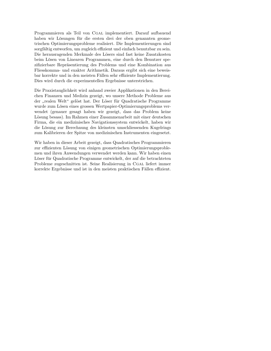Programmieren als Teil von CGAL implementiert. Darauf aufbauend haben wir Lösungen für die ersten drei der oben genannten geometrischen Optimierungsprobleme realisiert. Die Implementierungen sind sorgfältig entworfen, um zugleich effizient und einfach benutzbar zu sein. Die herausragenden Merkmale des Lösers sind fast keine Zusatzkosten beim Lösen von Linearen Programmen, eine durch den Benutzer spezifizierbare Repräsentierung des Problems und eine Kombination aus Fliesskomma- und exakter Arithmetik. Daraus ergibt sich eine beweisbar korrekte und in den meisten Fällen sehr effiziente Implementierung. Dies wird durch die experimentellen Ergebnisse unterstrichen.

Die Praxistauglichkeit wird anhand zweier Applikationen in den Bereichen Finanzen und Medizin gezeigt, wo unsere Methode Probleme aus der "realen Welt" gelöst hat. Der Löser für Quadratische Programme wurde zum Lösen eines grossen Wertpapier-Optimierungsproblems verwendet (genauer gesagt haben wir gezeigt, dass das Problem keine Lösung besass). Im Rahmen einer Zusammenarbeit mit einer deutschen Firma, die ein medizinisches Navigationssystem entwickelt, haben wir die Lösung zur Berechnung des kleinsten umschliessenden Kugelrings zum Kalibrieren der Spitze von medizinischen Instrumenten eingesetzt.

Wir haben in dieser Arbeit gezeigt, dass Quadratisches Programmieren zur effizienten Lösung von einigen geometrischen Optimierungsproblemen und ihren Anwendungen verwendet werden kann. Wir haben einen Löser für Quadratische Programme entwickelt, der auf die betrachteten Probleme zugeschnitten ist. Seine Realisierung in Cgal liefert immer korrekte Ergebnisse und ist in den meisten praktischen Fällen effizient.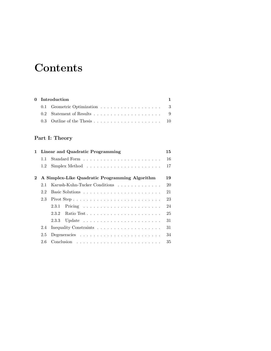## **Contents**

#### 0 Introduction 1

| 0.1 Geometric Optimization 3 |  |
|------------------------------|--|
|                              |  |
|                              |  |

### Part I: Theory

| 16                                  |
|-------------------------------------|
| 17                                  |
| 19                                  |
| Karush-Kuhn-Tucker Conditions<br>20 |
| 21                                  |
| 23                                  |
| 24                                  |
| 25                                  |
| 31                                  |
| 31                                  |
| 34                                  |
| 35                                  |
|                                     |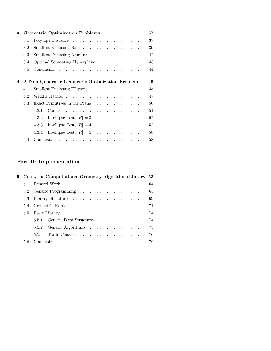| 3 | <b>Geometric Optimization Problems</b>         |                                                                        |    |  |  |
|---|------------------------------------------------|------------------------------------------------------------------------|----|--|--|
|   | 3.1                                            |                                                                        | 37 |  |  |
|   | 3.2                                            |                                                                        | 39 |  |  |
|   | $3.3\,$<br>Smallest Enclosing Annulus          |                                                                        |    |  |  |
|   | Optimal Separating Hyperplane<br>3.4           |                                                                        |    |  |  |
|   | 3.5                                            |                                                                        | 44 |  |  |
|   |                                                |                                                                        |    |  |  |
| 4 | A Non-Quadratic Geometric Optimization Problem |                                                                        |    |  |  |
|   | 4.1                                            | Smallest Enclosing Ellipsoid                                           | 45 |  |  |
|   | 4.2                                            |                                                                        | 47 |  |  |
|   | 4.3                                            | Exact Primitives in the Plane $\ldots \ldots \ldots \ldots \ldots$     | 50 |  |  |
|   |                                                | 4.3.1                                                                  | 51 |  |  |
|   |                                                | In-ellipse Test, $ R  = 3 \ldots \ldots \ldots \ldots \ldots$<br>4.3.2 | 52 |  |  |
|   |                                                | In-ellipse Test, $ R  = 4 \ldots \ldots \ldots \ldots \ldots$<br>4.3.3 | 52 |  |  |
|   |                                                | In-ellipse Test, $ R  = 5 \ldots \ldots \ldots \ldots \ldots$<br>4.3.4 | 58 |  |  |
|   | 4.4                                            |                                                                        | 58 |  |  |

### Part II: Implementation

|     | 5 CGAL, the Computational Geometry Algorithms Library 63 |     |
|-----|----------------------------------------------------------|-----|
| 5.1 |                                                          | 64  |
|     |                                                          | 65  |
| 5.3 | Library Structure                                        | -69 |
| 5.4 |                                                          | 71  |
| 5.5 |                                                          | 74  |
|     | Generic Data Structures<br>5.5.1                         | 74  |
|     | 5.5.2 Generic Algorithms                                 | 75  |
|     | 5.5.3                                                    | 76  |
| 5.6 |                                                          | 79  |
|     |                                                          |     |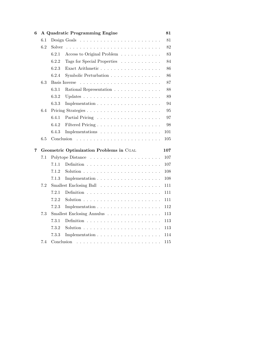| 6 |                                         |            | A Quadratic Programming Engine | 81  |  |  |
|---|-----------------------------------------|------------|--------------------------------|-----|--|--|
|   | 6.1                                     |            |                                | 81  |  |  |
|   | 6.2                                     | Solver     |                                | 82  |  |  |
|   |                                         | 6.2.1      | Access to Original Problem     | 83  |  |  |
|   |                                         | 6.2.2      | Tags for Special Properties    | 84  |  |  |
|   |                                         | 6.2.3      | Exact Arithmetic               | 86  |  |  |
|   |                                         | 6.2.4      | Symbolic Perturbation          | 86  |  |  |
|   | 6.3                                     |            | <b>Basis</b> Inverse           | 87  |  |  |
|   |                                         | 6.3.1      | Rational Representation        | 88  |  |  |
|   |                                         | 6.3.2      |                                | 89  |  |  |
|   |                                         | 6.3.3      |                                | 94  |  |  |
|   | 6.4                                     |            |                                | 95  |  |  |
|   |                                         | 6.4.1      |                                | 97  |  |  |
|   |                                         | 6.4.2      |                                | 98  |  |  |
|   |                                         | 6.4.3      | Implementations                | 101 |  |  |
|   | 6.5                                     | Conclusion |                                | 105 |  |  |
| 7 | Geometric Optimization Problems in CGAL |            |                                |     |  |  |
|   | 7.1                                     |            |                                | 107 |  |  |
|   |                                         | 7.1.1      |                                | 107 |  |  |
|   |                                         | 7.1.2      |                                | 108 |  |  |
|   |                                         | 7.1.3      |                                | 108 |  |  |
|   | 7.2                                     |            | Smallest Enclosing Ball        | 111 |  |  |
|   |                                         | 7.2.1      |                                | 111 |  |  |
|   |                                         | 7.2.2      |                                | 111 |  |  |
|   |                                         | 7.2.3      |                                | 112 |  |  |
|   | 7.3                                     |            | Smallest Enclosing Annulus     | 113 |  |  |
|   |                                         | 7.3.1      |                                | 113 |  |  |
|   |                                         | 7.3.2      |                                | 113 |  |  |
|   |                                         | 7.3.3      |                                | 114 |  |  |
|   | 7.4                                     | Conclusion |                                | 115 |  |  |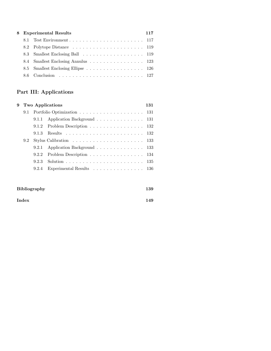| 8 Experimental Results |                                    |  |  |  |  |
|------------------------|------------------------------------|--|--|--|--|
| 8.1                    |                                    |  |  |  |  |
|                        |                                    |  |  |  |  |
|                        |                                    |  |  |  |  |
|                        | 8.4 Smallest Enclosing Annulus 123 |  |  |  |  |
|                        | 8.5 Smallest Enclosing Ellipse 126 |  |  |  |  |
|                        |                                    |  |  |  |  |

### Part III: Applications

| 9 | <b>Two Applications</b> |       |                                                                           |  |  |
|---|-------------------------|-------|---------------------------------------------------------------------------|--|--|
|   | 9.1                     |       |                                                                           |  |  |
|   |                         |       | 9.1.1 Application Background $\ldots \ldots \ldots \ldots \ldots 131$     |  |  |
|   |                         |       | 9.1.2 Problem Description $\ldots \ldots \ldots \ldots \ldots \ldots 132$ |  |  |
|   |                         | 9.1.3 |                                                                           |  |  |
|   | $9.2^{\circ}$           |       | Stylus Calibration $\ldots \ldots \ldots \ldots \ldots \ldots \ldots 133$ |  |  |
|   |                         |       | 9.2.1 Application Background 133                                          |  |  |
|   |                         |       | $9.2.2$ Problem Description 134                                           |  |  |
|   |                         | 9.2.3 |                                                                           |  |  |
|   |                         | 9.2.4 | Experimental Results $\ldots \ldots \ldots \ldots \ldots 136$             |  |  |
|   |                         |       |                                                                           |  |  |

| <b>Bibliography</b> | 139 |
|---------------------|-----|
| Index               | 149 |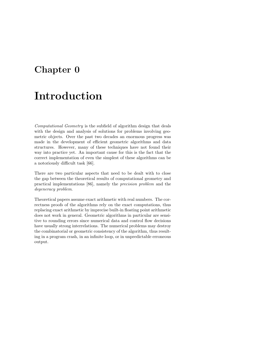### Chapter 0

## Introduction

Computational Geometry is the subfield of algorithm design that deals with the design and analysis of solutions for problems involving geometric objects. Over the past two decades an enormous progress was made in the development of efficient geometric algorithms and data structures. However, many of these techniques have not found their way into practice yet. An important cause for this is the fact that the correct implementation of even the simplest of these algorithms can be a notoriously difficult task [66].

There are two particular aspects that need to be dealt with to close the gap between the theoretical results of computational geometry and practical implementations [86], namely the precision problem and the degeneracy problem.

Theoretical papers assume exact arithmetic with real numbers. The correctness proofs of the algorithms rely on the exact computations, thus replacing exact arithmetic by imprecise built-in floating point arithmetic does not work in general. Geometric algorithms in particular are sensitive to rounding errors since numerical data and control flow decisions have usually strong interrelations. The numerical problems may destroy the combinatorial or geometric consistency of the algorithm, thus resulting in a program crash, in an infinite loop, or in unpredictable erroneous output.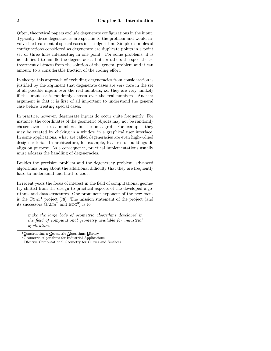Often, theoretical papers exclude degenerate configurations in the input. Typically, these degeneracies are specific to the problem and would involve the treatment of special cases in the algorithm. Simple examples of configurations considered as degenerate are duplicate points in a point set or three lines intersecting in one point. For some problems, it is not difficult to handle the degeneracies, but for others the special case treatment distracts from the solution of the general problem and it can amount to a considerable fraction of the coding effort.

In theory, this approach of excluding degeneracies from consideration is justified by the argument that degenerate cases are very rare in the set of all possible inputs over the real numbers, i.e. they are very unlikely if the input set is randomly chosen over the real numbers. Another argument is that it is first of all important to understand the general case before treating special cases.

In practice, however, degenerate inputs do occur quite frequently. For instance, the coordinates of the geometric objects may not be randomly chosen over the real numbers, but lie on a grid. For example, they may be created by clicking in a window in a graphical user interface. In some applications, what are called degeneracies are even high-valued design criteria. In architecture, for example, features of buildings do align on purpose. As a consequence, practical implementations usually must address the handling of degeneracies.

Besides the precision problem and the degeneracy problem, advanced algorithms bring about the additional difficulty that they are frequently hard to understand and hard to code.

In recent years the focus of interest in the field of computational geometry shifted from the design to practical aspects of the developed algorithms and data structures. One prominent exponent of the new focus is the  $CGAL<sup>1</sup>$  project [78]. The mission statement of the project (and its successors  $GALIA<sup>2</sup>$  and  $ECG<sup>3</sup>$ ) is to

make the large body of geometric algorithms developed in the field of computational geometry available for industrial application.

 $1$ Constructing a Geometric Algorithms Library

 ${}^{2}\overline{\text{Geometric Algorithms}}$  for Industrial Applications

<sup>3</sup>Effective Computational Geometry for Curves and Surfaces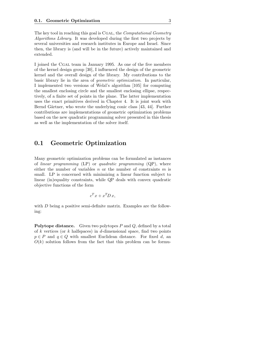The key tool in reaching this goal is CGAL, the *Computational Geometry* Algorithms Library. It was developed during the first two projects by several universities and research institutes in Europe and Israel. Since then, the library is (and will be in the future) actively maintained and extended.

I joined the Cgal team in January 1995. As one of the five members of the kernel design group [30], I influenced the design of the geometric kernel and the overall design of the library. My contributions to the basic library lie in the area of geometric optimization. In particular, I implemented two versions of Welzl's algorithm [105] for computing the smallest enclosing circle and the smallest enclosing ellipse, respectively, of a finite set of points in the plane. The latter implementation uses the exact primitives derived in Chapter 4. It is joint work with Bernd Gärtner, who wrote the underlying conic class [43, 44]. Further contributions are implementations of geometric optimization problems based on the new quadratic programming solver presented in this thesis as well as the implementation of the solver itself.

#### 0.1 Geometric Optimization

Many geometric optimization problems can be formulated as instances of linear programming (LP) or quadratic programming (QP), where either the number of variables n or the number of constraints  $m$  is small. LP is concerned with minimizing a linear function subject to linear (in)equality constraints, while QP deals with convex quadratic objective functions of the form

$$
c^T x + x^T D x,
$$

with  $D$  being a positive semi-definite matrix. Examples are the following:

**Polytope distance.** Given two polytopes  $P$  and  $Q$ , defined by a total of  $k$  vertices (or  $k$  halfspaces) in  $d$ -dimensional space, find two points  $p \in P$  and  $q \in Q$  with smallest Euclidean distance. For fixed d, an  $O(k)$  solution follows from the fact that this problem can be formu-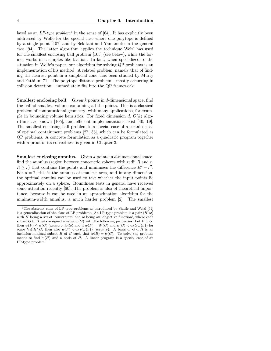lated as an  $LP$ -type problem<sup>4</sup> in the sense of [64]. It has explicitly been addressed by Wolfe for the special case where one polytope is defined by a single point [107] and by Sekitani and Yamamoto in the general case [94]. The latter algorithm applies the technique Welzl has used for the smallest enclosing ball problem [105] (see below), while the former works in a simplex-like fashion. In fact, when specialized to the situation in Wolfe's paper, our algorithm for solving QP problems is an implementation of his method. A related problem, namely that of finding the nearest point in a simplicial cone, has been studied by Murty and Fathi in [71]. The polytope distance problem – mostly occurring in collision detection – immediately fits into the QP framework.

**Smallest enclosing ball.** Given  $k$  points in  $d$ -dimensional space, find the ball of smallest volume containing all the points. This is a classical problem of computational geometry, with many applications, for example in bounding volume heuristics. For fixed dimension  $d, O(k)$  algorithms are known [105], and efficient implementations exist [40, 19]. The smallest enclosing ball problem is a special case of a certain class of optimal containment problems [27, 35], which can be formulated as QP problems. A concrete formulation as a quadratic program together with a proof of its correctness is given in Chapter 3.

**Smallest enclosing annulus.** Given  $k$  points in  $d$ -dimensional space, find the annulus (region between concentric spheres with radii  $R$  and  $r$ ,  $R \ge r$ ) that contains the points and minimizes the difference  $R^2 - r^2$ . For  $d = 2$ , this is the annulus of smallest area, and in any dimension, the optimal annulus can be used to test whether the input points lie approximately on a sphere. Roundness tests in general have received some attention recently [60]. The problem is also of theoretical importance, because it can be used in an approximation algorithm for the minimum-width annulus, a much harder problem [2]. The smallest

<sup>&</sup>lt;sup>4</sup>The abstract class of LP-type problems as introduced by Sharir and Welzl [64] is a generalization of the class of LP problems. An LP-type problem is a pair  $(H, w)$ with  $H$  being a set of 'constraints' and  $w$  being an 'objective function', where each subset  $G \subseteq H$  gets assigned a value  $w(G)$  with the following properties: Let  $F \subseteq G$ , then  $w(F) \leq w(G)$  (monotonicity) and if  $w(F) = W(G)$  and  $w(G) < w(G \cup \{h\})$  for some  $h \in H \backslash G$ , then also  $w(F) < w(F \cup \{h\})$  (locality). A basis of  $G \subseteq H$  is an inclusion-minimal subset B of G such that  $w(B) = w(G)$ . To solve the problem means to find  $w(H)$  and a basis of H. A linear program is a special case of an LP-type problem.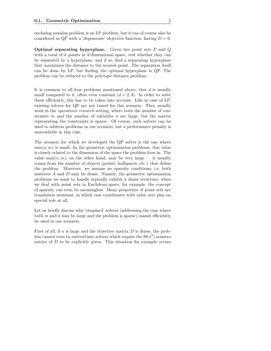enclosing annulus problem is an LP problem, but it can of course also be considered as QP with a 'degenerate' objective function, having  $D = 0$ .

**Optimal separating hyperplane.** Given two point sets  $P$  and  $Q$ with a total of  $k$  points in d-dimensional space, test whether they can be separated by a hyperplane, and if so, find a separating hyperplane that maximizes the distance to the nearest point. The separation itself can be done by LP, but finding the optimal hyperplane is QP. The problem can be reduced to the polytope distance problem.

It is common to all four problems mentioned above, that  $d$  is usually small compared to k, often even constant  $(d = 2, 3)$ . In order to solve them efficiently, this has to be taken into account. Like in case of LP, existing solvers for QP are not tuned for this scenario. They usually work in the *operations research* setting, where both the number of constraints  $m$  and the number of variables  $n$  are large, but the matrix representing the constraints is sparse. Of course, such solvers can be used to address problems in our scenario, but a performance penalty is unavoidable in this case.

The scenario for which we developed the QP solver is the one where  $\min(n, m)$  is small. In the geometric optimization problems, this value is closely related to the dimension of the space the problem lives in. The value max $(n, m)$ , on the other hand, may be very large — it usually comes from the number of objects (points, halfspaces, etc.) that define the problem. Moreover, we assume no sparsity conditions, i.e. both matrices A and D may be dense. Namely, the geometric optimization problems we want to handle typically exhibit a dense structure; when we deal with point sets in Euclidean space, for example, the concept of sparsity can even be meaningless. Many properties of point sets are translation invariant, in which case coordinates with value zero play no special role at all.

Let us briefly discuss why 'standard' solvers (addressing the case where both m and n may be large and the problem is sparse) cannot efficiently be used in our scenario.

First of all, if  $n$  is large and the objective matrix  $D$  is dense, the problem cannot even be entered into solvers which require the  $\Theta(n^2)$  nonzero entries of  $D$  to be explicitly given. This situation for example occurs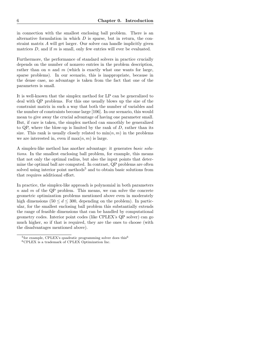in connection with the smallest enclosing ball problem. There is an alternative formulation in which  $D$  is sparse, but in return, the constraint matrix A will get larger. Our solver can handle implicitly given matrices  $D$ , and if  $m$  is small, only few entries will ever be evaluated.

Furthermore, the performance of standard solvers in practice crucially depends on the number of nonzero entries in the problem description, rather than on  $n$  and  $m$  (which is exactly what one wants for large, sparse problems). In our scenario, this is inappropriate, because in the dense case, no advantage is taken from the fact that one of the parameters is small.

It is well-known that the simplex method for LP can be generalized to deal with QP problems. For this one usually blows up the size of the constraint matrix in such a way that both the number of variables and the number of constraints become large [106]. In our scenario, this would mean to give away the crucial advantage of having one parameter small. But, if care is taken, the simplex method can smoothly be generalized to QP, where the blow-up is limited by the rank of  $D$ , rather than its size. This rank is usually closely related to  $\min(n, m)$  in the problems we are interested in, even if  $max(n, m)$  is large.

A simplex-like method has another advantage: it generates basic solutions. In the smallest enclosing ball problem, for example, this means that not only the optimal radius, but also the input points that determine the optimal ball are computed. In contrast, QP problems are often solved using interior point methods<sup>5</sup> and to obtain basic solutions from that requires additional effort.

In practice, the simplex-like approach is polynomial in both parameters  $n$  and  $m$  of the QP problem. This means, we can solve the concrete geometric optimization problems mentioned above even in moderately high dimensions ( $50 \le d \le 300$ , depending on the problem). In particular, for the smallest enclosing ball problem this substantially extends the range of feasible dimensions that can be handled by computational geometry codes. Interior point codes (like CPLEX's QP solver) can go much higher, so if that is required, they are the ones to choose (with the disadvantages mentioned above).

<sup>&</sup>lt;sup>5</sup> for example, CPLEX's quadratic programming solver does this<sup>6</sup>

<sup>6</sup>CPLEX is a trademark of CPLEX Optimization Inc.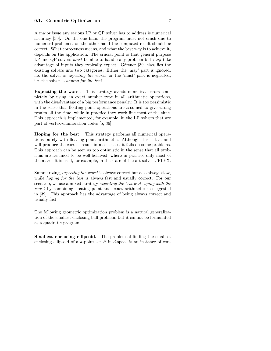A major issue any serious LP or QP solver has to address is numerical accuracy [39]. On the one hand the program must not crash due to numerical problems, on the other hand the computed result should be correct. What correctness means, and what the best way is to achieve it, depends on the application. The crucial point is that general purpose  $LP$  and  $QP$  solvers *must* be able to handle any problem but *may* take advantage of inputs they typically expect. Gärtner [39] classifies the existing solvers into two categories: Either the 'may' part is ignored, i.e. the solver is expecting the worst, or the 'must' part is neglected, i.e. the solver is hoping for the best.

Expecting the worst. This strategy avoids numerical errors completely by using an exact number type in all arithmetic operations, with the disadvantage of a big performance penalty. It is too pessimistic in the sense that floating point operations are assumed to give wrong results all the time, while in practice they work fine most of the time. This approach is implemented, for example, in the LP solvers that are part of vertex-enumeration codes [5, 36].

Hoping for the best. This strategy performs all numerical operations purely with floating point arithmetic. Although this is fast and will produce the correct result in most cases, it fails on some problems. This approach can be seen as too optimistic in the sense that all problems are assumed to be well-behaved, where in practice only most of them are. It is used, for example, in the state-of-the-art solver CPLEX.

Summarizing, expecting the worst is always correct but also always slow, while *hoping for the best* is always fast and usually correct. For our scenario, we use a mixed strategy expecting the best and coping with the worst by combining floating point and exact arithmetic as suggested in [39]. This approach has the advantage of being always correct and usually fast.

The following geometric optimization problem is a natural generalization of the smallest enclosing ball problem, but it cannot be formulated as a quadratic program.

Smallest enclosing ellipsoid. The problem of finding the smallest enclosing ellipsoid of a k-point set  $P$  in d-space is an instance of con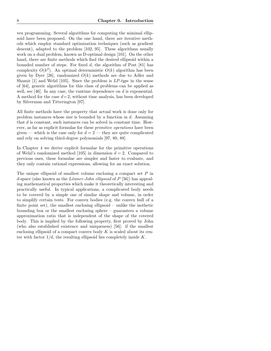vex programming. Several algorithms for computing the minimal ellipsoid have been proposed. On the one hand, there are iterative methods which employ standard optimization techniques (such as gradient descent), adapted to the problem [102, 95]. These algorithms usually work on a dual problem, known as D-optimal design [101]. On the other hand, there are finite methods which find the desired ellipsoid within a bounded number of steps. For fixed d, the algorithm of Post [81] has complexity  $O(k^2)$ . An optimal deterministic  $O(k)$  algorithm has been given by Dyer [26], randomized  $O(k)$  methods are due to Adler and Shamir  $[1]$  and Welzl  $[105]$ . Since the problem is  $LP-type$  in the sense of [64], generic algorithms for this class of problems can be applied as well, see [46]. In any case, the runtime dependence on  $d$  is exponential. A method for the case  $d=2$ , without time analysis, has been developed by Silverman and Titterington [97].

All finite methods have the property that actual work is done only for problem instances whose size is bounded by a function in  $d$ . Assuming that  $d$  is constant, such instances can be solved in constant time. However, as far as explicit formulae for these primitive operations have been given — which is the case only for  $d = 2$  — they are quite complicated and rely on solving third-degree polynomials [97, 80, 88].

In Chapter 4 we derive explicit formulae for the primitive operations of Welzl's randomized method [105] in dimension  $d = 2$ . Compared to previous ones, these formulae are simpler and faster to evaluate, and they only contain rational expressions, allowing for an exact solution.

The unique ellipsoid of smallest volume enclosing a compact set  $P$  in d-space (also known as the Löwner-John ellipsoid of P [56]) has appealing mathematical properties which make it theoretically interesting and practically useful. In typical applications, a complicated body needs to be covered by a simple one of similar shape and volume, in order to simplify certain tests. For convex bodies (e.g. the convex hull of a finite point set), the smallest enclosing ellipsoid – unlike the isothetic bounding box or the smallest enclosing sphere – guarantees a volume approximation ratio that is independent of the shape of the covered body. This is implied by the following property, first proved by John (who also established existence and uniqueness) [56]: if the smallest enclosing ellipsoid of a compact convex body  $K$  is scaled about its center with factor  $1/d$ , the resulting ellipsoid lies completely inside K.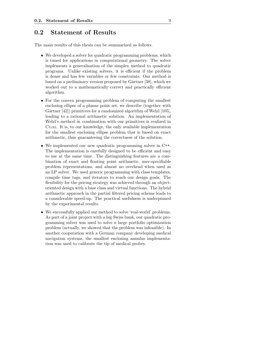#### 0.2 Statement of Results

The main results of this thesis can be summarized as follows.

- We developed a solver for quadratic programming problems, which is tuned for applications in computational geometry. The solver implements a generalization of the simplex method to quadratic programs. Unlike existing solvers, it is efficient if the problem is dense and has few variables or few constraints. Our method is based on a preliminary version proposed by Gärtner [38], which we worked out to a mathematically correct and practically efficient algorithm.
- For the convex programming problem of computing the smallest enclosing ellipse of a planar point set, we describe (together with Gärtner  $[42]$ ) primitives for a randomized algorithm of Welzl  $[105]$ , leading to a rational arithmetic solution. An implementation of Welzl's method in combination with our primitives is realized in Cgal. It is, to our knowledge, the only available implementation for the smallest enclosing ellipse problem that is based on exact arithmetic, thus guaranteeing the correctness of the solution.
- We implemented our new quadratic programming solver in C++. The implementation is carefully designed to be efficient and easy to use at the same time. The distinguishing features are a combination of exact and floating point arithmetic, user-specifiable problem representations, and almost no overhead when used as an LP solver. We used generic programming with class templates, compile time tags, and iterators to reach our design goals. The flexibility for the pricing strategy was achieved through an objectoriented design with a base class and virtual functions. The hybrid arithmetic approach in the partial filtered pricing scheme leads to a considerable speed-up. The practical usefulness is underpinned by the experimental results.
- We successfully applied our method to solve 'real-world' problems. As part of a joint project with a big Swiss bank, our quadratic programming solver was used to solve a large portfolio optimization problem (actually, we showed that the problem was infeasible). In another cooperation with a German company developing medical navigation systems, the smallest enclosing annulus implementation was used to calibrate the tip of medical probes.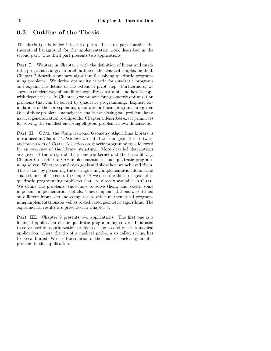### 0.3 Outline of the Thesis

The thesis is subdivided into three parts. The first part contains the theoretical background for the implementation work described in the second part. The third part presents two applications.

Part I. We start in Chapter 1 with the definition of linear and quadratic programs and give a brief outline of the classical simplex method. Chapter 2 describes our new algorithm for solving quadratic programming problems. We derive optimality criteria for quadratic programs and explain the details of the extended pivot step. Furthermore, we show an efficient way of handling inequality constraints and how to cope with degeneracies. In Chapter 3 we present four geometric optimization problems that can be solved by quadratic programming. Explicit formulations of the corresponding quadratic or linear programs are given. One of these problems, namely the smallest enclosing ball problem, has a natural generalization to ellipsoids. Chapter 4 describes exact primitives for solving the smallest enclosing ellipsoid problem in two dimensions.

Part II. CGAL, the Computational Geometry Algorithms Library is introduced in Chapter 5. We review related work on geometric software and precursors of Cgal. A section on generic programming is followed by an overview of the library structure. More detailed descriptions are given of the design of the geometric kernel and the basic library. Chapter 6 describes a C++ implementation of our quadratic programming solver. We state our design goals and show how we achieved them. This is done by presenting the distinguishing implementation details and small chunks of the code. In Chapter 7 we describe the three geometric quadratic programming problems that are already available in Cgal. We define the problems, show how to solve them, and sketch some important implementation details. These implementations were tested on different input sets and compared to other mathematical programming implementations as well as to dedicated geometric algorithms. The experimental results are presented in Chapter 8.

Part III. Chapter 9 presents two applications. The first one is a financial application of our quadratic programming solver. It is used to solve portfolio optimization problems. The second one is a medical application, where the tip of a medical probe, a so called stylus, has to be calibrated. We use the solution of the smallest enclosing annulus problem in this application.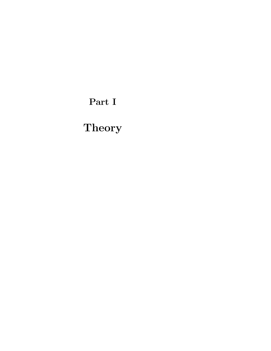Part I

**Theory**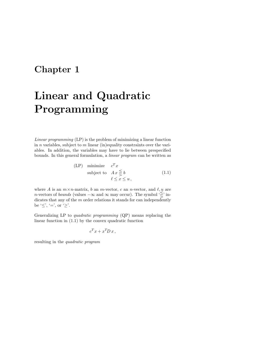### Chapter 1

# Linear and Quadratic Programming

Linear programming (LP) is the problem of minimizing a linear function in *n* variables, subject to *m* linear (in)equality constraints over the variables. In addition, the variables may have to lie between prespecified bounds. In this general formulation, a linear program can be written as

$$
\begin{array}{ll}\n\text{(LP)} & \text{minimize} & c^T x \\
\text{subject to} & Ax \leq b \\
& \ell \leq x \leq u \,,\n\end{array} \tag{1.1}
$$

where A is an  $m \times n$ -matrix, b an m-vector, c an n-vector, and  $\ell, u$  are n-vectors of *bounds* (values  $-\infty$  and  $\infty$  may occur). The symbol ' $\leq$ ' indicates that any of the  $m$  order relations it stands for can independently be ' $\leq$ ', '=', or ' $\geq$ '.

Generalizing LP to quadratic programming (QP) means replacing the linear function in (1.1) by the convex quadratic function

$$
c^T x + x^T D x,
$$

resulting in the quadratic program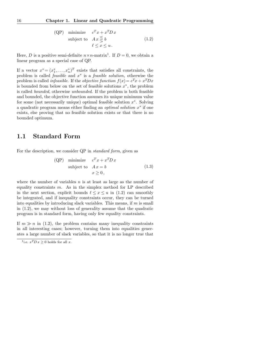(QP) minimize 
$$
c^T x + x^T D x
$$
  
subject to  $A x \leq b$   
 $\ell \leq x \leq u$ . (1.2)

Here, D is a positive semi-definite  $n \times n$ -matrix<sup>1</sup>. If  $D = 0$ , we obtain a linear program as a special case of QP.

If a vector  $x^* = (x_1^*, \ldots, x_n^*)^T$  exists that satisfies all constraints, the problem is called *feasible* and  $x^*$  is a *feasible solution*, otherwise the problem is called *infeasible*. If the *objective function*  $f(x) = c^T x + x^T D x$ is bounded from below on the set of feasible solutions  $x^*$ , the problem is called bounded, otherwise unbounded. If the problem is both feasible and bounded, the objective function assumes its unique minimum value for some (not necessarily unique) optimal feasible solution  $x^*$ . Solving a quadratic program means either finding an *optimal solution*  $x^*$  if one exists, else proving that no feasible solution exists or that there is no bounded optimum.

#### 1.1 Standard Form

For the description, we consider QP in standard form, given as

(QP) minimize 
$$
c^T x + x^T D x
$$
  
subject to  $Ax = b$   
 $x \ge 0$ , (1.3)

where the number of variables  $n$  is at least as large as the number of equality constraints  $m$ . As in the simplex method for LP described in the next section, explicit bounds  $\ell \leq x \leq u$  in (1.2) can smoothly be integrated, and if inequality constraints occur, they can be turned into equalities by introducing slack variables. This means, if  $m$  is small in (1.2), we may without loss of generality assume that the quadratic program is in standard form, having only few equality constraints.

If  $m \gg n$  in (1.2), the problem contains many inequality constraints in all interesting cases; however, turning them into equalities generates a large number of slack variables, so that it is no longer true that

<sup>&</sup>lt;sup>1</sup>i.e.  $x^T D x \geq 0$  holds for all x.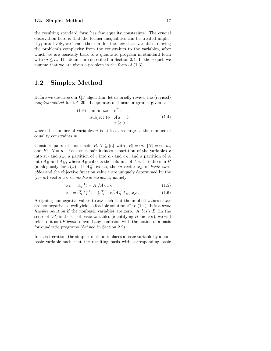the resulting standard form has few equality constraints. The crucial observation here is that the former inequalities can be treated implicitly; intuitively, we 'trade them in' for the new slack variables, moving the problem's complexity from the constraints to the variables, after which we are basically back to a quadratic program in standard form with  $m \leq n$ . The details are described in Section 2.4. In the sequel, we assume that we are given a problem in the form of (1.3).

#### 1.2 Simplex Method

Before we describe our QP algorithm, let us briefly review the (revised) simplex method for LP [20]. It operates on linear programs, given as

(LP) minimize 
$$
c^T x
$$
  
subject to  $A x = b$   
 $x \ge 0$ , (1.4)

where the number of variables  $n$  is at least as large as the number of equality constraints m.

Consider pairs of index sets  $B, N \subseteq [n]$  with  $|B| = m$ ,  $|N| = n-m$ , and  $B \cup N = [n]$ . Each such pair induces a partition of the variables x into  $x_B$  and  $x_N$ , a partition of c into  $c_B$  and  $c_N$ , and a partition of A into  $A_B$  and  $A_N$ , where  $A_B$  collects the columns of  $A$  with indices in  $B$ (analogously for  $A_N$ ). If  $A_B^{-1}$  exists, the m-vector  $x_B$  of basic variables and the objective function value z are uniquely determined by the  $(n-m)$ -vector  $x_N$  of nonbasic variables, namely

$$
x_B = A_B^{-1}b - A_B^{-1}A_N x_N , \qquad (1.5)
$$

$$
z = c_B^T A_B^{-1} b + (c_N^T - c_B^T A_B^{-1} A_N) x_N.
$$
 (1.6)

Assigning nonnegative values to  $x_N$  such that the implied values of  $x_B$ are nonnegative as well yields a feasible solution  $x^*$  to  $(1.4)$ . It is a basic feasible solution if the nonbasic variables are zero. A basis B (in the sense of LP) is the set of basic variables (identifying B and  $x_B$ ), we will refer to it as LP-basis to avoid any confusion with the notion of a basis for quadratic programs (defined in Section 2.2).

In each iteration, the simplex method replaces a basic variable by a nonbasic variable such that the resulting basis with corresponding basic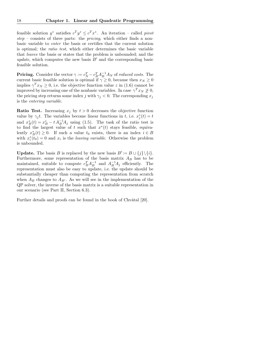feasible solution  $y^*$  satisfies  $c^T y^* \leq c^T x^*$ . An iteration – called pivot  $step$  – consists of three parts: the *pricing*, which either finds a nonbasic variable to enter the basis or certifies that the current solution is optimal; the ratio test, which either determines the basic variable that leaves the basis or states that the problem is unbounded; and the update, which computes the new basis  $B'$  and the corresponding basic feasible solution.

**Pricing.** Consider the vector  $\gamma := c_N^T - c_B^T A_B^{-1} A_N$  of reduced costs. The current basic feasible solution is optimal if  $\gamma \geq 0$ , because then  $x_N \geq 0$ implies  $\gamma^T x_N \geq 0$ , i.e. the objective function value z in (1.6) cannot be improved by increasing one of the nonbasic variables. In case  $\gamma^T x_N \not\geq 0$ , the pricing step returns some index j with  $\gamma_i < 0$ . The corresponding  $x_i$ is the entering variable.

**Ratio Test.** Increasing  $x_j$  by  $t > 0$  decreases the objective function value by  $\gamma_j t$ . The variables become linear functions in t, i.e.  $x_j^*(t) = t$ and  $x_B^*(t) = x_B^* - t A_B^{-1} A_j$  using (1.5). The task of the ratio test is to find the largest value of t such that  $x^*(t)$  stays feasible, equivalently  $x_B^*(t) \geq 0$ . If such a value  $t_0$  exists, there is an index  $i \in B$ with  $x_i^*(t_0) = 0$  and  $x_i$  is the *leaving variable*. Otherwise the problem is unbounded.

**Update.** The basis B is replaced by the new basis  $B' := B \cup \{j\} \setminus \{i\}.$ Furthermore, some representation of the basis matrix  $A_B$  has to be maintained, suitable to compute  $c_B^T A_B^{-1}$  and  $A_B^{-1} A_j$  efficiently. The representation must also be easy to update, i.e. the update should be substantially cheaper than computing the representation from scratch when  $A_B$  changes to  $A_{B'}$ . As we will see in the implementation of the QP solver, the inverse of the basis matrix is a suitable representation in our scenario (see Part II, Section 6.3).

Further details and proofs can be found in the book of Chvátal [20].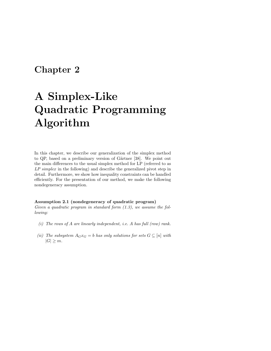## Chapter 2

# A Simplex-Like Quadratic Programming Algorithm

In this chapter, we describe our generalization of the simplex method to QP, based on a preliminary version of Gärtner [38]. We point out the main differences to the usual simplex method for LP (referred to as LP simplex in the following) and describe the generalized pivot step in detail. Furthermore, we show how inequality constraints can be handled efficiently. For the presentation of our method, we make the following nondegeneracy assumption.

#### Assumption 2.1 (nondegeneracy of quadratic program)

Given a quadratic program in standard form  $(1.3)$ , we assume the following:

- (i) The rows of  $A$  are linearly independent, i.e.  $A$  has full (row) rank.
- (ii) The subsystem  $A_Gx_G = b$  has only solutions for sets  $G \subseteq [n]$  with  $|G| \geq m$ .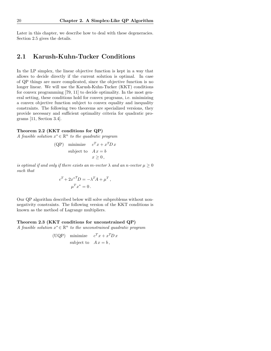Later in this chapter, we describe how to deal with these degeneracies. Section 2.5 gives the details.

## 2.1 Karush-Kuhn-Tucker Conditions

In the LP simplex, the linear objective function is kept in a way that allows to decide directly if the current solution is optimal. In case of QP things are more complicated, since the objective function is no longer linear. We will use the Karush-Kuhn-Tucker (KKT) conditions for convex programming [79, 11] to decide optimality. In the most general setting, these conditions hold for convex programs, i.e. minimizing a convex objective function subject to convex equality and inequality constraints. The following two theorems are specialized versions, they provide necessary and sufficient optimality criteria for quadratic programs [11, Section 3.4].

#### Theorem 2.2 (KKT conditions for QP)

A feasible solution  $x^* \in \mathbb{R}^n$  to the quadratic program

(QP) minimize 
$$
c^T x + x^T D
$$
  
subject to  $A x = b$   
 $x \ge 0$ ,

 $\overline{x}$ 

is optimal if and only if there exists an m-vector  $\lambda$  and an n-vector  $\mu \geq 0$ such that

$$
c^T + 2x^{*T}D = -\lambda^T A + \mu^T,
$$
  

$$
\mu^T x^* = 0.
$$

Our QP algorithm described below will solve subproblems without nonnegativity constraints. The following version of the KKT conditions is known as the method of Lagrange multipliers.

#### Theorem 2.3 (KKT conditions for unconstrained QP)

A feasible solution  $x^* \in \mathbb{R}^n$  to the unconstrained quadratic program

(UQP) minimize  $c^T x + x^T D x$ subject to  $Ax = b$ ,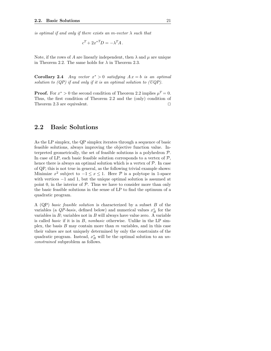is optimal if and only if there exists an m-vector  $\lambda$  such that

$$
c^T + 2x^{*T}D = -\lambda^T A.
$$

Note, if the rows of A are linearly independent, then  $\lambda$  and  $\mu$  are unique in Theorem 2.2. The same holds for  $\lambda$  in Theorem 2.3.

Corollary 2.4 Any vector  $x^* > 0$  satisfying  $Ax = b$  is an optimal solution to  $(QP)$  if and only if it is an optimal solution to  $(UQP)$ .

**Proof.** For  $x^* > 0$  the second condition of Theorem 2.2 implies  $\mu^T = 0$ . Thus, the first condition of Theorem 2.2 and the (only) condition of Theorem 2.3 are equivalent.  $\Box$ 

### 2.2 Basic Solutions

As the LP simplex, the QP simplex iterates through a sequence of basic feasible solutions, always improving the objective function value. Interpreted geometrically, the set of feasible solutions is a polyhedron  $P$ . In case of LP, each basic feasible solution corresponds to a vertex of  $P$ , hence there is always an optimal solution which is a vertex of  $P$ . In case of QP, this is not true in general, as the following trivial example shows: Minimize  $x^2$  subject to  $-1 \le x \le 1$ . Here  $\mathcal P$  is a polytope in 1-space with vertices −1 and 1, but the unique optimal solution is assumed at point 0, in the interior of  $P$ . Thus we have to consider more than only the basic feasible solutions in the sense of LP to find the optimum of a quadratic program.

A  $(QP)$  basic feasible solution is characterized by a subset  $B$  of the variables (a  $QP-basis$ , defined below) and numerical values  $x_B^*$  for the variables in  $B$ ; variables not in  $B$  will always have value zero. A variable is called *basic* if it is in  $B$ , *nonbasic* otherwise. Unlike in the LP simplex, the basis  $B$  may contain more than  $m$  variables, and in this case their values are not uniquely determined by only the constraints of the quadratic program. Instead,  $x_B^*$  will be the optimal solution to an unconstrained subproblem as follows.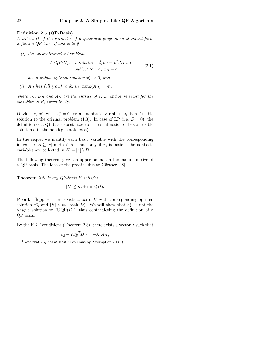#### Definition 2.5 (QP-Basis)

A subset B of the variables of a quadratic program in standard form defines a QP-basis if and only if

(i) the unconstrained subproblem

$$
(UQP(B)) \quad \text{minimize} \quad c_B^T x_B + x_B^T D_B x_B
$$
\n
$$
\text{subject to} \quad A_B x_B = b \tag{2.1}
$$

has a unique optimal solution  $x_B^* > 0$ , and

(ii)  $A_B$  has full (row) rank, i.e.  $\text{rank}(A_B) = m$ ,<sup>1</sup>

where  $c_B$ ,  $D_B$  and  $A_B$  are the entries of c, D and A relevant for the variables in B, respectively.

Obviously,  $x^*$  with  $x_i^* = 0$  for all nonbasic variables  $x_i$  is a feasible solution to the original problem (1.3). In case of LP (i.e.  $D = 0$ ), the definition of a QP-basis specializes to the usual notion of basic feasible solutions (in the nondegenerate case).

In the sequel we identify each basic variable with the corresponding index, i.e.  $B \subseteq [n]$  and  $i \in B$  if and only if  $x_i$  is basic. The nonbasic variables are collected in  $N := [n] \setminus B$ .

The following theorem gives an upper bound on the maximum size of a QP-basis. The idea of the proof is due to Gärtner [38].

Theorem 2.6 Every QP-basis B satisfies

 $|B| \leq m + \text{rank}(D).$ 

**Proof.** Suppose there exists a basis  $B$  with corresponding optimal solution  $x_B^*$  and  $|B| > m + \text{rank}(D)$ . We will show that  $x_B^*$  is not the unique solution to  $(\text{UQP}(B))$ , thus contradicting the definition of a QP-basis.

By the KKT conditions (Theorem 2.3), there exists a vector  $\lambda$  such that

$$
c_B^T + 2x_B^{*T}D_B = -\lambda^T A_B,
$$

<sup>&</sup>lt;sup>1</sup>Note that  $A_B$  has at least m columns by Assumption 2.1 (ii).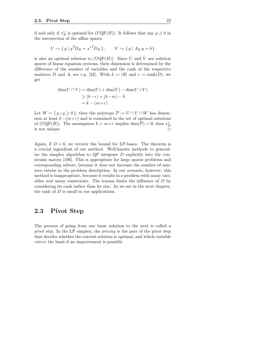if and only if  $x_B^*$  is optimal for (UQP(B)). It follows that any  $y \ge 0$  in the intersection of the affine spaces

$$
U := \{ y \mid y^T D_B = x^{*T} D_B \}, \qquad V := \{ y \mid A_B y = b \}
$$

is also an optimal solution to  $(\mathrm{UQP}(B))$ . Since U and V are solution spaces of linear equation systems, their dimension is determined by the difference of the number of variables and the rank of the respective matrices D and A, see e.g. [32]. With  $k := |B|$  and  $r := \text{rank}(D)$ , we get

$$
\dim(U \cap V) = \dim(U) + \dim(V) - \dim(U + V)
$$
  
\n
$$
\ge (k-r) + (k-m) - k
$$
  
\n
$$
= k - (m+r).
$$

Let  $W := \{ y \mid y \ge 0 \}$ , then the polytope  $P := U \cap V \cap W$  has dimension at least  $k-(m+r)$  and is contained in the set of optimal solutions of (UQP(B)). The assumption  $k > m+r$  implies  $\dim(\mathcal{P}) > 0$ , thus  $x_B^*$ is not unique.  $\Box$ 

Again, if  $D = 0$ , we recover the bound for LP-bases. The theorem is a crucial ingredient of our method. Well-known methods to generalize the simplex algorithm to  $QP$  integrate  $D$  explicitly into the constraint matrix [106]. This is appropriate for large sparse problems and corresponding solvers, because it does not increase the number of nonzero entries in the problem description. In our scenario, however, this method is inappropriate, because it results in a problem with many variables and many constraints. The lemma limits the influence of D by considering its rank rather than its size. As we see in the next chapter, the rank of  $D$  is small in our applications.

### 2.3 Pivot Step

The process of going from one basic solution to the next is called a pivot step. In the LP simplex, the pricing is the part of the pivot step that decides whether the current solution is optimal, and which variable enters the basis if an improvement is possible.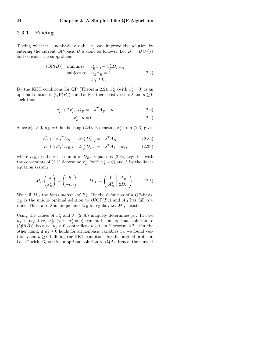#### 2.3.1 Pricing

Testing whether a nonbasic variable  $x_i$  can improve the solution by entering the current QP-basis B is done as follows. Let  $\hat{B} := B \cup \{j\}$ and consider the subproblem

(QP(
$$
\hat{B}
$$
)) minimize  $c_{\hat{B}}^T x_{\hat{B}} + x_{\hat{B}}^T D_{\hat{B}} x_{\hat{B}}$   
subject to  $A_{\hat{B}} x_{\hat{B}} = b$  (2.2)  
 $x_{\hat{B}} \ge 0$ .

By the KKT conditions for QP (Theorem 2.2),  $x^*_{\hat{B}}$  (with  $x^*_{j} = 0$ ) is an optimal solution to  $(QP(B))$  if and only if there exist vectors  $\lambda$  and  $\mu \geq 0$ such that

$$
c_{\hat{B}}^T + 2x_{\hat{B}}^{* \ T} D_{\hat{B}} = -\lambda^T A_{\hat{B}} + \mu \tag{2.3}
$$

$$
x_{\hat{B}}^{*T} \mu = 0. \tag{2.4}
$$

Since  $x_B^* > 0$ ,  $\mu_B = 0$  holds using (2.4). Extracting  $x_j^*$  from (2.3) gives

$$
c_B^T + 2x_B^{*T} D_B + 2x_j^* D_{B,j}^T = -\lambda^T A_B \tag{2.3a}
$$

$$
c_j + 2x_B^*{}^T D_{B,j} + 2x_j^* D_{j,j} = -\lambda^T A_j + \mu_j, \qquad (2.3b)
$$

where  $D_{B,j}$  is the j-th column of  $D_B$ . Equations (2.3a) together with the constraints of (2.1) determine  $x^*_{\hat{B}}$  (with  $x^*_j = 0$ ) and  $\lambda$  by the linear equation system

$$
M_B\left(\frac{\lambda}{x_B^*}\right) = \left(\frac{b}{-c_B}\right), \qquad M_B := \left(\frac{0}{A_B^T} \mid \frac{A_B}{2D_B}\right). \tag{2.5}
$$

We call  $M_B$  the *basis matrix* (of  $B$ ). By the definition of a QP-basis,  $x_B^*$  is the unique optimal solution to  $(\mathrm{UQP}(B))$  and  $A_B$  has full row rank. Thus, also  $\lambda$  is unique and  $M_B$  is regular, i.e.  $M_B^{-1}$  exists.

Using the values of  $x_B^*$  and  $\lambda$ , (2.3b) uniquely determines  $\mu_j$ . In case  $\mu_j$  is negative,  $x^*_{\hat{B}}$  (with  $x^*_j = 0$ ) cannot be an optimal solution to  $(QP(\hat{B}))$  because  $\mu_j < 0$  contradicts  $\mu \geq 0$  in Theorem 2.2. On the other hand, if  $\mu_j \geq 0$  holds for all nonbasic variables  $x_j$ , we found vectors  $\lambda$  and  $\mu \geq 0$  fulfilling the KKT conditions for the original problem, i.e.  $x^*$  with  $x_N^* = 0$  is an optimal solution to (QP). Hence, the current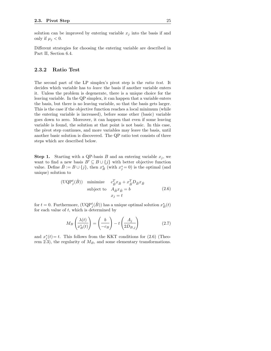solution can be improved by entering variable  $x_j$  into the basis if and only if  $\mu_j < 0$ .

Different strategies for choosing the entering variable are described in Part II, Section 6.4.

#### 2.3.2 Ratio Test

The second part of the LP simplex's pivot step is the ratio test. It decides which variable has to leave the basis if another variable enters it. Unless the problem is degenerate, there is a unique choice for the leaving variable. In the QP simplex, it can happen that a variable enters the basis, but there is no leaving variable, so that the basis gets larger. This is the case if the objective function reaches a local minimum (while the entering variable is increased), before some other (basic) variable goes down to zero. Moreover, it can happen that even if some leaving variable is found, the solution at that point is not basic. In this case, the pivot step continues, and more variables may leave the basis, until another basic solution is discovered. The QP ratio test consists of three steps which are described below.

**Step 1.** Starting with a QP-basis B and an entering variable  $x_j$ , we want to find a new basis  $B' \subseteq B \cup \{j\}$  with better objective function value. Define  $\hat{B} := B \cup \{j\}$ , then  $x^*_{\hat{B}}$  (with  $x^*_{j} = 0$ ) is the optimal (and unique) solution to

$$
\begin{array}{ll}\n(\text{UQP}_j^t(\hat{B})) & \text{minimize} & c_{\hat{B}}^T x_{\hat{B}} + x_{\hat{B}}^T D_{\hat{B}} x_{\hat{B}} \\
\text{subject to} & A_{\hat{B}} x_{\hat{B}} = b \\
& x_j = t\n\end{array} \tag{2.6}
$$

for  $t = 0$ . Furthermore,  $(\mathrm{UQP}_j^t(\hat{B}))$  has a unique optimal solution  $x^*_{\hat{B}}(t)$ for each value of  $t$ , which is determined by

$$
M_B\left(\frac{\lambda(t)}{x_B^*(t)}\right) = \left(\frac{b}{-c_B}\right) - t\left(\frac{A_j}{2D_{B,j}}\right) \tag{2.7}
$$

and  $x_j^*(t) = t$ . This follows from the KKT conditions for (2.6) (Theorem 2.3), the regularity of  $M_B$ , and some elementary transformations.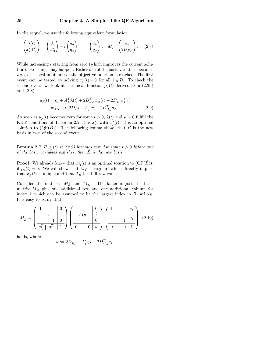In the sequel, we use the following equivalent formulation

$$
\left(\frac{\lambda(t)}{x_B^*(t)}\right) = \left(\frac{\lambda}{x_B^*}\right) - t\left(\frac{q_\lambda}{q_x}\right), \qquad \left(\frac{q_\lambda}{q_x}\right) := M_B^{-1}\left(\frac{A_j}{2D_{B,j}}\right). \tag{2.8}
$$

While increasing  $t$  starting from zero (which improves the current solution), two things may happen. Either one of the basic variables becomes zero, or a local minimum of the objective function is reached. The first event can be tested by solving  $x_i^*(t) = 0$  for all  $i \in B$ . To check the second event, we look at the linear function  $\mu_i(t)$  derived from (2.3b) and (2.8)

$$
\mu_j(t) = c_j + A_j^T \lambda(t) + 2D_{B,j}^T x_B^*(t) + 2D_{j,j} x_j^*(t)
$$
  
=  $\mu_j + t (2D_{j,j} - A_j^T q_\lambda - 2D_{B,j}^T q_x).$  (2.9)

As soon as  $\mu_j(t)$  becomes zero for some  $t > 0$ ,  $\lambda(t)$  and  $\mu = 0$  fulfill the KKT conditions of Theorem 2.2, thus  $x_{\hat{B}}^*$  with  $x_j^*(t) = t$  is an optimal solution to  $(QP(\tilde{B}))$ . The following lemma shows that  $\tilde{B}$  is the new basis in case of the second event.

**Lemma 2.7** If  $\mu_i(t)$  in (2.9) becomes zero for some  $t > 0$  before any of the basic variables vanishes, then  $\hat{B}$  is the new basis.

**Proof.** We already know that  $x^*_{\hat{B}}(t)$  is an optimal solution to  $(QP(\hat{B}))$ , if  $\mu_j(t) = 0$ . We will show that  $M_{\hat{B}}$  is regular, which directly implies that  $x^*_{\hat{B}}(t)$  is unique and that  $A_B$  has full row rank.

Consider the matrices  $M_B$  and  $M_{\hat{B}}$ . The latter is just the basis matrix  $M_B$  plus one additional row and one additional column for index j, which can be assumed to be the largest index in  $B$ , w.l.o.g. It is easy to verify that

$$
M_{\hat{B}} = \begin{pmatrix} 1 & & 0 \\ & \ddots & 1 \\ \hline & & 1 \\ \hline q_{\lambda}^{T} & q_{x}^{T} & 1 \end{pmatrix} \begin{pmatrix} & & & 0 \\ & M_{B} & & \vdots \\ \hline & & 0 \\ \hline 0 & \dots & 0 \end{pmatrix} \begin{pmatrix} 1 & & & q_{\lambda} \\ & \ddots & & & q_{x} \\ \hline 0 & \dots & 0 & 1 \end{pmatrix} \tag{2.10}
$$

holds, where

$$
\nu := 2D_{j,j} - A_j^T q_\lambda - 2D_{B,j}^T q_x.
$$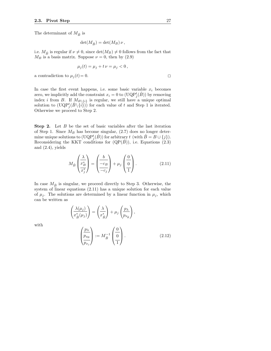The determinant of  $M_{\hat{B}}$  is

$$
\det(M_{\hat{B}}) = \det(M_B) \nu ,
$$

i.e.  $M_{\hat{B}}$  is regular if  $\nu \neq 0$ , since  $\det(M_B) \neq 0$  follows from the fact that  $M_B$  is a basis matrix. Suppose  $\nu = 0$ , then by  $(2.9)$ 

$$
\mu_j(t) = \mu_j + t \nu = \mu_j < 0 \,,
$$

a contradiction to  $\mu_j(t)=0$ .

In case the first event happens, i.e. some basic variable  $x_i$  becomes zero, we implicitly add the constraint  $x_i = 0$  to  $(\mathrm{UQP}_j^t(\hat{B}))$  by removing index *i* from B. If  $M_{B\setminus\{i\}}$  is regular, we still have a unique optimal solution to  $(\mathrm{UQP}^t_j(\hat{B}\setminus\{i\}))$  for each value of t and Step 1 is iterated. Otherwise we proceed to Step 2.

**Step 2.** Let  $B$  be the set of basic variables after the last iteration of Step 1. Since  $M_B$  has become singular, (2.7) does no longer determine unique solutions to  $(\text{UQP}_j^t(\hat{B}))$  for arbitrary t (with  $\hat{B} = B \cup \{j\}$ ). Reconsidering the KKT conditions for  $(QP(\hat{B}))$ , i.e. Equations (2.3) and (2.4), yields

$$
M_{\hat{B}}\left(\frac{\lambda}{x_{B}^{*}}\right) = \left(\frac{b}{-c_{B}}\right) + \mu_{j}\left(\frac{0}{0}\right).
$$
 (2.11)

In case  $M_{\hat{B}}$  is singular, we proceed directly to Step 3. Otherwise, the system of linear equations (2.11) has a unique solution for each value of  $\mu_j$ . The solutions are determined by a linear function in  $\mu_j$ , which can be written as

$$
\left(\frac{\lambda(\mu_j)}{x_{\hat{B}}^*(\mu_j)}\right) = \left(\frac{\lambda}{x_{\hat{B}}^*}\right) + \mu_j \left(\frac{p_\lambda}{p_{x_{\hat{B}}}}\right),
$$

with

$$
\left(\frac{p_{\lambda}}{p_{x_{B}}}\right) := M_{\hat{B}}^{-1} \left(\frac{0}{0}\right).
$$
\n(2.12)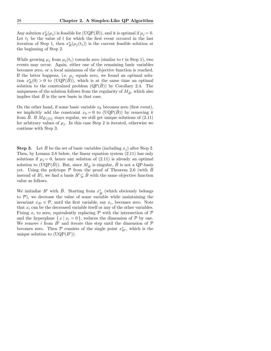Any solution  $x^*_{\hat{B}}(\mu_j)$  is feasible for  $(\text{UQP}(\hat{B}))$ , and it is optimal if  $\mu_j = 0$ . Let  $t_1$  be the value of  $t$  for which the first event occured in the last iteration of Step 1, then  $x^*_{\hat{B}}(\mu_j(t_1))$  is the current feasible solution at the beginning of Step 2.

While growing  $\mu_j$  from  $\mu_j(t_1)$  towards zero (similar to t in Step 1), two events may occur. Again, either one of the remaining basic variables becomes zero, or a local minimum of the objective function is reached. If the latter happens, i.e.  $\mu_j$  equals zero, we found an optimal solution  $x^*_{\hat{B}}(0) > 0$  to  $(\text{UQP}(\hat{B}))$ , which is at the same time an optimal solution to the constrained problem  $(QP(B))$  by Corollary 2.4. The uniqueness of the solution follows from the regularity of  $M_{\hat{B}}$ , which also implies that  $B$  is the new basis in that case.

On the other hand, if some basic variable  $x_k$  becomes zero (first event), we implicitly add the constraint  $x_k = 0$  to  $(\text{UQP}(B))$  by removing k from  $\hat{B}$ . If  $M_{\hat{B}\backslash\{k\}}$  stays regular, we still get unique solutions of (2.11) for arbitrary values of  $\mu_j$ . In this case Step 2 is iterated, otherwise we continue with Step 3.

**Step 3.** Let  $\hat{B}$  be the set of basic variables (including  $x_i$ ) after Step 2. Then, by Lemma 2.8 below, the linear equation system (2.11) has only solutions if  $\mu_i = 0$ , hence any solution of (2.11) is already an optimal solution to (UQP(B)). But, since  $M_{\hat{B}}$  is singular,  $\hat{B}$  is not a QP-basis yet. Using the polytope  $P$  from the proof of Theorem 2.6 (with  $\hat{B}$ instead of B), we find a basis  $B' \subsetneq B$  with the same objective function value as follows.

We initialize  $B'$  with  $\hat{B}$ . Starting from  $x^*_{\hat{B}}$  (which obviously belongs to  $P$ ), we decrease the value of some variable while maintaining the invariant  $x_{B'} \in \mathcal{P}$ , until the first variable, say  $x_i$ , becomes zero. Note that  $x_i$  can be the decreased variable itself or any of the other variables. Fixing  $x_i$  to zero, equivalently replacing  $P$  with the intersection of  $P$ and the hyperplane  $\{x \mid x_i = 0\}$ , reduces the dimension of  $P$  by one. We remove i from  $B'$  and iterate this step until the dimension of  $\mathcal P$ becomes zero. Then  $P$  consists of the single point  $x_{B'}^*$ , which is the unique solution to  $(\text{UQP}(B'))$ .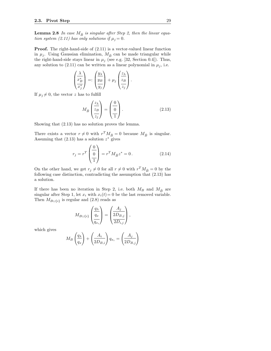**Lemma 2.8** In case  $M_{\hat{B}}$  is singular after Step 2, then the linear equation system (2.11) has only solutions if  $\mu_j = 0$ .

**Proof.** The right-hand-side of  $(2.11)$  is a vector-valued linear function in  $\mu_j$ . Using Gaussian elimination,  $M_{\hat{B}}$  can be made triangular while the right-hand-side stays linear in  $\mu_j$  (see e.g. [32, Section 0.4]). Thus, any solution to (2.11) can be written as a linear polynomial in  $\mu_j$ , i.e.

$$
\left(\frac{\lambda}{x_{B}^{*}}\right) =: \left(\frac{y_{\lambda}}{y_{B}}\right) + \mu_{j} \left(\frac{z_{\lambda}}{z_{B}}\right).
$$

If  $\mu_j \neq 0$ , the vector z has to fulfill

$$
M_{\hat{B}}\left(\frac{z_{\lambda}}{z_{\hat{B}}}\right) = \left(\frac{0}{0}\right). \tag{2.13}
$$

Showing that (2.13) has no solution proves the lemma.

There exists a vector  $r \neq 0$  with  $r^T M_{\hat{B}} = 0$  because  $M_{\hat{B}}$  is singular. Assuming that  $(2.13)$  has a solution  $z^*$  gives

$$
r_j = r^T \left(\frac{0}{1}\right) = r^T M_{\hat{B}} z^* = 0.
$$
 (2.14)

On the other hand, we get  $r_j \neq 0$  for all  $r \neq 0$  with  $r^T M_{\hat{B}} = 0$  by the following case distinction, contradicting the assumption that (2.13) has a solution.

If there has been no iteration in Step 2, i.e. both  $M_B$  and  $M_{\hat{B}}$  are singular after Step 1, let  $x_i$  with  $x_i(t) = 0$  be the last removed variable. Then  $M_{B\cup\{i\}}$  is regular and (2.8) reads as

$$
M_{B\cup\{i\}}\left(\frac{q_{\lambda}}{q_{x}}\right) = \left(\frac{A_j}{2D_{B,j}}\right),\,
$$

which gives

$$
M_B \left(\frac{q_{\lambda}}{q_x}\right) + \left(\frac{A_i}{2D_{B,i}}\right) q_{x_i} = \left(\frac{A_j}{2D_{B,j}}\right)
$$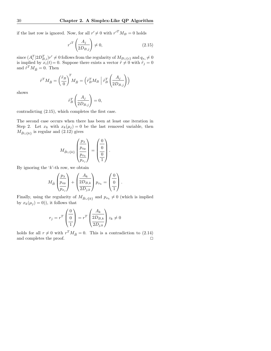if the last row is ignored. Now, for all  $r' \neq 0$  with  $r'^T M_B = 0$  holds

$$
r'^T \left(\frac{A_j}{2D_{B,j}}\right) \neq 0,
$$
\n(2.15)

since  $(A_i^T|2D_{B,i}^T)r' \neq 0$  follows from the regularity of  $M_{B\cup \{i\}}$  and  $q_{x_i} \neq 0$ is implied by  $x_i(t) = 0$ . Suppose there exists a vector  $\tilde{r} \neq 0$  with  $\tilde{r}_j = 0$ and  $\tilde{r}^T M_{\hat{B}} = 0$ . Then

$$
\tilde{r}^T M_{\hat{B}} = \left(\frac{\tilde{r}_B}{0}\right)^T M_{\hat{B}} = \left(\tilde{r}_B^T M_B \middle| \tilde{r}_B^T \left(\frac{A_j}{2D_{B,j}}\right)\right)
$$

shows

$$
\widetilde{r}_B^T\left(\frac{A_j}{2D_{B,j}}\right) = 0,
$$

contradicting (2.15), which completes the first case.

The second case occurs when there has been at least one iteration in Step 2. Let  $x_k$  with  $x_k(\mu_j) = 0$  be the last removed variable, then  $M_{\hat{B}\cup\{k\}}$  is regular and  $(2.12)$  gives

$$
M_{\hat{B}\cup\{k\}}\left(\frac{p_{\lambda}}{p_{x_k}}\right) = \left(\frac{0}{0}\right).
$$

By ignoring the  $k$ -th row, we obtain

$$
M_{\hat{B}}\left(\frac{p_{\lambda}}{p_{x_{B}}}\right) + \left(\frac{A_{k}}{2D_{B,k}}\right)p_{x_{k}} = \left(\frac{0}{0}\right).
$$

Finally, using the regularity of  $M_{\hat{B}\cup\{k\}}$  and  $p_{x_k}\neq 0$  (which is implied by  $x_k(\mu_i) = 0$ ), it follows that

$$
r_j = r^T \left(\frac{0}{1}\right) = r^T \left(\frac{A_k}{2D_{B,k}}\right) z_k \neq 0
$$

holds for all  $r \neq 0$  with  $r^T M_{\hat{B}} = 0$ . This is a contradiction to (2.14) and completes the proof.  $\Box$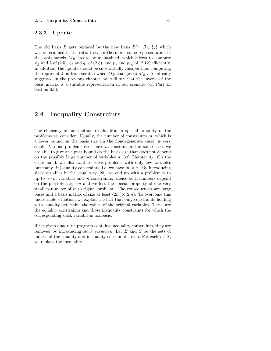#### 2.3.3 Update

The old basis B gets replaced by the new basis  $B' \subseteq B \cup \{j\}$  which was determined in the ratio test. Furthermore, some representation of the basis matrix  $M_B$  has to be maintained, which allows to compute  $x_B^*$  and  $\lambda$  of (2.5),  $q_\lambda$  and  $q_x$  of (2.8), and  $p_\lambda$  and  $p_{x_B}$  of (2.12) efficiently. In addition, the update should be substantially cheaper than computing the representation from scratch when  $M_B$  changes to  $M_{B'}$ . As already suggested in the previous chapter, we will see that the inverse of the basis matrix is a suitable representation in our scenario (cf. Part II, Section 6.3).

## 2.4 Inequality Constraints

The efficiency of our method results from a special property of the problems we consider. Usually, the number of constraints m, which is a lower bound on the basis size (in the nondegenerate case), is very small. Various problems even have  $m$  constant and in some cases we are able to give an upper bound on the basis size that does not depend on the possibly large number of variables  $n$ , (cf. Chapter 3). On the other hand, we also want to solve problems with only few variables but many (in)equality constraints, i.e. we have  $m \gg n$ . By introducing slack variables in the usual way [20], we end up with a problem with up to  $n+m$  variables and m constraints. Hence both numbers depend on the possibly large  $m$  and we lost the special property of one very small parameter of our original problem. The consequences are large bases and a basis matrix of size at least  $(2m) \times (2m)$ . To overcome this undesirable situation, we exploit the fact that only constraints holding with equality determine the values of the original variables. These are the equality constraints and those inequality constraints for which the corresponding slack variable is nonbasic.

If the given quadratic program contains inequality constraints, they are removed by introducing slack variables. Let  $E$  and  $S$  be the sets of indices of the equality and inequality constraints, resp. For each  $i \in S$ , we replace the inequality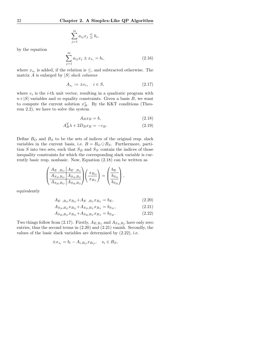$$
\sum_{j=1}^{m} a_{ij} x_j \leqq b_i,
$$

by the equation

$$
\sum_{j=1}^{m} a_{ij} x_j \pm x_{s_i} = b_i,
$$
\n(2.16)

where  $x_{s_i}$  is added, if the relation is  $\leq$ , and subtracted otherwise. The matrix  $A$  is enlarged by  $|S|$  slack columns

$$
A_{s_i} := \pm e_i, \quad i \in S,\tag{2.17}
$$

where  $e_i$  is the *i*-th unit vector, resulting in a quadratic program with  $n+|S|$  variables and m equality constraints. Given a basis B, we want to compute the current solution  $x_B^*$ . By the KKT conditions (Theorem 2.2), we have to solve the system

$$
A_B x_B = b,\t\t(2.18)
$$

$$
A_B^T \lambda + 2D_B x_B = -c_B. \tag{2.19}
$$

Define  $B<sub>O</sub>$  and  $B<sub>S</sub>$  to be the sets of indices of the original resp. slack variables in the current basis, i.e.  $B = B_O \cup B_S$ . Furthermore, partition S into two sets, such that  $S_B$  and  $S_N$  contain the indices of those inequality constraints for which the corresponding slack variable is currently basic resp. nonbasic. Now, Equation (2.18) can be written as

$$
\left(\frac{A_{E\ ,B_{O}}\left|A_{E\ ,B_{S}}\right|}{A_{S_{N},B_{O}}\left|A_{S_{N},B_{S}}\right|}\right)\left(\frac{x_{B_{O}}}{x_{B_{S}}}\right)=\left(\frac{b_{E}}{b_{S_{N}}}\right),\,
$$

equivalently

$$
A_{E, B_O} x_{B_O} + A_{E, B_S} x_{B_S} = b_E, \t\t(2.20)
$$

$$
A_{S_N, B_O} x_{B_O} + A_{S_N, B_S} x_{B_S} = b_{S_N},\tag{2.21}
$$

$$
A_{S_B, B_O} x_{B_O} + A_{S_B, B_S} x_{B_S} = b_{S_B}.
$$
\n(2.22)

Two things follow from (2.17). Firstly,  $A_{E,B_S}$  and  $A_{S_N,B_S}$  have only zero entries, thus the second terms in (2.20) and (2.21) vanish. Secondly, the values of the basic slack variables are determined by (2.22), i.e.

$$
\pm x_{s_i} = b_i - A_{i,B_O} x_{B_O}, \quad s_i \in B_S,
$$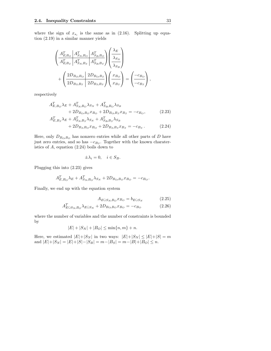where the sign of  $x_{s_i}$  is the same as in (2.16). Splitting up equation (2.19) in a similar manner yields

$$
\left(\frac{A_{E,B_O}^T}{A_{E,B_S}^T} \frac{A_{S_N,B_O}^T}{A_{S_N,B_S}^T} \frac{A_{S_B,B_O}^T}{A_{S_B}^T}\right) \left(\frac{\lambda_E}{\lambda_{S_N}}\right) + \left(\frac{2D_{B_O,B_O}}{2D_{B_S,B_S}} \frac{2D_{B_O,B_S}}{2D_{B_S,B_S}}\right) \left(\frac{x_{B_O}}{x_{B_S}}\right) = \left(\frac{-c_{B_O}}{-c_{B_S}}\right),
$$

respectively

$$
A_{E,B_O}^T \lambda_E + A_{S_N,B_O}^T \lambda_{S_N} + A_{S_B,B_O}^T \lambda_{S_B} + 2D_{B_O,B_O} x_{B_O} + 2D_{B_O,B_S} x_{B_S} = -c_{B_O},
$$
 (2.23)  

$$
A_{E,B_S}^T \lambda_E + A_{S_N,B_S}^T \lambda_{S_N} + A_{S_B,B_S}^T \lambda_{S_B}
$$

$$
+ 2D_{B_S, B_O} x_{B_O} + 2D_{B_S, B_S} x_{B_S} = -c_{B_S}.
$$
 (2.24)

Here, only  $D_{B_O,B_O}$  has nonzero entries while all other parts of D have just zero entries, and so has  $-c_{B_S}$ . Together with the known charateristics of  $A$ , equation  $(2.24)$  boils down to

$$
\pm \lambda_i = 0, \quad i \in S_B.
$$

Plugging this into (2.23) gives

$$
A_{E,B_O}^T \lambda_E + A_{S_N,B_O}^T \lambda_{S_N} + 2D_{B_O,B_O} x_{B_O} = -c_{B_O}.
$$

Finally, we end up with the equation system

$$
A_{E \dot{\cup} S_N, B_O} x_{B_O} = b_{E \dot{\cup} S_N} \tag{2.25}
$$

$$
A_{E \cup S_N, B_O}^T \lambda_{E \cup S_N} + 2D_{B_O, B_O} x_{B_O} = -c_{B_O}
$$
 (2.26)

where the number of variables and the number of constraints is bounded by

$$
|E| + |S_N| + |B_O| \le \min\{n, m\} + n.
$$

Here, we estimated  $|E|+|S_N|$  in two ways:  $|E|+|S_N| \leq |E|+|S| = m$ and  $|E|+|S_N| = |E|+|S|-|S_B| = m-|B_S| = m-|B|+|B_O| \leq n$ .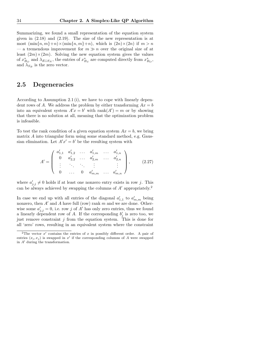Summarizing, we found a small representation of the equation system given in (2.18) and (2.19). The size of the new representation is at most  $(\min\{n, m\}+n) \times (\min\{n, m\}+n)$ , which is  $(2n) \times (2n)$  if  $m > n$ — a tremendous improvement for  $m \gg n$  over the original size of at least  $(2m) \times (2m)$ . Solving the new equation system gives the values of  $x^*_{B_O}$  and  $\lambda_{E \cup S_N}$ , the entries of  $x^*_{B_S}$  are computed directly from  $x^*_{B_O}$ , and  $\lambda_{S_B}$  is the zero vector.

### 2.5 Degeneracies

According to Assumption 2.1 (i), we have to cope with linearly dependent rows of A. We address the problem by either transforming  $Ax = b$ into an equivalent system  $A'x = b'$  with rank $(A') = m$  or by showing that there is no solution at all, meaning that the optimization problem is infeasible.

To test the rank condition of a given equation system  $Ax = b$ , we bring matrix A into triangular form using some standard method, e.g. Gaussian elimination. Let  $A'x' = b'$  be the resulting system with

$$
A' = \begin{pmatrix} a'_{1,1} & a'_{1,2} & \dots & a'_{1,m} & \dots & a'_{1,n} \\ 0 & a'_{2,2} & \dots & a'_{2,m} & \dots & a'_{2,n} \\ \vdots & \vdots & \ddots & \vdots & \vdots & \vdots \\ 0 & \dots & 0 & a'_{m,m} & \dots & a'_{m,n} \end{pmatrix},
$$
 (2.27)

where  $a'_{j,j} \neq 0$  holds if at least one nonzero entry exists in row j. This can be always achieved by swapping the columns of  $A'$  appropriately.<sup>2</sup>

In case we end up with all entries of the diagonal  $a'_{1,1}$  to  $a'_{m,m}$  being nonzero, then  $A'$  and  $A$  have full (row) rank  $m$  and we are done. Otherwise some  $a'_{j,j} = 0$ , i.e. row j of A' has only zero entries, thus we found a linearly dependent row of A. If the corresponding  $b'_j$  is zero too, we just remove constraint  $j$  from the equation system. This is done for all 'zero' rows, resulting in an equivalent system where the constraint

<sup>&</sup>lt;sup>2</sup>The vector  $x'$  contains the entries of  $x$  in possibly different order. A pair of entries  $(x_i, x_j)$  is swapped in x' if the corresponding columns of A were swapped in  $A'$  during the transformation.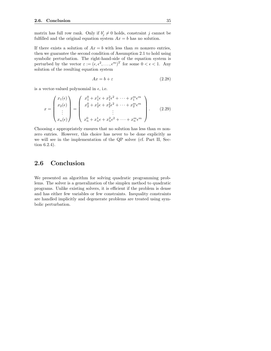matrix has full row rank. Only if  $b'_j \neq 0$  holds, constraint j cannot be fulfilled and the original equation system  $Ax = b$  has no solution.

If there exists a solution of  $Ax = b$  with less than m nonzero entries, then we guarantee the second condition of Assumption 2.1 to hold using symbolic perturbation. The right-hand-side of the equation system is perturbed by the vector  $\varepsilon := (\epsilon, \epsilon^2, \dots, \epsilon^m)^T$  for some  $0 < \epsilon < 1$ . Any solution of the resulting equation system

$$
Ax = b + \varepsilon \tag{2.28}
$$

is a vector-valued polynomial in  $\epsilon$ , i.e.

$$
x = \begin{pmatrix} x_1(\epsilon) \\ x_2(\epsilon) \\ \vdots \\ x_n(\epsilon) \end{pmatrix} = \begin{pmatrix} x_1^0 + x_1^1 \epsilon + x_1^2 \epsilon^2 + \dots + x_1^m \epsilon^m \\ x_2^0 + x_2^1 \epsilon + x_2^2 \epsilon^2 + \dots + x_2^m \epsilon^m \\ \vdots \\ x_n^0 + x_n^1 \epsilon + x_n^2 \epsilon^2 + \dots + x_n^m \epsilon^m \end{pmatrix} .
$$
 (2.29)

Choosing  $\epsilon$  appropriately ensures that no solution has less than m nonzero entries. However, this choice has never to be done explicitly as we will see in the implementation of the QP solver (cf. Part II, Section 6.2.4).

### 2.6 Conclusion

We presented an algorithm for solving quadratic programming problems. The solver is a generalization of the simplex method to quadratic programs. Unlike existing solvers, it is efficient if the problem is dense and has either few variables or few constraints. Inequality constraints are handled implicitly and degenerate problems are treated using symbolic perturbation.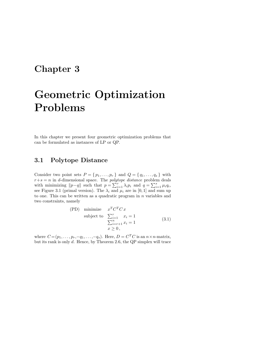## Chapter 3

# Geometric Optimization Problems

In this chapter we present four geometric optimization problems that can be formulated as instances of LP or QP.

## 3.1 Polytope Distance

Consider two point sets  $P = \{p_1, \ldots, p_r\}$  and  $Q = \{q_1, \ldots, q_s\}$  with  $r+s=n$  in d-dimensional space. The *polytope distance* problem deals with minimizing  $||p-q||$  such that  $p = \sum_{i=1}^{r} \lambda_i p_i$  and  $q = \sum_{i=1}^{s} \mu_i q_i$ , see Figure 3.1 (primal version). The  $\lambda_i$  and  $\mu_i$  are in [0, 1] and sum up to one. This can be written as a quadratic program in  $n$  variables and two constraints, namely

(PD) minimize 
$$
x^T C^T C x
$$
  
\nsubject to  $\sum_{i=1}^r x_i = 1$   
\n $\sum_{i=r+1}^n x_i = 1$   
\n $x \ge 0$ , (3.1)

where  $C = (p_1, \ldots, p_r, -q_1, \ldots, -q_s)$ . Here,  $D = C^T C$  is an  $n \times n$ -matrix, but its rank is only d. Hence, by Theorem 2.6, the QP simplex will trace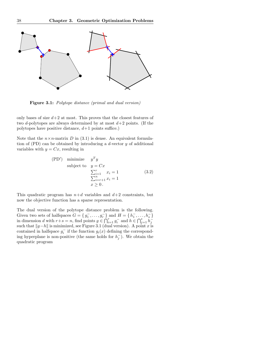

Figure 3.1: Polytope distance (primal and dual version)

only bases of size  $d+2$  at most. This proves that the closest features of two d-polytopes are always determined by at most  $d+2$  points. (If the polytopes have positive distance,  $d+1$  points suffice.)

Note that the  $n \times n$ -matrix D in (3.1) is dense. An equivalent formulation of  $(PD)$  can be obtained by introducing a d-vector y of additional variables with  $y = Cx$ , resulting in

(PD') minimize 
$$
y^T y
$$
  
\nsubject to  $y = Cx$   
\n
$$
\sum_{i=1}^r x_i = 1
$$
\n
$$
\sum_{i=r+1}^n x_i = 1
$$
\n
$$
x \ge 0.
$$
\n(3.2)

This quadratic program has  $n+d$  variables and  $d+2$  constraints, but now the objective function has a sparse representation.

The dual version of the polytope distance problem is the following. Given two sets of halfspaces  $G = \{g_1^-, \ldots, g_r^-\}$  and  $H = \{h_1^-, \ldots, h_s^-\}$ in dimension d with  $r+s=n$ , find points  $g \in \bigcap_{i=1}^r g_i^-$  and  $h \in \bigcap_{j=1}^s h_j^$ such that  $||g-h||$  is minimized, see Figure 3.1 (dual version). A point x is contained in halfspace  $g_i^-$  if the function  $g_i(x)$  defining the corresponding hyperplane is non-positive (the same holds for  $h_j^-$ ). We obtain the quadratic program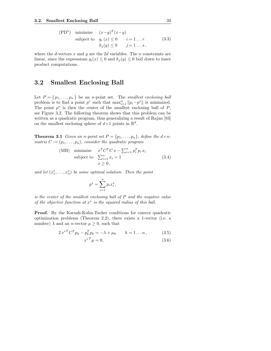(PD") minimize 
$$
(x-y)^T(x-y)
$$
  
subject to  $g_i(x) \le 0$   $i = 1...r$  (3.3)  
 $h_j(y) \le 0$   $j = 1...s$ ,

where the d-vectors  $x$  and  $y$  are the 2d variables. The  $n$  constraints are linear, since the expressions  $g_i(x) \leq 0$  and  $h_i(y) \leq 0$  boil down to inner product computations.

## 3.2 Smallest Enclosing Ball

Let  $P = \{p_1, \ldots, p_n\}$  be an *n*-point set. The *smallest enclosing ball* problem is to find a point  $p^*$  such that  $\max_{i=1}^n ||p_i - p^*||$  is minimized. The point  $p^*$  is then the center of the smallest enclosing ball of  $P$ , see Figure 3.2. The following theorem shows that this problem can be written as a quadratic program, thus generalizing a result of Rajan [83] on the smallest enclosing sphere of  $d+1$  points in  $\mathbb{R}^d$ .

**Theorem 3.1** Given an n-point set  $P = \{p_1, \ldots, p_n\}$ , define the  $d \times n$ matrix  $C := (p_1, \ldots, p_n)$ , consider the quadratic program

(MB) minimize 
$$
x^T C^T C x - \sum_{i=1}^n p_i^T p_i x_i
$$
  
subject to  $\sum_{i=1}^n x_i = 1$  (3.4)  
 $x \ge 0$ ,

and let  $(x_1^*, \ldots, x_n^*)$  be some optimal solution. Then the point

x

$$
p^* = \sum_{i=1}^n p_i x_i^*,
$$

is the center of the smallest enclosing ball of P and the negative value of the objective function at  $x^*$  is the squared radius of this ball.

Proof. By the Karush-Kuhn-Tucker conditions for convex quadratic optimization problems (Theorem 2.2), there exists a 1-vector (i.e. a number)  $\lambda$  and an *n*-vector  $\mu \geq 0$ , such that

$$
2x^{*T}C^{T}p_{k}-p_{k}^{T}p_{k}=-\lambda+\mu_{k} \qquad k=1...n, \qquad (3.5)
$$

$$
^{\ast T}\mu = 0,\t\t(3.6)
$$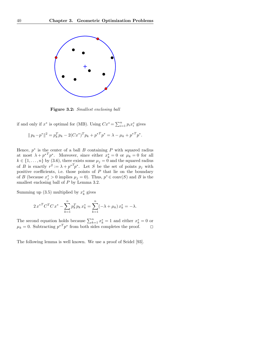

Figure 3.2: Smallest enclosing ball

if and only if  $x^*$  is optimal for (MB). Using  $Cx^* = \sum_{i=1}^n p_i x_i^*$  gives

$$
|| p_k - p^* ||^2 = p_k^T p_k - 2(Cx^*)^T p_k + p^{*T} p^* = \lambda - \mu_k + p^{*T} p^*.
$$

Hence,  $p^*$  is the center of a ball  $B$  containing  $P$  with squared radius at most  $\lambda + p^{*T} p^*$ . Moreover, since either  $x_k^* = 0$  or  $\mu_k = 0$  for all  $k \in \{1, \ldots, n\}$  by (3.6), there exists some  $\mu_j = 0$  and the squared radius of B is exactly  $r^2 := \lambda + p^{*T}p^*$ . Let S be the set of points  $p_j$  with positive coefficients, i.e. those points of  $P$  that lie on the boundary of B (because  $x_j^* > 0$  implies  $\mu_j = 0$ ). Thus,  $p^* \in \text{conv}(S)$  and B is the smallest enclosing ball of  $P$  by Lemma 3.2.

Summing up (3.5) multiplied by  $x_k^*$  gives

$$
2 x^{*T} C^{T} C x^{*} - \sum_{k=1}^{n} p_{k}^{T} p_{k} x_{k}^{*} = \sum_{k=1}^{n} (-\lambda + \mu_{k}) x_{k}^{*} = -\lambda.
$$

The second equation holds because  $\sum_{k=1}^{n} x_k^* = 1$  and either  $x_k^* = 0$  or  $\mu_k = 0$ . Subtracting  $p^{*T} p^*$  from both sides completes the proof.  $\Box$ 

The following lemma is well known. We use a proof of Seidel [93].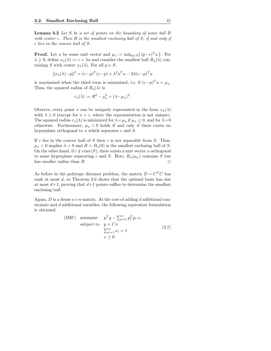**Lemma 3.2** Let  $S$  be a set of points on the boundary of some ball  $B$ with center c. Then  $B$  is the smallest enclosing ball of  $S$ , if and only if c lies in the convex hull of S.

**Proof.** Let u be some unit vector and  $\mu_u := \min_{p \in S} \{ (p-c)^T u \}.$  For  $\lambda \geq 0$ , define  $x_u(\lambda) := c + \lambda u$  and consider the smallest ball  $B_u(\lambda)$  containing S with center  $x_u(\lambda)$ . For all  $p \in S$ ,

$$
||x_u(\lambda) - p||^2 = (c - p)^T (c - p) + \lambda^2 u^T u - 2\lambda (c - p)^T u
$$

is maximized when the third term is minimized, i.e. if  $(c-p)^T u = \mu_u$ . Thus, the squared radius of  $B_u(\lambda)$  is

$$
r_u(\lambda) := R^2 - \mu_u^2 + (\lambda - \mu_u)^2.
$$

Observe, every point x can be uniquely represented in the form  $x_u(\lambda)$ with  $\lambda \geq 0$  (except for  $x = c$ , where the representation is not unique). The squared radius  $r_u(\lambda)$  is minimized for  $\lambda = \mu_u$  if  $\mu_u \geq 0$ , and for  $\lambda = 0$ otherwise. Furthermore,  $\mu_u < 0$  holds if and only if there exists no hyperplane orthogonal to  $u$  which separates  $c$  and  $S$ .

If c lies in the convex hull of  $S$  then  $c$  is not separable from  $S$ . Thus,  $\mu_u < 0$  implies  $\lambda = 0$  and  $B = B_u(0)$  is the smallest enclosing ball of S. On the other hand, if  $c \notin \text{conv}(S)$ , there exists a unit vector u orthogonal to some hyperplane separating c and S. Here,  $B_u(\mu_u)$  contains S but has smaller radius than  $B$ .

As before in the polytope distance problem, the matrix  $D = C<sup>T</sup>C$  has rank at most  $d$ , so Theorem 2.6 shows that the optimal basis has size at most  $d+1$ , proving that  $d+1$  points suffice to determine the smallest enclosing ball.

Again, D is a dense  $n \times n$ -matrix. At the cost of adding d additional constraints and d additional variables, the following equivalent formulation is obtained.

(MB') minimize 
$$
y^T y - \sum_{i=1}^n p_i^T p_i x_i
$$
  
\nsubject to  $y = Cx$   
\n $\sum_{i=1}^n x_i = 1$   
\n $x \ge 0$ . (3.7)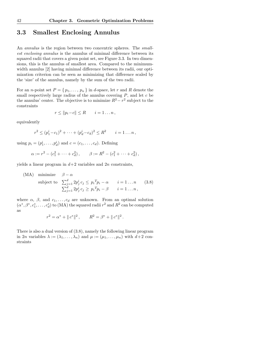## 3.3 Smallest Enclosing Annulus

An annulus is the region between two concentric spheres. The smallest enclosing annulus is the annulus of minimal difference between its squared radii that covers a given point set, see Figure 3.3. In two dimensions, this is the annulus of smallest area. Compared to the minimumwidth annulus [2] having minimal difference between its radii, our optimization criterion can be seen as minimizing that difference scaled by the 'size' of the annulus, namely by the sum of the two radii.

For an *n*-point set  $P = \{p_1, \ldots, p_n\}$  in *d*-space, let r and R denote the small respectively large radius of the annulus covering  $P$ , and let  $c$  be the annulus' center. The objective is to minimize  $R^2 - r^2$  subject to the constraints

$$
r \leq ||p_i - c|| \leq R \qquad i = 1 \ldots n,
$$

equivalently

$$
r^{2} \leq (p_{1}^{i} - c_{1})^{2} + \cdots + (p_{d}^{i} - c_{d})^{2} \leq R^{2} \qquad i = 1 ... n,
$$

using  $p_i = (p_1^i, \ldots, p_d^i)$  and  $c = (c_1, \ldots, c_d)$ . Defining

$$
\alpha := r^2 - (c_1^2 + \dots + c_d^2), \qquad \beta := R^2 - (c_1^2 + \dots + c_d^2),
$$

yields a linear program in  $d+2$  variables and  $2n$  constraints,

(MA) minimize 
$$
\beta - \alpha
$$
  
\nsubject to  $\sum_{j=1}^{d} 2p_j^i c_j \le p_i^T p_i - \alpha$   $i = 1...n$  (3.8)  
\n $\sum_{j=1}^{d} 2p_j^i c_j \ge p_i^T p_i - \beta$   $i = 1...n$ ,

where  $\alpha$ ,  $\beta$ , and  $c_1, \ldots, c_d$  are unknown. From an optimal solution  $(\alpha^*, \beta^*, c_1^*, \dots, c_d^*)$  to (MA) the squared radii  $r^2$  and  $R^2$  can be computed as

$$
r^2 = \alpha^* + ||c^*||^2
$$
,  $R^2 = \beta^* + ||c^*||^2$ .

There is also a dual version of (3.8), namely the following linear program in 2n variables  $\lambda := (\lambda_1, \ldots, \lambda_n)$  and  $\mu := (\mu_1, \ldots, \mu_n)$  with  $d+2$  constraints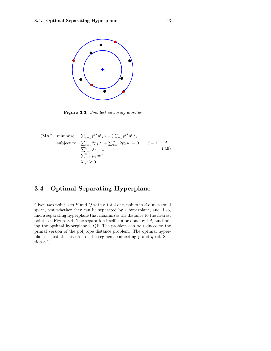

Figure 3.3: Smallest enclosing annulus

(MA') minimize 
$$
\sum_{i=1}^{n} p^{i} p^{i} \mu_{i} - \sum_{i=1}^{n} p^{i} p^{i} \lambda_{i}
$$
  
\nsubject to 
$$
\sum_{i=1}^{n} 2p_{j}^{i} \lambda_{i} + \sum_{i=1}^{n} 2p_{j}^{i} \mu_{i} = 0 \qquad j = 1...d
$$

$$
\sum_{i=1}^{n} \lambda_{i} = 1
$$

$$
\sum_{i=1}^{n} \mu_{i} = 1
$$

$$
\lambda, \mu \geq 0.
$$

$$
(3.9)
$$

## 3.4 Optimal Separating Hyperplane

Given two point sets  $P$  and  $Q$  with a total of  $n$  points in  $d$ -dimensional space, test whether they can be separated by a hyperplane, and if so, find a separating hyperplane that maximizes the distance to the nearest point, see Figure 3.4. The separation itself can be done by LP, but finding the optimal hyperplane is QP. The problem can be reduced to the primal version of the polytope distance problem. The optimal hyperplane is just the bisector of the segment connecting  $p$  and  $q$  (cf. Section 3.1)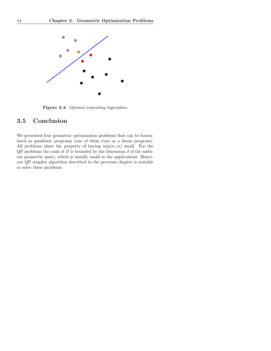

Figure 3.4: Optimal separating hyperplane

## 3.5 Conclusion

We presented four geometric optimization problems that can be formulated as quadratic programs (one of them even as a linear program). All problems share the property of having  $\min(n, m)$  small. For the  $QP$  problems the rank of  $D$  is bounded by the dimension  $d$  of the ambient geometric space, which is usually small in the applications. Hence, our QP simplex algorithm described in the previous chapter is suitable to solve these problems.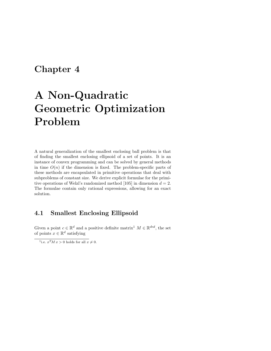## Chapter 4

# A Non-Quadratic Geometric Optimization Problem

A natural generalization of the smallest enclosing ball problem is that of finding the smallest enclosing ellipsoid of a set of points. It is an instance of convex programming and can be solved by general methods in time  $O(n)$  if the dimension is fixed. The problem-specific parts of these methods are encapsulated in primitive operations that deal with subproblems of constant size. We derive explicit formulae for the primitive operations of Welzl's randomized method [105] in dimension  $d = 2$ . The formulae contain only rational expressions, allowing for an exact solution.

## 4.1 Smallest Enclosing Ellipsoid

Given a point  $c \in \mathbb{R}^d$  and a positive definite matrix<sup>1</sup>  $M \in \mathbb{R}^{d \times d}$ , the set of points  $x \in \mathbb{R}^d$  satisfying

<sup>&</sup>lt;sup>1</sup>i.e.  $x^T M x > 0$  holds for all  $x \neq 0$ .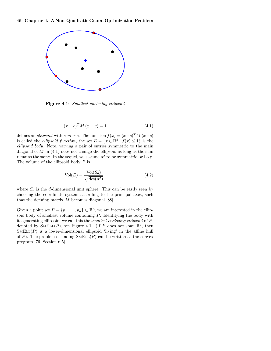

Figure 4.1: Smallest enclosing ellipsoid

$$
(x - c)^{T} M (x - c) = 1
$$
\n(4.1)

defines an *ellipsoid* with *center c*. The function  $f(x) = (x-c)^T M (x-c)$ is called the *ellipsoid function*, the set  $E = \{x \in \mathbb{R}^d \mid f(x) \leq 1\}$  is the ellipsoid body. Note, varying a pair of entries symmetric to the main diagonal of  $M$  in  $(4.1)$  does not change the ellipsoid as long as the sum remains the same. In the sequel, we assume  $M$  to be symmetric, w.l.o.g. The volume of the ellipsoid body  $E$  is

$$
Vol(E) = \frac{Vol(S_d)}{\sqrt{\det(M)}},
$$
\n(4.2)

where  $S_d$  is the d-dimensional unit sphere. This can be easily seen by choosing the coordinate system according to the principal axes, such that the defining matrix  $M$  becomes diagonal [88].

Given a point set  $P = \{p_1, \ldots, p_n\} \subset \mathbb{R}^d$ , we are interested in the ellipsoid body of smallest volume containing  $P$ . Identifying the body with its generating ellipsoid, we call this the smallest enclosing ellipsoid of P, denoted by  $\text{SMELL}(P)$ , see Figure 4.1. (If P does not span  $\mathbb{R}^d$ , then  $SMELL(P)$  is a lower-dimensional ellipsoid 'living' in the affine hull of P). The problem of finding  $\text{SMELL}(P)$  can be written as the convex program [76, Section 6.5]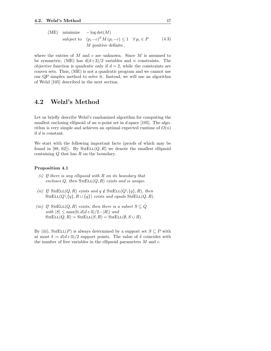(ME) minimize 
$$
-\log \det(M)
$$
  
\nsubject to  $(p_i-c)^T M (p_i-c) \le 1 \quad \forall p_i \in P$  (4.3)  
\nM positive definite,

where the entries of  $M$  and  $c$  are unknown. Since  $M$  is assumed to be symmetric, (ME) has  $d(d+3)/2$  variables and n constraints. The objective function is quadratic only if  $d = 2$ , while the constraints are convex sets. Thus, (ME) is not a quadratic program and we cannot use our QP simplex method to solve it. Instead, we will use an algorithm of Welzl [105] described in the next section.

### 4.2 Welzl's Method

Let us briefly describe Welzl's randomized algorithm for computing the smallest enclosing ellipsoid of an *n*-point set in *d*-space [105]. The algorithm is very simple and achieves an optimal expected runtime of  $O(n)$ if d is constant.

We start with the following important facts (proofs of which may be found in [88, 62]). By  $\text{SMELL}(Q, R)$  we denote the smallest ellipsoid containing Q that has R on the boundary.

#### Proposition 4.1

- (i) If there is any ellipsoid with  $R$  on its boundary that encloses  $Q$ , then  $\text{SMELL}(Q, R)$  exists and is unique.
- (ii) If  $\text{SMELL}(Q, R)$  exists and  $q \notin \text{SMELL}(Q \setminus \{q\}, R)$ , then  $SMELL(Q \setminus \{q\}, R \cup \{q\})$  exists and equals  $SMELL(Q, R)$ .
- (iii) If  $\text{SMELL}(Q, R)$  exists, then there is a subset  $S \subseteq Q$ with  $|S| \leq \max(0, d(d+3)/2 - |R|)$  and  $SMELL(Q, R) = SMELL(S, R) = SMELL(\emptyset, S \cup R).$

By (iii),  $\text{SwELL}(P)$  is always determined by a support set  $S \subseteq P$  with at most  $\delta := d(d+3)/2$  support points. The value of  $\delta$  coincides with the number of free variables in the ellipsoid parameters  $M$  and  $c$ .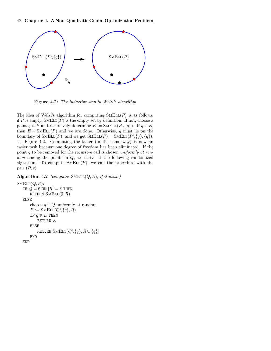#### 48 Chapter 4. A Non-Quadratic Geom. Optimization Problem



Figure 4.2: The inductive step in Welzl's algorithm

The idea of Welzl's algorithm for computing  $\text{SmELL}(P)$  is as follows: if P is empty,  $\text{SMELL}(P)$  is the empty set by definition. If not, choose a point  $q \in P$  and recursively determine  $E := \text{SMELL}(P \setminus \{q\})$ . If  $q \in E$ , then  $E = \text{SMELL}(P)$  and we are done. Otherwise, q must lie on the boundary of  $\text{SMELL}(P)$ , and we get  $\text{SMELL}(P) = \text{SMELL}(P \setminus \{q\}, \{q\}),$ see Figure 4.2. Computing the latter (in the same way) is now an easier task because one degree of freedom has been eliminated. If the point  $q$  to be removed for the recursive call is chosen uniformly at random among the points in Q, we arrive at the following randomized algorithm. To compute  $\text{SMELL}(P)$ , we call the procedure with the pair  $(P, \emptyset)$ .

Algorithm 4.2 (computes  $\text{SMELL}(Q, R)$ , if it exists)

```
SMELL(Q, R):
    IF Q = \emptyset OR |R| = \delta THEN
        RETURN \text{SMELL}(\emptyset, R)ELSE
        choose q \in Q uniformly at random
        E := \text{SMELL}(Q \setminus \{q\}, R)IF q \in E THEN
             RETURN{\cal E}ELSE
             RETURN SMELL(Q \setminus \{q\}, R \cup \{q\})END
   END
```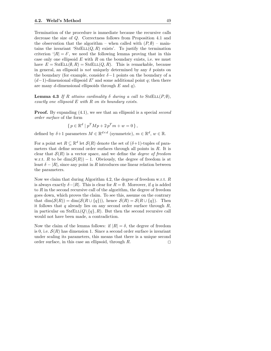Termination of the procedure is immediate because the recursive calls decrease the size of Q. Correctness follows from Proposition 4.1 and the observation that the algorithm – when called with  $(P, \emptyset)$  – maintains the invariant 'SMELL $(Q, R)$  exists'. To justify the termination criterion ' $|R| = \delta$ ', we need the following lemma proving that in this case only one ellipsoid  $E$  with  $R$  on the boundary exists, i.e. we must have  $E = \text{SMELL}(\emptyset, R) = \text{SMELL}(Q, R)$ . This is remarkable, because in general, an ellipsoid is *not* uniquely determined by any  $\delta$  points on the boundary (for example, consider  $\delta - 1$  points on the boundary of a  $(d-1)$ -dimensional ellipsoid E' and some additional point q; then there are many d-dimensional ellipsoids through  $E$  and  $q$ ).

**Lemma 4.3** If R attains cardinality  $\delta$  during a call to  $\text{SMELL}(P, \emptyset)$ , exactly one ellipsoid  $E$  with  $R$  on its boundary exists.

**Proof.** By expanding (4.1), we see that an ellipsoid is a special second order surface of the form

$$
\{ p \in \mathbb{R}^d \mid p^T M p + 2 p^T m + w = 0 \},\
$$

defined by  $\delta+1$  parameters  $M \in \mathbb{R}^{d \times d}$  (symmetric),  $m \in \mathbb{R}^d$ ,  $w \in \mathbb{R}$ .

For a point set  $R \subseteq \mathbb{R}^d$  let  $\mathcal{S}(R)$  denote the set of  $(\delta+1)$ -tuples of parameters that define second order surfaces through all points in R. It is clear that  $\mathcal{S}(R)$  is a vector space, and we define the *degree of freedom* w.r.t. R to be  $\dim(\mathcal{S}(R)) - 1$ . Obviously, the degree of freedom is at least  $\delta - |R|$ , since any point in R introduces one linear relation between the parameters.

Now we claim that during Algorithm 4.2, the degree of freedom w.r.t. R is always exactly  $\delta-|R|$ . This is clear for  $R = \emptyset$ . Moreover, if q is added to  $R$  in the second recursive call of the algorithm, the degree of freedom goes down, which proves the claim. To see this, assume on the contrary that dim( $\mathcal{S}(R)$ ) = dim( $\mathcal{S}(R \cup \{q\})$ ), hence  $\mathcal{S}(R) = \mathcal{S}(R \cup \{q\})$ . Then it follows that q already lies on any second order surface through  $R$ , in particular on  $\text{SMELL}(Q \setminus \{q\}, R)$ . But then the second recursive call would not have been made, a contradiction.

Now the claim of the lemma follows: if  $|R| = \delta$ , the degree of freedom is 0, i.e.  $\mathcal{S}(R)$  has dimension 1. Since a second order surface is invariant under scaling its parameters, this means that there is a unique second order surface, in this case an ellipsoid, through  $R$ .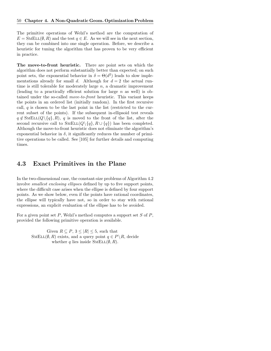The primitive operations of Welzl's method are the computation of  $E = \text{SMELL}(\emptyset, R)$  and the test  $q \in E$ . As we will see in the next section, they can be combined into one single operation. Before, we describe a heuristic for tuning the algorithm that has proven to be very efficient in practice.

The move-to-front heuristic. There are point sets on which the algorithm does not perform substantially better than expected; on such point sets, the exponential behavior in  $\delta = \Theta(d^2)$  leads to slow implementations already for small d. Although for  $d = 2$  the actual runtime is still tolerable for moderately large  $n$ , a dramatic improvement (leading to a practically efficient solution for large  $n$  as well) is obtained under the so-called move-to-front heuristic. This variant keeps the points in an ordered list (initially random). In the first recursive call,  $q$  is chosen to be the last point in the list (restricted to the current subset of the points). If the subsequent in-ellipsoid test reveals  $q \notin \text{SMELL}(Q \setminus \{q\}, R)$ , q is moved to the front of the list, after the second recursive call to  $\text{SMELL}(Q \setminus \{q\}, R \cup \{q\})$  has been completed. Although the move-to-front heuristic does not eliminate the algorithm's exponential behavior in  $\delta$ , it significantly reduces the number of primitive operations to be called. See [105] for further details and computing times.

## 4.3 Exact Primitives in the Plane

In the two-dimensional case, the constant-size problems of Algorithm 4.2 involve smallest enclosing ellipses defined by up to five support points, where the difficult case arises when the ellipse is defined by four support points. As we show below, even if the points have rational coordinates, the ellipse will typically have not, so in order to stay with rational expressions, an explicit evaluation of the ellipse has to be avoided.

For a given point set P, Welzl's method computes a support set  $S$  of  $P$ , provided the following primitive operation is available.

> Given  $R \subseteq P$ ,  $3 \leq |R| \leq 5$ , such that SMELL( $\emptyset, R$ ) exists, and a query point  $q \in P \backslash R$ , decide whether q lies inside  $\text{SMELL}(\emptyset, R)$ .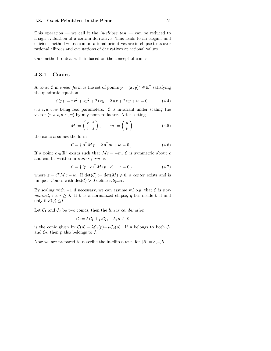This operation — we call it the *in-ellipse test* — can be reduced to a sign evaluation of a certain derivative. This leads to an elegant and efficient method whose computational primitives are in-ellipse tests over rational ellipses and evaluations of derivatives at rational values.

Our method to deal with is based on the concept of conics.

#### 4.3.1 Conics

A conic C in linear form is the set of points  $p = (x, y)^T \in \mathbb{R}^2$  satisfying the quadratic equation

$$
\mathcal{C}(p) := rx^2 + sy^2 + 2\,txy + 2\,ux + 2\,vy + w = 0\,,\tag{4.4}
$$

 $r, s, t, u, v, w$  being real parameters. C is invariant under scaling the vector  $(r, s, t, u, v, w)$  by any nonzero factor. After setting

$$
M := \begin{pmatrix} r & t \\ t & s \end{pmatrix}, \qquad m := \begin{pmatrix} u \\ v \end{pmatrix}, \tag{4.5}
$$

the conic assumes the form

$$
\mathcal{C} = \{ p^T M p + 2 p^T m + w = 0 \}.
$$
 (4.6)

If a point  $c \in \mathbb{R}^2$  exists such that  $Mc = -m$ , C is symmetric about c and can be written in center form as

$$
\mathcal{C} = \{ (p-c)^T M (p-c) - z = 0 \},\tag{4.7}
$$

where  $z = c^T M c - w$ . If  $\det(\mathcal{C}) := \det(M) \neq 0$ , a center exists and is unique. Conics with  $\det(\mathcal{C}) > 0$  define *ellipses*.

By scaling with  $-1$  if necessary, we can assume w.l.o.g. that C is normalized, i.e.  $r \geq 0$ . If  $\mathcal E$  is a normalized ellipse, q lies inside  $\mathcal E$  if and only if  $\mathcal{E}(q) \leq 0$ .

Let  $C_1$  and  $C_2$  be two conics, then the *linear combination* 

$$
\mathcal{C} := \lambda \mathcal{C}_1 + \mu \mathcal{C}_2, \quad \lambda, \mu \in \mathbb{R}
$$

is the conic given by  $\mathcal{C}(p) = \lambda \mathcal{C}_1(p) + \mu \mathcal{C}_2(p)$ . If p belongs to both  $\mathcal{C}_1$ and  $C_2$ , then p also belongs to C.

Now we are prepared to describe the in-ellipse test, for  $|R| = 3, 4, 5$ .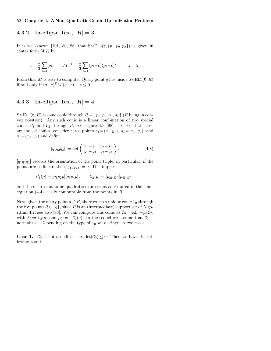#### 4.3.2 In-ellipse Test,  $|R| = 3$

It is well-known [101, 80, 88] that  $\text{SMELL}(\emptyset, \{p_1, p_2, p_3\})$  is given in center form (4.7) by

$$
c = \frac{1}{3} \sum_{i=1}^{3} p_i
$$
,  $M^{-1} = \frac{1}{3} \sum_{i=1}^{3} (p_i - c)(p_i - c)^T$ ,  $z = 2$ .

From this, M is easy to compute. Query point q lies inside  $\text{SMELL}(\emptyset, R)$ if and only if  $(q-c)^{T}M(q-c) - z \leq 0$ .

#### 4.3.3 In-ellipse Test,  $|R|=4$

SMELL $(\emptyset, R)$  is some conic through  $R = \{p_1, p_2, p_3, p_4\}$  (R being in convex position). Any such conic is a linear combination of two special conics  $C_1$  and  $C_2$  through R, see Figure 4.3 [98]. To see that these are indeed conics, consider three points  $q_1 = (x_1, y_1), q_2 = (x_2, y_2),$  and  $q_3 = (x_3, y_3)$  and define

$$
[q_1 q_2 q_3] := \det \begin{pmatrix} x_1 - x_3 & x_2 - x_3 \\ y_1 - y_3 & y_2 - y_3 \end{pmatrix}.
$$
 (4.8)

 $[q_1q_2q_3]$  records the orientation of the point triple; in particular, if the points are collinear, then  $[q_1q_2q_3] = 0$ . This implies

$$
C_1(p) = [p_1p_2p][p_3p_4p], \qquad C_2(p) = [p_2p_3p][p_4p_1p],
$$

and these turn out to be quadratic expressions as required in the conic equation  $(4.4)$ , easily computable from the points in R.

Now, given the query point  $q \notin R$ , there exists a unique conic  $C_0$  through the five points  $R \cup \{q\}$ , since R is an (intermediate) support set of Algorithm 4.2, see also [98]. We can compute this conic as  $C_0 = \lambda_0 C_1 + \mu_0 C_2$ , with  $\lambda_0 := C_2(q)$  and  $\mu_0 := -C_1(q)$ . In the sequel we assume that  $C_0$  is normalized. Depending on the type of  $C_0$  we distinguish two cases.

**Case 1.**  $C_0$  is not an ellipse, i.e.  $det(C_0) \leq 0$ . Then we have the following result.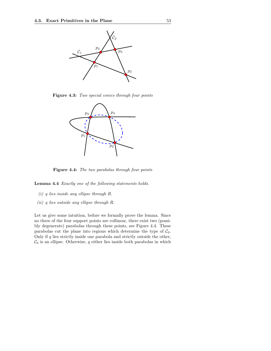

Figure 4.3: Two special conics through four points



Figure 4.4: The two parabolas through four points

Lemma 4.4 Exactly one of the following statements holds.

- (i) q lies inside any ellipse through R.
- (ii) q lies outside any ellipse through R.

Let us give some intuition, before we formally prove the lemma. Since no three of the four support points are collinear, there exist two (possibly degenerate) parabolas through these points, see Figure 4.4. These parabolas cut the plane into regions which determine the type of  $C_0$ . Only if  $q$  lies strictly inside one parabola and strictly outside the other,  $C_0$  is an ellipse. Otherwise, q either lies inside both parabolas in which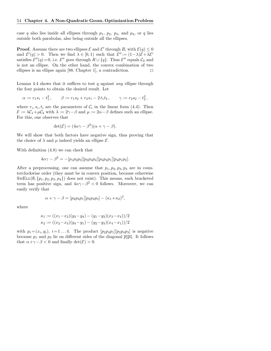#### 54 Chapter 4. A Non-Quadratic Geom. Optimization Problem

case q also lies inside all ellipses through  $p_1$ ,  $p_2$ ,  $p_3$ , and  $p_4$ , or q lies outside both parabolas, also being outside all the ellipses.

**Proof.** Assume there are two ellipses  $\mathcal{E}$  and  $\mathcal{E}'$  through R, with  $\mathcal{E}(q) \leq 0$ and  $\mathcal{E}'(q) > 0$ . Then we find  $\lambda \in [0,1)$  such that  $\mathcal{E}'' := (1-\lambda)\mathcal{E} + \lambda \mathcal{E}'$ satisfies  $\mathcal{E}''(q)=0$ , i.e.  $\mathcal{E}''$  goes through  $R \cup \{q\}$ . Thus  $\mathcal{E}''$  equals  $\mathcal{C}_0$  and is not an ellipse. On the other hand, the convex combination of two ellipses is an ellipse again [88, Chapter 1], a contradiction.  $\Box$ 

Lemma 4.4 shows that it suffices to test  $q$  against any ellipse through the four points to obtain the desired result. Let

$$
\alpha := r_1 s_1 - t_1^2, \qquad \beta := r_1 s_2 + r_2 s_1 - 2 t_1 t_2, \qquad \gamma := r_2 s_2 - t_2^2,
$$

where  $r_i, s_i, t_i$  are the parameters of  $\mathcal{C}_i$  in the linear form (4.4). Then  $\mathcal{E} := \lambda \mathcal{C}_1 + \mu \mathcal{C}_2$  with  $\lambda := 2\gamma - \beta$  and  $\mu := 2\alpha - \beta$  defines such an ellipse. For this, one observes that

$$
\det(\mathcal{E}) = (4\alpha\gamma - \beta^2)(\alpha + \gamma - \beta).
$$

We will show that both factors have negative sign, thus proving that the choice of  $\lambda$  and  $\mu$  indeed yields an ellipse  $\mathcal{E}$ .

With definition (4.8) we can check that

$$
4\alpha\gamma - \beta^2 = -[p_1p_2p_3][p_2p_3p_4][p_3p_4p_1][p_4p_1p_2].
$$

After a preprocessing, one can assume that  $p_1, p_2, p_3, p_4$  are in counterclockwise order (they must be in convex position, because otherwise SMELL $(\emptyset, \{p_1, p_2, p_3, p_4\})$  does not exist). This means, each bracketed term has positive sign, and  $4\alpha\gamma - \beta^2 < 0$  follows. Moreover, we can easily verify that

$$
\alpha + \gamma - \beta = [p_2 p_4 p_1][p_2 p_4 p_3] - (\kappa_1 + \kappa_2)^2,
$$

where

$$
\kappa_1 := ((x_1 - x_2)(y_3 - y_4) - (y_1 - y_2)(x_3 - x_4))/2
$$
  

$$
\kappa_2 := ((x_2 - x_3)(y_4 - y_1) - (y_2 - y_3)(x_4 - x_1))/2
$$

with  $p_i = (x_i, y_i), i = 1 \dots 4$ . The product  $[p_2p_4p_1][p_2p_4p_3]$  is negative because  $p_1$  and  $p_3$  lie on different sides of the diagonal  $\overline{p_2p_4}$ . It follows that  $\alpha + \gamma - \beta < 0$  and finally  $\det(\mathcal{E}) > 0$ .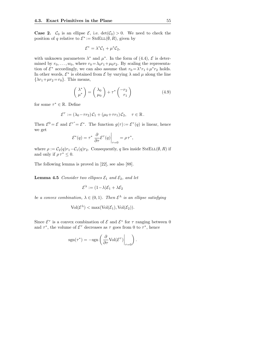**Case 2.**  $C_0$  is an ellipse  $\mathcal{E}$ , i.e.  $\det(C_0) > 0$ . We need to check the position of q relative to  $\mathcal{E}^* := \text{SMELL}(\emptyset, R)$ , given by

$$
\mathcal{E}^* = \lambda^* \mathcal{C}_1 + \mu^* \mathcal{C}_2,
$$

with unknown parameters  $\lambda^*$  and  $\mu^*$ . In the form of (4.4),  $\mathcal E$  is determined by  $r_0, \ldots, w_0$ , where  $r_0 = \lambda_0 r_1 + \mu_0 r_2$ . By scaling the representation of  $\mathcal{E}^*$  accordingly, we can also assume that  $r_0 = \lambda^* r_1 + \mu^* r_2$  holds. In other words,  $\mathcal{E}^*$  is obtained from  $\mathcal E$  by varying  $\lambda$  and  $\mu$  along the line  $\{\lambda r_1 + \mu r_2 = r_0\}$ . This means,

$$
\begin{pmatrix} \lambda^* \\ \mu^* \end{pmatrix} = \begin{pmatrix} \lambda_0 \\ \mu_0 \end{pmatrix} + \tau^* \begin{pmatrix} -r_2 \\ r_1 \end{pmatrix}
$$
 (4.9)

for some  $\tau^* \in \mathbb{R}$ . Define

$$
\mathcal{E}^{\tau} := (\lambda_0 - \tau r_2) \mathcal{C}_1 + (\mu_0 + \tau r_1) \mathcal{C}_2, \quad \tau \in \mathbb{R}.
$$

Then  $\mathcal{E}^0 = \mathcal{E}$  and  $\mathcal{E}^{\tau^*} = \mathcal{E}^*$ . The function  $g(\tau) := \mathcal{E}^{\tau}(q)$  is linear, hence we get

$$
\mathcal{E}^*(q) = \tau^* \left. \frac{\partial}{\partial \tau} \mathcal{E}^{\tau}(q) \right|_{\tau=0} = \rho \tau^*,
$$

where  $\rho := C_2(q)r_1-C_1(q)r_2$ . Consequently, q lies inside SMELL( $\emptyset, R$ ) if and only if  $\rho \tau^* \leq 0$ .

The following lemma is proved in [22], see also [88].

**Lemma 4.5** Consider two ellipses  $\mathcal{E}_1$  and  $\mathcal{E}_2$ , and let

$$
\mathcal{E}^{\lambda} := (1 - \lambda)\mathcal{E}_1 + \lambda\mathcal{E}_2
$$

be a convex combination,  $\lambda \in (0,1)$ . Then  $\mathcal{E}^{\lambda}$  is an ellipse satisfying

$$
\mathrm{Vol}(\mathcal{E}^{\lambda}) < \max(\mathrm{Vol}(\mathcal{E}_1), \mathrm{Vol}(\mathcal{E}_2)).
$$

Since  $\mathcal{E}^{\tau}$  is a convex combination of  $\mathcal{E}$  and  $\mathcal{E}^*$  for  $\tau$  ranging between 0 and  $\tau^*$ , the volume of  $\mathcal{E}^{\tau}$  decreases as  $\tau$  goes from 0 to  $\tau^*$ , hence

$$
sgn(\tau^*) = -sgn\left(\left.\frac{\partial}{\partial \tau} \text{Vol}(\mathcal{E}^{\tau})\right|_{\tau=0}\right).
$$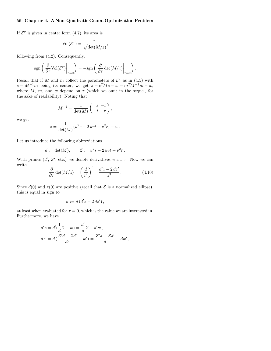#### 56 Chapter 4. A Non-Quadratic Geom. Optimization Problem

If  $\mathcal{E}^{\tau}$  is given in center form (4.7), its area is

$$
Vol(\mathcal{E}^{\tau}) = \frac{\pi}{\sqrt{\det(M/z)}},
$$

following from (4.2). Consequently,

$$
\operatorname{sgn}\left(\left.\frac{\partial}{\partial \tau}\nabla \mathrm{o}\mathrm{l}(\mathcal{E}^{\tau})\right|_{\tau=0}\right)=-\operatorname{sgn}\left(\left.\frac{\partial}{\partial \tau}\det(M/z)\right|_{\tau=0}\right).
$$

Recall that if M and m collect the parameters of  $\mathcal{E}^{\tau}$  as in (4.5) with  $c = M^{-1}m$  being its center, we get  $z = c^T M c - w = m^T M^{-1} m - w$ , where M, m, and w depend on  $\tau$  (which we omit in the sequel, for the sake of readability). Noting that

$$
M^{-1} = \frac{1}{\det(M)} \begin{pmatrix} s & -t \\ -t & r \end{pmatrix},
$$

we get

$$
z = \frac{1}{\det(M)}(u^2s - 2uvt + v^2r) - w.
$$

Let us introduce the following abbreviations.

$$
d := \det(M),
$$
  $Z := u^2s - 2uvt + v^2r.$ 

With primes  $(d', Z', etc.)$  we denote derivatives w.r.t.  $\tau$ . Now we can write

$$
\frac{\partial}{\partial \tau} \det(M/z) = \left(\frac{d}{z^2}\right)' = \frac{d'z - 2 \, dz'}{z^3} \,. \tag{4.10}
$$

Since  $d(0)$  and  $z(0)$  are positive (recall that  $\mathcal E$  is a normalized ellipse), this is equal in sign to

$$
\sigma := d(d'z - 2 dz'),
$$

at least when evaluated for  $\tau = 0$ , which is the value we are interested in. Furthermore, we have

$$
d'z = d'(\frac{1}{d}Z - w) = \frac{d'}{d}Z - d'w,
$$
  
\n
$$
dz' = d(\frac{Z'd - Zd'}{d^2} - w') = \frac{Z'd - Zd'}{d} - dw',
$$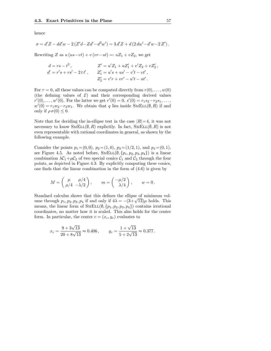hence

$$
\sigma = d'Z - dd'w - 2(Z'd - Zd' - d^2w') = 3 d'Z + d(2 dw' - d'w - 2 Z').
$$

Rewriting Z as  $u (us-vt) + v (vr-ut) =: uZ_1 + vZ_2$ , we get

$$
d = rs - t2, \t Z' = u'Z1 + uZ'1 + v'Z2 + vZ'2,d' = r's + rs' - 2 t t', \t Z'1 = u's + us' - v't - vt',Z'2 = v'r + vr' - u't - ut'.
$$

For  $\tau = 0$ , all these values can be computed directly from  $r(0), \ldots, w(0)$ (the defining values of  $\mathcal{E}$ ) and their corresponding derived values  $r'(0), \ldots, w'(0)$ . For the latter we get  $r'(0) = 0$ ,  $s'(0) = r_1s_2 - r_2s_1, \ldots$ ,  $w'(0) = r_1w_2 - r_2w_1$ . We obtain that q lies inside SMELL( $\emptyset, R$ ) if and only if  $\rho \sigma(0) \leq 0$ .

Note that for deciding the in-ellipse test in the case  $|R|=4$ , it was not necessary to know  $\text{SMELL}(\emptyset, R)$  explicitly. In fact,  $\text{SMELL}(\emptyset, R)$  is not even representable with rational coordinates in general, as shown by the following example.

Consider the points  $p_1 = (0, 0), p_2 = (1, 0), p_3 = (1/2, 1),$  and  $p_4 = (0, 1),$ see Figure 4.5. As noted before,  $\text{SMELL}(\emptyset, \{p_1, p_2, p_3, p_4\})$  is a linear combination  $\lambda \mathcal{C}_1 + \mu \mathcal{C}_2$  of two special conics  $\mathcal{C}_1$  and  $\mathcal{C}_2$  through the four points, as depicted in Figure 4.3. By explicitly computing these conics, one finds that the linear combination in the form of (4.6) is given by

$$
M = \begin{pmatrix} \mu & \mu/4 \\ \mu/4 & -\lambda/2 \end{pmatrix}, \qquad m = \begin{pmatrix} -\mu/2 \\ \lambda/4 \end{pmatrix}, \qquad w = 0.
$$

Standard calculus shows that this defines the ellipse of minimum vol-Standard calculus shows that this defines the ellipse of minimum volume through  $p_1, p_2, p_3, p_4$  if and only if  $4\lambda = -(3+\sqrt{13})\mu$  holds. This means, the linear form of  $\text{SMELL}(\emptyset, \{p_1, p_2, p_3, p_4\})$  contains irrational coordinates, no matter how it is scaled. This also holds for the center form. In particular, the center  $c = (x_c, y_c)$  evaluates to

$$
x_c = \frac{9 + 3\sqrt{13}}{20 + 8\sqrt{13}} \approx 0.406
$$
,  $y_c = \frac{1 + \sqrt{13}}{5 + 2\sqrt{13}} \approx 0.377$ .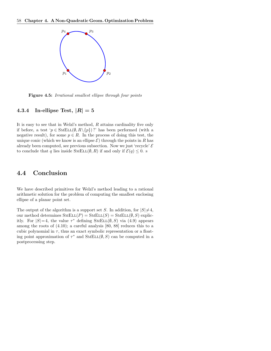

Figure 4.5: Irrational smallest ellipse through four points

#### 4.3.4 In-ellipse Test,  $|R| = 5$

It is easy to see that in Welzl's method, R attains cardinality five only if before, a test ' $p \in \text{SMELL}(\emptyset, R \setminus \{p\})$ ?' has been performed (with a negative result), for some  $p \in R$ . In the process of doing this test, the unique conic (which we know is an ellipse  $\mathcal{E}$ ) through the points in R has already been computed, see previous subsection. Now we just 'recycle'  $\mathcal E$ to conclude that q lies inside  $\text{SMELL}(\emptyset, R)$  if and only if  $\mathcal{E}(q) \leq 0$ . s

### 4.4 Conclusion

We have described primitives for Welzl's method leading to a rational arithmetic solution for the problem of computing the smallest enclosing ellipse of a planar point set.

The output of the algorithm is a support set S. In addition, for  $|S| \neq 4$ , our method determines  $\text{SMELL}(P) = \text{SMELL}(S) = \text{SMELL}(\emptyset, S)$  explicitly. For  $|S|=4$ , the value  $\tau^*$  defining  $\text{SwELL}(\emptyset, S)$  via  $(4.9)$  appears among the roots of (4.10); a careful analysis [80, 88] reduces this to a cubic polynomial in  $\tau$ , thus an exact symbolic representation or a floating point approximation of  $\tau^*$  and  $\text{SwELL}(\emptyset, S)$  can be computed in a postprocessing step.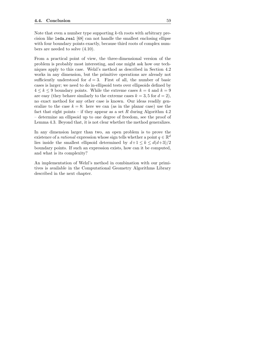Note that even a number type supporting  $k$ -th roots with arbitrary precision like leda real [68] can not handle the smallest enclosing ellipse with four boundary points exactly, because third roots of complex numbers are needed to solve (4.10).

From a practical point of view, the three-dimensional version of the problem is probably most interesting, and one might ask how our techniques apply to this case. Welzl's method as described in Section 4.2 works in any dimension, but the primitive operations are already not sufficiently understood for  $d = 3$ . First of all, the number of basic cases is larger; we need to do in-ellipsoid tests over ellipsoids defined by  $4 \leq k \leq 9$  boundary points. While the extreme cases  $k = 4$  and  $k = 9$ are easy (they behave similarly to the extreme cases  $k = 3, 5$  for  $d = 2$ ), no exact method for any other case is known. Our ideas readily generalize to the case  $k = 8$ : here we can (as in the planar case) use the fact that eight points – if they appear as a set  $R$  during Algorithm 4.2 – determine an ellipsoid up to one degree of freedom, see the proof of Lemma 4.3. Beyond that, it is not clear whether the method generalizes.

In any dimension larger than two, an open problem is to prove the existence of a *rational* expression whose sign tells whether a point  $q \in \mathbb{R}^d$ lies inside the smallest ellipsoid determined by  $d+1 \leq k \leq d(d+3)/2$ boundary points. If such an expression exists, how can it be computed, and what is its complexity?

An implementation of Welzl's method in combination with our primitives is available in the Computational Geometry Algorithms Library described in the next chapter.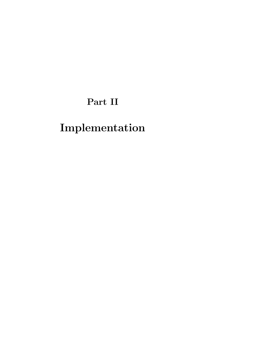Part II

# Implementation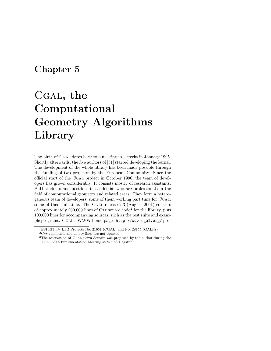## Chapter 5

# Cgal, the Computational Geometry Algorithms Library

The birth of Cgal dates back to a meeting in Utrecht in January 1995. Shortly afterwards, the five authors of [31] started developing the kernel. The development of the whole library has been made possible through the funding of two projects<sup>1</sup> by the European Community. Since the official start of the Cgal project in October 1996, the team of developers has grown considerably. It consists mostly of research assistants, PhD students and postdocs in academia, who are professionals in the field of computational geometry and related areas. They form a heterogeneous team of developers; some of them working part time for Cgal, some of them full time. The CGAL release 2.3 (August 2001) consists of approximately 200,000 lines of  $C++$  source code<sup>2</sup> for the library, plus 100,000 lines for accompanying sources, such as the test suite and example programs. CGAL's WWW home-page<sup>3</sup> http://www.cgal.org/pro-

<sup>1</sup>ESPRIT IV LTR Projects No. 21957 (CGAL) and No. 28155 (GALIA)

<sup>2</sup>C++ comments and empty lines are not counted.

<sup>&</sup>lt;sup>3</sup>The reservation of CGAL's own domain was proposed by the author during the 1999 Cgal Implementation Meeting at Schloß Dagstuhl.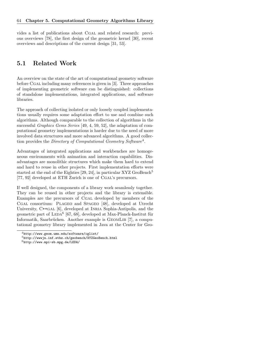vides a list of publications about Cgal and related research: previous overviews [78], the first design of the geometric kernel [30], recent overviews and descriptions of the current design [31, 53].

## 5.1 Related Work

An overview on the state of the art of computational geometry software before Cgal including many references is given in [3]. Three approaches of implementing geometric software can be distinguished: collections of standalone implementations, integrated applications, and software libraries.

The approach of collecting isolated or only loosely coupled implementations usually requires some adaptation effort to use and combine such algorithms. Although comparable to the collection of algorithms in the successful Graphics Gems Series [49, 4, 59, 52], the adaptation of computational geometry implementations is harder due to the need of more involved data structures and more advanced algorithms. A good collection provides the Directory of Computational Geometry Software<sup>4</sup>.

Advantages of integrated applications and workbenches are homogeneous environments with animation and interaction capabilities. Disadvantages are monolithic structures which make them hard to extend and hard to reuse in other projects. First implementation efforts were started at the end of the Eighties [29, 24], in particular XYZ GeoBench<sup>5</sup> [77, 92] developed at ETH Zurich is one of Cgal's precursors.

If well designed, the components of a library work seamlessly together. They can be reused in other projects and the library is extensible. Examples are the precursors of Cgal developed by members of the Cgal consortium: Plageo and Spageo [48], developed at Utrecht University, C++GAL [6], developed at INRIA Sophia-Antipolis, and the geometric part of LEDA<sup>6</sup> [67, 68], developed at Max-Planck-Institut für Informatik, Saarbrücken. Another example is GEOMLIB [7], a computational geometry library implemented in Java at the Center for Geo-

 $^4$ http://www.geom.umn.edu/software/cglist/

<sup>5</sup>http://wwwjn.inf.ethz.ch/geobench/XYZGeoBench.html

 $6$ http://www.mpi-sb.mpg.de/LEDA/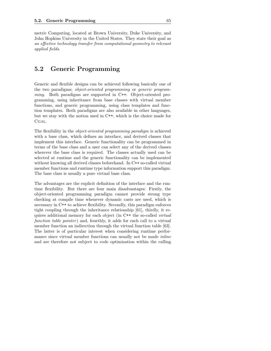metric Computing, located at Brown University, Duke University, and John Hopkins University in the United States. They state their goal as an effective technology transfer from computational geometry to relevant applied fields.

## 5.2 Generic Programming

Generic and flexible designs can be achieved following basically one of the two paradigms; object-oriented programming or generic programming. Both paradigms are supported in C++: Object-oriented programming, using inheritance from base classes with virtual member functions, and generic programming, using class templates and function templates. Both paradigms are also available in other languages, but we stay with the notion used in C++, which is the choice made for CGAL.

The flexibility in the object-oriented programming paradigm is achieved with a base class, which defines an interface, and derived classes that implement this interface. Generic functionality can be programmed in terms of the base class and a user can select any of the derived classes wherever the base class is required. The classes actually used can be selected at runtime and the generic functionality can be implemented without knowing all derived classes beforehand. In C++ so-called virtual member functions and runtime type information support this paradigm. The base class is usually a pure virtual base class.

The advantages are the explicit definition of the interface and the runtime flexibility. But there are four main disadvantages: Firstly, the object-oriented programming paradigm cannot provide strong type checking at compile time whenever dynamic casts are used, which is necessary in C++ to achieve flexibility. Secondly, this paradigm enforces tight coupling through the inheritance relationship [61], thirdly, it requires additional memory for each object (in C++ the so-called virtual function table pointer) and, fourthly, it adds for each call to a virtual member function an indirection through the virtual function table [63]. The latter is of particular interest when considering runtime performance since virtual member functions can usually not be made inline and are therefore not subject to code optimization within the calling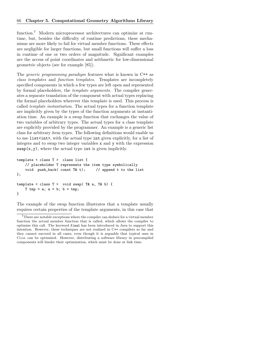function.<sup>7</sup> Modern microprocessor architectures can optimize at runtime, but, besides the difficulty of runtime predictions, these mechanisms are more likely to fail for virtual member functions. These effects are negligible for larger functions, but small functions will suffer a loss in runtime of one or two orders of magnitude. Significant examples are the access of point coordinates and arithmetic for low-dimensional geometric objects (see for example [85]).

The *generic programming paradigm* features what is known in C<sup>++</sup> as class templates and function templates. Templates are incompletely specified components in which a few types are left open and represented by formal placeholders, the template arguments. The compiler generates a separate translation of the component with actual types replacing the formal placeholders wherever this template is used. This process is called template instantiation. The actual types for a function template are implicitly given by the types of the function arguments at instantiation time. An example is a swap function that exchanges the value of two variables of arbitrary types. The actual types for a class template are explicitly provided by the programmer. An example is a generic list class for arbitrary item types. The following definitions would enable us to use list int is, with the actual type int given explicitly, for a list of integers and to swap two integer variables x and y with the expression  $swap(x,y)$ , where the actual type int is given implicitly.

```
template < class T > class list {
    // placeholder T represents the item type symbolically
    void push_back( const T& t); // append t to the list
};
template < class T > void swap( T& a, T& b) {
    T tmp = a; a = b; b = \text{tmp};
}
```
The example of the swap function illustrates that a template usually requires certain properties of the template arguments, in this case that

<sup>7</sup>There are notable exceptions where the compiler can deduce for a virtual member function the actual member function that is called, which allows the compiler to optimize this call. The keyword final has been introduced in Java to support this intention. However, these techniques are not realized in C++ compilers so far and they cannot succeed in all cases, even though it is arguable that typical uses in Cgal can be optimized. However, distributing a software library in precompiled components will hinder their optimization, which must be done at link time.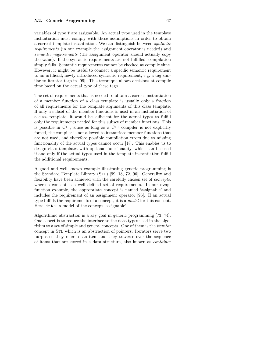variables of type T are assignable. An actual type used in the template instantiation must comply with these assumptions in order to obtain a correct template instantiation. We can distinguish between syntactic requirements (in our example the assignment operator is needed) and semantic requirements (the assignment operator should actually copy the value). If the syntactic requirements are not fulfilled, compilation simply fails. Semantic requirements cannot be checked at compile time. However, it might be useful to connect a specific semantic requirement to an artificial, newly introduced syntactic requirement, e.g. a tag similar to iterator tags in [99]. This technique allows decisions at compile time based on the actual type of these tags.

The set of requirements that is needed to obtain a correct instantiation of a member function of a class template is usually only a fraction of all requirements for the template arguments of this class template. If only a subset of the member functions is used in an instantiation of a class template, it would be sufficient for the actual types to fulfill only the requirements needed for this subset of member functions. This is possible in  $C^{++}$ , since as long as a  $C^{++}$  compiler is not explicitly forced, the compiler is not allowed to instantiate member functions that are not used, and therefore possible compilation errors due to missing functionality of the actual types cannot occur [18]. This enables us to design class templates with optional functionality, which can be used if and only if the actual types used in the template instantiation fulfill the additional requirements.

A good and well known example illustrating generic programming is the Standard Template Library (STL) [99, 18, 72, 96]. Generality and flexibility have been achieved with the carefully chosen set of *concepts*, where a concept is a well defined set of requirements. In our swapfunction example, the appropriate concept is named 'assignable' and includes the requirement of an assignment operator [96]. If an actual type fulfills the requirements of a concept, it is a model for this concept. Here, int is a model of the concept 'assignable'.

Algorithmic abstraction is a key goal in generic programming [73, 74]. One aspect is to reduce the interface to the data types used in the algorithm to a set of simple and general concepts. One of them is the iterator concept in STL which is an abstraction of pointers. Iterators serve two purposes: they refer to an item and they traverse over the sequence of items that are stored in a data structure, also known as container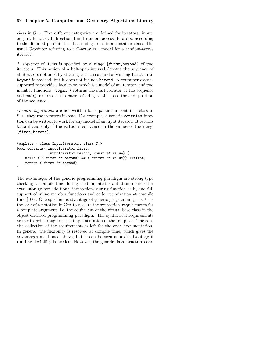class in Stl. Five different categories are defined for iterators: input, output, forward, bidirectional and random-access iterators, according to the different possibilities of accessing items in a container class. The usual C-pointer referring to a C-array is a model for a random-access iterator.

A sequence of items is specified by a range [first,beyond) of two iterators. This notion of a half-open interval denotes the sequence of all iterators obtained by starting with first and advancing first until beyond is reached, but it does not include beyond. A container class is supposed to provide a local type, which is a model of an iterator, and two member functions: begin() returns the start iterator of the sequence and end() returns the iterator referring to the 'past-the-end'-position of the sequence.

Generic algorithms are not written for a particular container class in STL, they use iterators instead. For example, a generic contains function can be written to work for any model of an input iterator. It returns true if and only if the value is contained in the values of the range [first,beyond).

```
template < class InputIterator, class T >
bool contains( InputIterator first,
               InputIterator beyond, const T& value) {
    while ( ( first != beyond) && ( *first != value)) ++first;
    return ( first != beyond);
}
```
The advantages of the generic programming paradigm are strong type checking at compile time during the template instantiation, no need for extra storage nor additional indirections during function calls, and full support of inline member functions and code optimization at compile time [100]. One specific disadvantage of generic programming in C++ is the lack of a notation in C++ to declare the syntactical requirements for a template argument, i.e. the equivalent of the virtual base class in the object-oriented programming paradigm. The syntactical requirements are scattered throughout the implementation of the template. The concise collection of the requirements is left for the code documentation. In general, the flexibility is resolved at compile time, which gives the advantages mentioned above, but it can be seen as a disadvantage if runtime flexibility is needed. However, the generic data structures and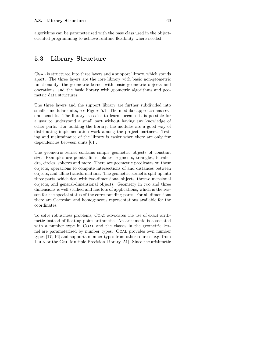algorithms can be parameterized with the base class used in the objectoriented programming to achieve runtime flexibility where needed.

## 5.3 Library Structure

Cgal is structured into three layers and a support library, which stands apart. The three layers are the core library with basic non-geometric functionality, the geometric kernel with basic geometric objects and operations, and the basic library with geometric algorithms and geometric data structures.

The three layers and the support library are further subdivided into smaller modular units, see Figure 5.1. The modular approach has several benefits. The library is easier to learn, because it is possible for a user to understand a small part without having any knowledge of other parts. For building the library, the modules are a good way of distributing implementation work among the project partners. Testing and maintainance of the library is easier when there are only few dependencies between units [61].

The geometric kernel contains simple geometric objects of constant size. Examples are points, lines, planes, segments, triangles, tetrahedra, circles, spheres and more. There are geometric predicates on those objects, operations to compute intersections of and distances between objects, and affine transformations. The geometric kernel is split up into three parts, which deal with two-dimensional objects, three-dimensional objects, and general-dimensional objects. Geometry in two and three dimensions is well studied and has lots of applications, which is the reason for the special status of the corresponding parts. For all dimensions there are Cartesian and homogeneous representations available for the coordinates.

To solve robustness problems, Cgal advocates the use of exact arithmetic instead of floating point arithmetic. An arithmetic is associated with a number type in CGAL and the classes in the geometric kernel are parameterized by number types. Cgal provides own number types [17, 16] and supports number types from other sources, e.g. from LEDA or the GNU Multiple Precision Library  $[51]$ . Since the arithmetic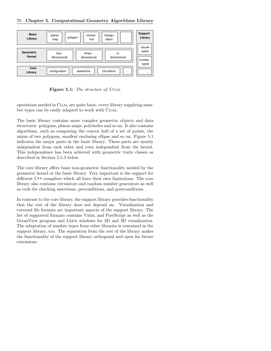

Figure 5.1: The structure of CGAL

operations needed in Cgal are quite basic, every library supplying number types can be easily adapted to work with Cgal.

The basic library contains more complex geometric objects and data structures: polygons, planar maps, polyhedra and so on. It also contains algorithms, such as computing the convex hull of a set of points, the union of two polygons, smallest enclosing ellipse and so on. Figure 5.1 indicates the major parts in the basic library. These parts are mostly independent from each other and even independent from the kernel. This independence has been achieved with geometric traits classes as described in Section 5.5.3 below.

The core library offers basic non-geometric functionality needed by the geometric kernel or the basic library. Very important is the support for different C++ compilers which all have their own limitations. The core library also contains circulators and random number generators as well as code for checking assertions, preconditions, and postconditions.

In contrast to the core library, the support library provides functionality that the rest of the library does not depend on. Visualization and external file formats are important aspects of the support library. The list of supported formats contains Vrml and PostScript as well as the GeomView program and LEDA windows for 2D and 3D visualization. The adaptation of number types from other libraries is contained in the support library, too. The separation from the rest of the library makes the functionality of the support library orthogonal and open for future extensions.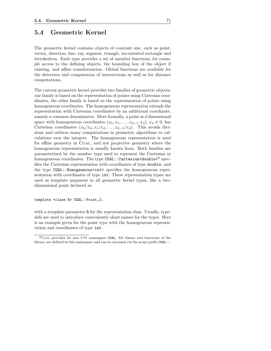## 5.4 Geometric Kernel

The geometric kernel contains objects of constant size, such as point, vector, direction, line, ray, segment, triangle, iso-oriented rectangle and tetrahedron. Each type provides a set of member functions, for example access to the defining objects, the bounding box of the object if existing, and affine transformation. Global functions are available for the detection and computation of intersections as well as for distance computations.

The current geometric kernel provides two families of geometric objects: one family is based on the representation of points using Cartesian coordinates, the other family is based on the representation of points using homogeneous coordinates. The homogeneous representation extends the representation with Cartesian coordinates by an additional coordinate, namely a common denominator. More formally, a point in  $d$  dimensional space with homogeneous coordinates  $(x_0, x_1, \ldots, x_{d-1}, x_d)$ ,  $x_d \neq 0$ , has Cartesian coordinates  $(x_0/x_d, x_1/x_d, \ldots, x_{d-1}/x_d)$ . This avoids divisions and reduces many computations in geometric algorithms to calculations over the integers. The homogeneous representation is used for affine geometry in Cgal, and not projective geometry where the homogeneous representation is usually known from. Both families are parameterized by the number type used to represent the Cartesian or homogeneous coordinates. The type CGAL::Cartesian<double><sup>8</sup> specifies the Cartesian representation with coordinates of type double, and the type CGAL::Homogeneous<int> specifies the homogeneous representation with coordinates of type int. These representation types are used as template argument in all geometric kernel types, like a twodimensional point declared as

template <class R> CGAL::Point\_2;

with a template parameter R for the representation class. Usually, typedefs are used to introduce conveniently short names for the types. Here is an example given for the point type with the homogeneous representation and coordinates of type int:

<sup>8</sup>Cgal provides its own C++ namespace CGAL. All classes and functions of the library are defined in this namespace and can be accessed via the scope prefix CGAL::.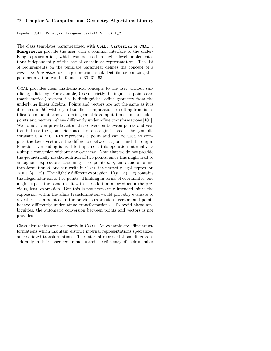typedef CGAL::Point\_2< Homogeneous<int> > Point\_2;

The class templates parameterized with CGAL::Cartesian or CGAL:: Homogeneous provide the user with a common interface to the underlying representation, which can be used in higher-level implementations independently of the actual coordinate representation. The list of requirements on the template parameter defines the concept of a representation class for the geometric kernel. Details for realizing this parameterization can be found in [30, 31, 53].

Cgal provides clean mathematical concepts to the user without sacrificing efficiency. For example, Cgal strictly distinguishes points and (mathematical) vectors, i.e. it distinguishes affine geometry from the underlying linear algebra. Points and vectors are not the same as it is discussed in [50] with regard to illicit computations resulting from identification of points and vectors in geometric computations. In particular, points and vectors behave differently under affine transformations [104]. We do not even provide automatic conversion between points and vectors but use the geometric concept of an origin instead. The symbolic constant CGAL::ORIGIN represents a point and can be used to compute the locus vector as the difference between a point and the origin. Function overloading is used to implement this operation internally as a simple conversion without any overhead. Note that we do not provide the geometrically invalid addition of two points, since this might lead to ambiguous expressions: assuming three points  $p, q$ , and  $r$  and an affine transformation  $A$ , one can write in CGAL the perfectly legal expression  $A(p + (q - r))$ . The slightly different expression  $A((p + q) - r)$  contains the illegal addition of two points. Thinking in terms of coordinates, one might expect the same result with the addition allowed as in the previous, legal expression. But this is not necessarily intended, since the expression within the affine transformation would probably evaluate to a vector, not a point as in the previous expression. Vectors and points behave differently under affine transformations. To avoid these ambiguities, the automatic conversion between points and vectors is not provided.

Class hierarchies are used rarely in Cgal. An example are affine transformations which maintain distinct internal representations specialized on restricted transformations. The internal representations differ considerably in their space requirements and the efficiency of their member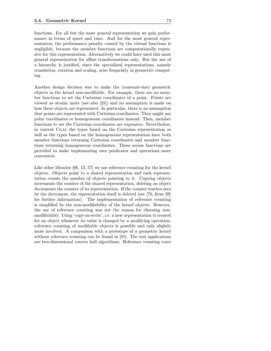functions. For all but the most general representation we gain performance in terms of space and time. And for the most general representation, the performance penalty caused by the virtual functions is negligible, because the member functions are computationally expensive for this representation. Alternatively we could have used this most general representation for affine transformations only. But the use of a hierarchy is justified, since the specialized representations, namely translation, rotation and scaling, arise frequently in geometric computing.

Another design decision was to make the (constant-size) geometric objects in the kernel non-modifiable. For example, there are no member functions to set the Cartesian coordinates of a point. Points are viewed as atomic units (see also [25]) and no assumption is made on how these objects are represented. In particular, there is no assumption that points are represented with Cartesian coordinates. They might use polar coordinates or homogeneous coordinates instead. Then, member functions to set the Cartesian coordinates are expensive. Nevertheless, in current Cgal the types based on the Cartesian representation as well as the types based on the homogeneous representation have both member functions returning Cartesian coordinates and member functions returning homogeneous coordinates. These access functions are provided to make implementing own predicates and operations more convenient.

Like other libraries [68, 13, 57] we use reference counting for the kernel objects. Objects point to a shared representation and each representation counts the number of objects pointing to it. Copying objects increments the counter of the shared representation, deleting an object decrements the counter of its representation. If the counter reaches zero by the decrement, the representation itself is deleted (see [70, Item 29] for further information). The implementation of reference counting is simplified by the non-modifiability of the kernel objects. However, the use of reference counting was not the reason for choosing nonmodifiability. Using 'copy-on-write', i.e. a new representation is created for an object whenever its value is changed by a modifying operation, reference counting of modifiable objects is possible and only slightly more involved. A comparison with a prototype of a geometric kernel without reference counting can be found in [85]. The test applications are two-dimensional convex hull algorithms. Reference counting costs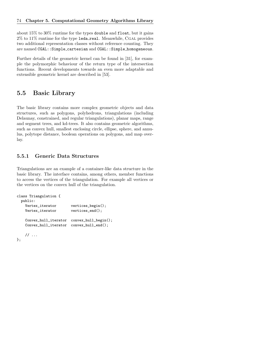#### 74 Chapter 5. Computational Geometry Algorithms Library

about 15% to 30% runtime for the types double and float, but it gains  $2\%$  to  $11\%$  runtime for the type leda real. Meanwhile, CGAL provides two additional representation classes without reference counting. They are named CGAL::Simple cartesian and CGAL::Simple homogeneous.

Further details of the geometric kernel can be found in [31], for example the polymorphic behaviour of the return type of the intersection functions. Recent developments towards an even more adaptable and extensible geometric kernel are described in [53].

## 5.5 Basic Library

The basic library contains more complex geometric objects and data structures, such as polygons, polyhedrons, triangulations (including Delaunay, constrained, and regular triangulations), planar maps, range and segment trees, and kd-trees. It also contains geometric algorithms, such as convex hull, smallest enclosing circle, ellipse, sphere, and annulus, polytope distance, boolean operations on polygons, and map overlay.

#### 5.5.1 Generic Data Structures

Triangulations are an example of a container-like data structure in the basic library. The interface contains, among others, member functions to access the vertices of the triangulation. For example all vertices or the vertices on the convex hull of the triangulation.

```
class Triangulation {
 public:
   Vertex_iterator vertices_begin();
   Vertex_iterator vertices_end();
   Convex_hull_iterator convex_hull_begin();
   Convex_hull_iterator convex_hull_end();
    // ...
};
```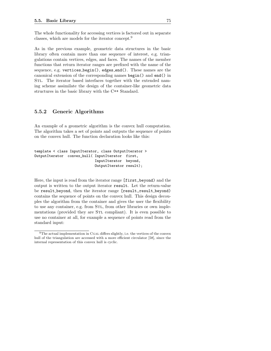The whole functionality for accessing vertices is factored out in separate classes, which are models for the iterator concept.<sup>9</sup>

As in the previous example, geometric data structures in the basic library often contain more than one sequence of interest, e.g. triangulations contain vertices, edges, and faces. The names of the member functions that return iterator ranges are prefixed with the name of the sequence, e.g. vertices begin(), edges end(). These names are the canonical extension of the corresponding names begin() and end() in STL. The iterator based interfaces together with the extended naming scheme assimilate the design of the container-like geometric data structures in the basic library with the C++ Standard.

#### 5.5.2 Generic Algorithms

An example of a geometric algorithm is the convex hull computation. The algorithm takes a set of points and outputs the sequence of points on the convex hull. The function declaration looks like this:

```
template < class InputIterator, class OutputIterator >
OutputIterator convex_hull( InputIterator first,
                             InputIterator beyond,
                             OutputIterator result);
```
Here, the input is read from the iterator range [first,beyond) and the output is written to the output iterator result. Let the return-value be result\_beyond, then the iterator range [result, result\_beyond) contains the sequence of points on the convex hull. This design decouples the algorithm from the container and gives the user the flexibility to use any container, e.g. from Stl, from other libraries or own implementations (provided they are STL compliant). It is even possible to use no container at all, for example a sequence of points read from the standard input:

 $^9\mathrm{The}$  actual implementation in CGAL differs slightly, i.e. the vertices of the convex hull of the triangulation are accessed with a more efficient circulator [58], since the internal representation of this convex hull is cyclic.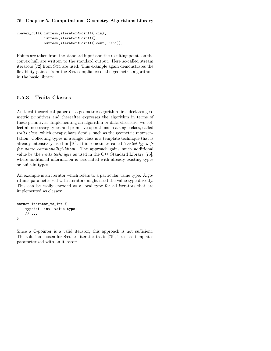```
convex_hull( istream_iterator<Point>( cin),
             istream_iterator<Point>(),
             ostream_iterator<Point>( cout, "\n"));
```
Points are taken from the standard input and the resulting points on the convex hull are written to the standard output. Here so-called stream iterators [72] from STL are used. This example again demonstrates the flexibility gained from the STL-compliance of the geometric algorithms in the basic library.

#### 5.5.3 Traits Classes

An ideal theoretical paper on a geometric algorithm first declares geometric primitives and thereafter expresses the algorithm in terms of these primitives. Implementing an algorithm or data structure, we collect all necessary types and primitive operations in a single class, called traits class, which encapsulates details, such as the geometric representation. Collecting types in a single class is a template technique that is already intensively used in [10]. It is sometimes called 'nested typedefs for name commonality'-idiom. The approach gains much additional value by the traits technique as used in the C++ Standard Library [75], where additional information is associated with already existing types or built-in types.

An example is an iterator which refers to a particular value type. Algorithms parameterized with iterators might need the value type directly. This can be easily encoded as a local type for all iterators that are implemented as classes:

```
struct iterator_to_int {
    typedef int value_type;
    // ...
};
```
Since a C-pointer is a valid iterator, this approach is not sufficient. The solution chosen for STL are iterator traits [75], i.e. class templates parameterized with an iterator: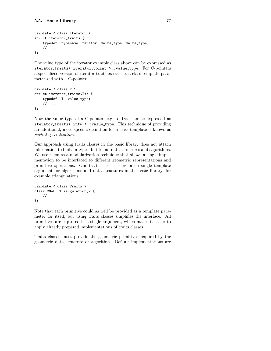```
template < class Iterator >
struct iterator_traits {
    typedef typename Iterator::value_type value_type;
    // ...
};
```
The value type of the iterator example class above can be expressed as iterator\_traits< iterator\_to\_int >::value\_type. For C-pointers a specialized version of iterator traits exists, i.e. a class template parameterized with a C-pointer.

```
template < class T >
struct iterator_traits<T*> {
    typedef T value_type;
    // ...
};
```
Now the value type of a C-pointer, e.g. to int, can be expressed as iterator\_traits< int\* >::value\_type. This technique of providing an additional, more specific definition for a class template is known as partial specialization.

Our approach using traits classes in the basic library does not attach information to built-in types, but to our data structures and algorithms. We use them as a modularization technique that allows a single implementation to be interfaced to different geometric representations and primitive operations. Our traits class is therefore a single template argument for algorithms and data structures in the basic library, for example triangulations:

```
template < class Traits >
class CGAL::Triangulation_2 {
    // ...
};
```
Note that each primitive could as well be provided as a template parameter for itself, but using traits classes simplifies the interface. All primitives are captured in a single argument, which makes it easier to apply already prepared implementations of traits classes.

Traits classes must provide the geometric primitives required by the geometric data structure or algorithm. Default implementations are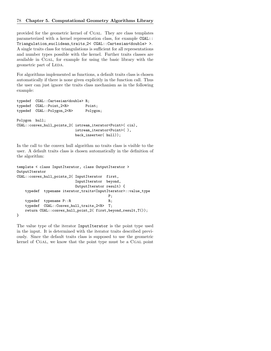#### 78 Chapter 5. Computational Geometry Algorithms Library

provided for the geometric kernel of Cgal. They are class templates parameterized with a kernel representation class, for example CGAL:: Triangulation euclidean traits 2< CGAL::Cartesian<double> >. A single traits class for triangulations is sufficient for all representations and number types possible with the kernel. Further traits classes are available in Cgal, for example for using the basic library with the geometric part of LEDA.

For algorithms implemented as functions, a default traits class is chosen automatically if there is none given explicitly in the function call. Thus the user can just ignore the traits class mechanism as in the following example:

```
typedef CGAL::Cartesian<double> R;
typedef CGAL::Point_2<R> Point;
typedef CGAL::Polygon_2<R> Polygon;
Polygon hull;
CGAL::convex_hull_points_2( istream_iterator<Point>( cin),
                          istream_iterator<Point>( ),
                          back_inserter( hull));
```
In the call to the convex hull algorithm no traits class is visible to the user. A default traits class is chosen automatically in the definition of the algorithm:

```
template < class InputIterator, class OutputIterator >
OutputIterator
CGAL::convex_hull_points_2( InputIterator first,
                          InputIterator beyond,
                          OutputIterator result) {
   typedef typename iterator_traits<InputIterator>::value_type
                                         P;
   typedef typename P: R R;
   typedef CGAL::Convex_hull_traits_2<R> T;
   return CGAL::convex_hull_point_2( first,beyond,result,T());
}
```
The value type of the iterator InputIterator is the point type used in the input. It is determined with the iterator traits described previously. Since the default traits class is supposed to use the geometric kernel of Cgal, we know that the point type must be a Cgal point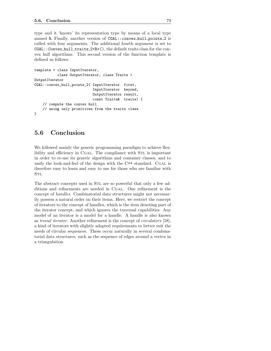type and it 'knows' its representation type by means of a local type named R. Finally, another version of CGAL::convex hull points 2 is called with four arguments. The additional fourth argument is set to CGAL:: Convex\_hull\_traits\_2<R>(), the default traits class for the convex hull algorithms. This second version of the function template is defined as follows:

```
template < class InputIterator,
           class OutputIterator, class Traits >
OutputIterator
CGAL::convex_hull_points_2( InputIterator first,
                            InputIterator beyond,
                            OutputIterator result,
                            const Traits& traits) {
    // compute the convex hull
    // using only primitives from the traits class
}
```
### 5.6 Conclusion

We followed mainly the generic programming paradigm to achieve flexibility and efficiency in CGAL. The compliance with STL is important in order to re-use its generic algorithms and container classes, and to unify the look-and-feel of the design with the  $C++$  standard. CGAL is therefore easy to learn and easy to use for those who are familiar with S<sub>TL</sub>.

The abstract concepts used in STL are so powerful that only a few additions and refinements are needed in Cgal. One refinement is the concept of handles. Combinatorial data structures might not necessarily possess a natural order on their items. Here, we restrict the concept of iterators to the concept of handles, which is the item denoting part of the iterator concept, and which ignores the traversal capabilities. Any model of an iterator is a model for a handle. A handle is also known as trivial iterator. Another refinement is the concept of circulators [58], a kind of iterators with slightly adapted requirements to better suit the needs of circular sequences. These occur naturally in several combinatorial data structures, such as the sequence of edges around a vertex in a triangulation.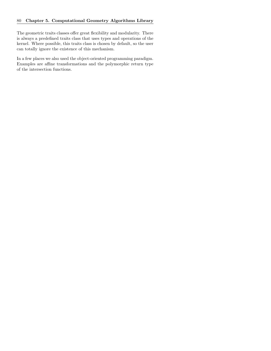#### 80 Chapter 5. Computational Geometry Algorithms Library

The geometric traits classes offer great flexibility and modularity. There is always a predefined traits class that uses types and operations of the kernel. Where possible, this traits class is chosen by default, so the user can totally ignore the existence of this mechanism.

In a few places we also used the object-oriented programming paradigm. Examples are affine transformations and the polymorphic return type of the intersection functions.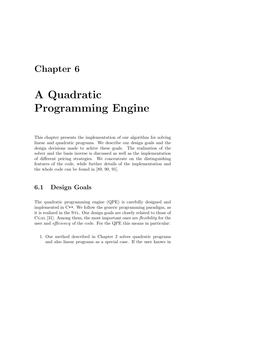## Chapter 6

# A Quadratic Programming Engine

This chapter presents the implementation of our algorithm for solving linear and quadratic programs. We describe our design goals and the design decisions made to achive these goals. The realization of the solver and the basis inverse is discussed as well as the implementation of different pricing strategies. We concentrate on the distinguishing features of the code, while further details of the implementation and the whole code can be found in [89, 90, 91].

## 6.1 Design Goals

The quadratic programming engine (QPE) is carefully designed and implemented in C++. We follow the generic programming paradigm, as it is realized in the Stl. Our design goals are closely related to those of CGAL [31]. Among them, the most important ones are *flexibility* for the user and *efficiency* of the code. For the QPE this means in particular:

1. Our method described in Chapter 2 solves quadratic programs and also linear programs as a special case. If the user knows in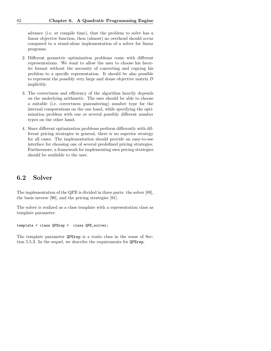advance (i.e. at compile time), that the problem to solve has a linear objective function, then (almost) no overhead should occur compared to a stand-alone implementation of a solver for linear programs.

- 2. Different geometric optimization problems come with different representations. We want to allow the user to choose his favorite format without the necessity of converting and copying his problem to a specific representation. It should be also possible to represent the possibly very large and dense objective matrix D implicitly.
- 3. The correctness and efficiency of the algorithm heavily depends on the underlying arithmetic. The user should be able to choose a suitable (i.e. correctness guaranteeing) number type for the internal computations on the one hand, while specifying the optimization problem with one or several possibly different number types on the other hand.
- 4. Since different optimization problems perform differently with different pricing strategies in general, there is no superior strategy for all cases. The implementation should provide an easy-to-use interface for choosing one of several predefined pricing strategies. Furthermore, a framework for implementing own pricing strategies should be available to the user.

## 6.2 Solver

The implementation of the QPE is divided in three parts: the solver [89], the basis inverse [90], and the pricing strategies [91].

The solver is realized as a class template with a representation class as template parameter.

template < class QPErep > class QPE\_solver;

The template parameter QPErep is a traits class in the sense of Section 5.5.3. In the sequel, we describe the requirements for QPErep.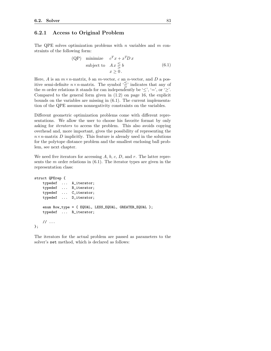#### 6.2.1 Access to Original Problem

The QPE solves optimization problems with  $n$  variables and  $m$  constraints of the following form:

(QP) minimize 
$$
c^T x + x^T D x
$$
  
subject to  $A x \leq b$   
 $x \geq 0$ . (6.1)

Here, A is an  $m \times n$ -matrix, b an m-vector, c an n-vector, and D a positive semi-definite  $n \times n$ -matrix. The symbol  $\leq$  indicates that any of the *m* order relations it stands for can independently be ' $\leq$ ', '=', or ' $\geq$ '. Compared to the general form given in (1.2) on page 16, the explicit bounds on the variables are missing in (6.1). The current implementation of the QPE assumes nonnegativity constraints on the variables.

Different geometric optimization problems come with different representations. We allow the user to choose his favorite format by only asking for iterators to access the problem. This also avoids copying overhead and, more important, gives the possibility of representing the  $n \times n$ -matrix D implicitly. This feature is already used in the solutions for the polytope distance problem and the smallest enclosing ball problem, see next chapter.

We need five iterators for accessing A, b, c, D, and r. The latter represents the  $m$  order relations in  $(6.1)$ . The iterator types are given in the representation class:

```
struct QPErep {
   typedef ... A_iterator;
   typedef ... B_iterator;
   typedef ... C_iterator;
   typedef ... D_iterator;
   enum Row_type = { EQUAL, LESS_EQUAL, GREATER_EQUAL };
   typedef ... R_iterator;
   // ...
};
```
The iterators for the actual problem are passed as parameters to the solver's set method, which is declared as follows: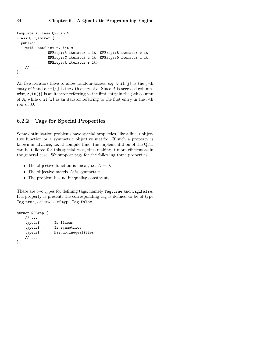```
template < class QPErep >
class QPE_solver {
 public:
    void set( int n, int m,
               QPErep::A_iterator a_it, QPErep::B_iterator b_it,
               QPErep::C_iterator c_it, QPErep::D_iterator d_it,
               QPErep::R_iterator r_it);
    // ...
};
```
All five iterators have to allow random-access, e.g.  $b$ <sub>-it</sub> [j] is the j-th entry of b and  $c$  it [i] is the *i*-th entry of c. Since A is accessed columnwise,  $a$ <sub>i</sub>t[j] is an iterator referring to the first entry in the j-th column of A, while  $\text{dist}[i]$  is an iterator referring to the first entry in the *i*-th row of D.

#### 6.2.2 Tags for Special Properties

Some optimization problems have special properties, like a linear objective function or a symmetric objective matrix. If such a property is known in advance, i.e. at compile time, the implementation of the QPE can be tailored for this special case, thus making it more efficient as in the general case. We support tags for the following three properties:

- The objective function is linear, i.e.  $D = 0$ .
- The objective matrix  $D$  is symmetric.
- The problem has no inequality constraints.

There are two types for defining tags, namely Tag\_true and Tag\_false. If a property is present, the corresponding tag is defined to be of type Tag\_true, otherwise of type Tag\_false.

```
struct QPErep {
    // ...
    typedef ... Is_linear;
    typedef ... Is_symmetric;
    typedef ... Has_no_inequalities;
    // ...
};
```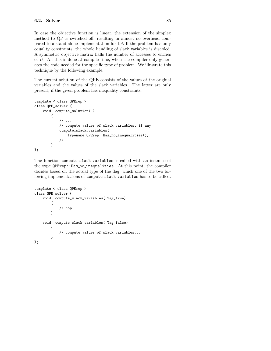In case the objective function is linear, the extension of the simplex method to QP is switched off, resulting in almost no overhead compared to a stand-alone implementation for LP. If the problem has only equality constraints, the whole handling of slack variables is disabled. A symmetric objective matrix halfs the number of accesses to entries of D. All this is done at compile time, when the compiler only generates the code needed for the specific type of problem. We illustrate this technique by the following example.

The current solution of the QPE consists of the values of the original variables and the values of the slack variables. The latter are only present, if the given problem has inequality constraints.

```
template < class QPErep >
class QPE_solver {
    void compute_solution( )
        {
            // ...
            // compute values of slack variables, if any
            compute_slack_variables(
                 typename QPErep::Has_no_inequalities());
            \frac{1}{2}...
        }
};
```
The function compute slack variables is called with an instance of the type QPErep:: Has no inequalities. At this point, the compiler decides based on the actual type of the flag, which one of the two following implementations of compute slack variables has to be called.

```
template < class QPErep >
class QPE_solver {
    void compute_slack_variables( Tag_true)
        {
            // nop
       }
    void compute_slack_variables( Tag_false)
       {
            // compute values of slack variables...
       }
};
```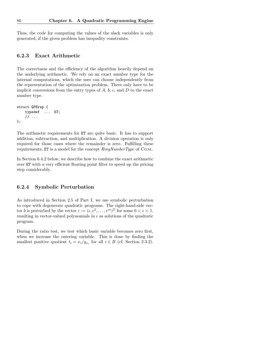Thus, the code for computing the values of the slack variables is only generated, if the given problem has inequality constraints.

#### 6.2.3 Exact Arithmetic

The correctness and the efficiency of the algorithm heavily depend on the underlying arithmetic. We rely on an exact number type for the internal computations, which the user can choose independently from the representation of the optimization problem. There only have to be implicit conversions from the entry types of  $A$ ,  $b$ ,  $c$ , and  $D$  to the exact number type.

```
struct QPErep {
    typedef ... ET;
    // ...
};
```
The arithmetic requirements for ET are quite basic. It has to support addition, subtraction, and multiplication. A division operation is only required for those cases where the remainder is zero. Fulfilling these requirements, ET is a model for the concept  $RingNumberType$  of CGAL.

In Section 6.4.2 below, we describe how to combine the exact arithmetic over ET with a very efficient floating point filter to speed up the pricing step considerably.

#### 6.2.4 Symbolic Perturbation

As introduced in Section 2.5 of Part I, we use symbolic perturbation to cope with degenerate quadratic programs. The right-hand-side vector b is perturbed by the vector  $\varepsilon := (\epsilon, \epsilon^2, \dots, \epsilon^m)^T$  for some  $0 < \epsilon < 1$ , resulting in vector-valued polynomials in  $\epsilon$  as solutions of the quadratic program.

During the ratio test, we test which basic variable becomes zero first, when we increase the entering variable. This is done by finding the smallest positive quotient  $t_i = x_i/q_{x_i}$  for all  $i \in B$  (cf. Section 2.3.2).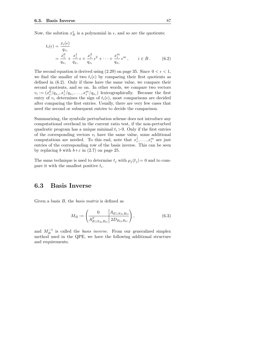Now, the solution  $x_B^*$  is a polynomial in  $\epsilon$ , and so are the quotients:

$$
t_i(\epsilon) = \frac{x_i(\epsilon)}{q_{x_i}} \\
= \frac{x_i^0}{q_{x_i}} + \frac{x_i^1}{q_{x_i}} \epsilon + \frac{x_i^2}{q_{x_i}} \epsilon^2 + \dots + \frac{x_i^m}{q_{x_i}} \epsilon^m, \qquad i \in B. \tag{6.2}
$$

The second equation is derived using (2.29) on page 35. Since  $0 < \epsilon < 1$ , we find the smaller of two  $t_i(\epsilon)$  by comparing their first quotients as defined in (6.2). Only if these have the same value, we compare their second quotients, and so on. In other words, we compare two vectors  $v_i := (x_i^0/q_{x_i}, x_i^1/q_{x_i}, \dots, x_i^m/q_{x_i})$  lexicographically. Because the first entry of  $v_i$  determines the sign of  $t_i(\epsilon)$ , most comparisons are decided after comparing the first entries. Usually, there are very few cases that need the second or subsequent entries to decide the comparison.

Summarizing, the symbolic perturbation scheme does not introduce any computational overhead in the current ratio test, if the non-perturbed quadratic program has a unique minimal  $t_i > 0$ . Only if the first entries of the corresponding vectors  $v_i$  have the same value, some additional computations are needed. To this end, note that  $x_i^1, \ldots, x_i^m$  are just entries of the corresponding row of the basis inverse. This can be seen by replacing b with  $b+\varepsilon$  in (2.7) on page 25.

The same technique is used to determine  $t_j$  with  $\mu_j(t_j)=0$  and to compare it with the smallest positive  $t_i$ .

### 6.3 Basis Inverse

Given a basis B, the *basis matrix* is defined as

$$
M_B := \left(\frac{0}{A_{E \cup S_N, B_O}^T} \middle| \frac{A_{E \cup S_N, B_O}}{2D_{B_O, B_O}}\right),\tag{6.3}
$$

and  $M_B^{-1}$  is called the *basis inverse*. From our generalized simplex method used in the QPE, we have the following additional structure and requirements.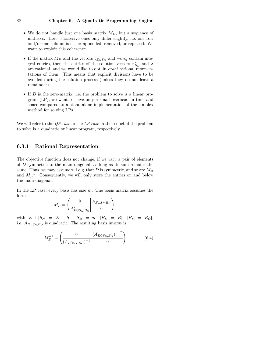- We do not handle just one basis matrix  $M_B$ , but a sequence of matrices. Here, successive ones only differ slightly, i.e. one row and/or one column is either appended, removed, or replaced. We want to exploit this coherence.
- If the matrix  $M_B$  and the vectors  $b_{E \cup S_N}$  and  $-c_{B_O}$  contain integral entries, then the entries of the solution vectors  $x_{B_O}^*$  and  $\lambda$ are rational, and we would like to obtain exact rational representations of them. This means that explicit divisions have to be avoided during the solution process (unless they do not leave a remainder).
- If  $D$  is the zero-matrix, i.e. the problem to solve is a linear program (LP), we want to have only a small overhead in time and space compared to a stand-alone implementation of the simplex method for solving LPs.

We will refer to the  $QP$  case or the  $LP$  case in the sequel, if the problem to solve is a quadratic or linear program, respectively.

#### 6.3.1 Rational Representation

The objective function does not change, if we vary a pair of elements of D symmetric to the main diagonal, as long as its sum remains the same. Thus, we may assume w.l.o.g. that  $D$  is symmetric, and so are  $M_B$ and  $M_B^{-1}$ . Consequently, we will only store the entries on and below the main diagonal.

In the LP case, every basis has size  $m$ . The basis matrix assumes the form

$$
M_B = \left(\begin{array}{c|c} 0 & A_{E \cup S_N, B_O} \\ \hline A_{E \cup S_N, B_O}^T & 0 \end{array}\right),
$$

with  $|E|+|S_N| = |E|+|S|-|S_B| = m-|B_S| = |B|-|B_S| = |B_O|$ , i.e.  $A_{E \cup S_N, B_O}$  is quadratic. The resulting basis inverse is

$$
M_B^{-1} = \left(\frac{0}{(A_{E \cup S_N, B_O})^{-1}} \frac{(A_{E \cup S_N, B_O})^{-1}}{0}\right) \tag{6.4}
$$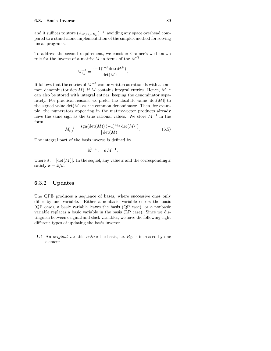and it suffices to store  $(A_{E\cup S_N,B_O})^{-1}$ , avoiding any space overhead compared to a stand-alone implementation of the simplex method for solving linear programs.

To address the second requirement, we consider Cramer's well-known rule for the inverse of a matrix M in terms of the  $M^{ji}$ ,

$$
M_{i,j}^{-1} = \frac{(-1)^{i+j} \det(M^{ji})}{\det(M)}
$$

It follows that the entries of  $M^{-1}$  can be written as rationals with a common denominator det(M), if M contains integral entries. Hence,  $M^{-1}$ can also be stored with integral entries, keeping the denominator separately. For practical reasons, we prefer the absolute value  $|\text{det}(M)|$  to the signed value  $det(M)$  as the common denominator. Then, for example, the numerators appearing in the matrix-vector products already have the same sign as the true rational values. We store  $M^{-1}$  in the form

$$
M_{i,j}^{-1} = \frac{\text{sgn}(\text{det}(M)) (-1)^{i+j} \text{det}(M^{ji})}{|\text{det}(M)|}.
$$
 (6.5)

.

The integral part of the basis inverse is defined by

$$
\hat{M}^{-1} := d M^{-1},
$$

where  $d := |\det(M)|$ . In the sequel, any value x and the corresponding  $\hat{x}$ satisfy  $x = \hat{x}/d$ .

#### 6.3.2 Updates

The QPE produces a sequence of bases, where successive ones only differ by one variable. Either a nonbasic variable enters the basis (QP case), a basic variable leaves the basis (QP case), or a nonbasic variable replaces a basic variable in the basis (LP case). Since we distinguish between original and slack variables, we have the following eight different types of updating the basis inverse:

U1 An *original* variable *enters* the basis, i.e.  $B<sub>O</sub>$  is increased by one element.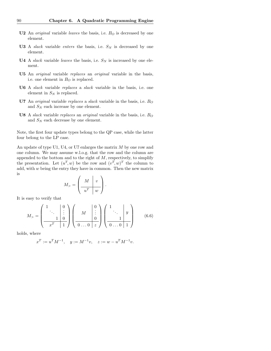- **U2** An *original* variable *leaves* the basis, i.e.  $B<sub>O</sub>$  is decreased by one element.
- **U3** A *slack* variable *enters* the basis, i.e.  $S_N$  is decreased by one element.
- **U4** A slack variable leaves the basis, i.e.  $S_N$  is increased by one element.
- U5 An original variable replaces an original variable in the basis, i.e. one element in  $B<sub>O</sub>$  is replaced.
- U6 A slack variable replaces a slack variable in the basis, i.e. one element in  $S_N$  is replaced.
- U7 An *original* variable *replaces* a *slack* variable in the basis, i.e.  $B_O$ and  $S_N$  each increase by one element.
- **U8** A slack variable replaces an original variable in the basis, i.e.  $B_O$ and  $S_N$  each decrease by one element.

Note, the first four update types belong to the QP case, while the latter four belong to the LP case.

An update of type U1, U4, or U7 enlarges the matrix M by one row and one column. We may assume w.l.o.g. that the row and the column are appended to the bottom and to the right of  $M$ , respectively, to simplify the presentation. Let  $(u^T, w)$  be the row and  $(v^T, w)^T$  the column to add, with  $w$  being the entry they have in common. Then the new matrix is

$$
M_{>} = \left(\begin{array}{c|c} M & v \\ \hline u^T & w \end{array}\right).
$$

It is easy to verify that

$$
M_{>} = \left(\begin{array}{c|c}1 & 0 & 0\\ \hline & 1 & 0\\ \hline & x^T & 1\end{array}\right) \left(\begin{array}{c|c} & M & 0\\ \hline & 0 & 0\\ \hline 0 & \dots & 0 & z\end{array}\right) \left(\begin{array}{c|c}1 & 0 & 0\\ \hline & 1 & 0\\ \hline 0 & \dots & 0 & 1\end{array}\right) \tag{6.6}
$$

holds, where

$$
x^T := u^T M^{-1}
$$
,  $y := M^{-1}v$ ,  $z := w - u^T M^{-1}v$ .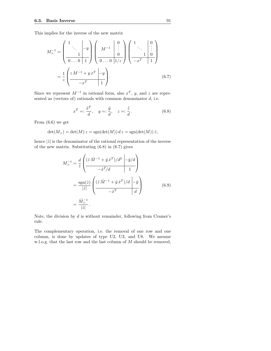This implies for the inverse of the new matrix

$$
M_{>}^{-1} = \left(\begin{array}{c|c} 1 & & \\ \ddots & & \\ 1 & & \\ \hline 0 & \dots & 0 & 1 \end{array}\right) \left(\begin{array}{c|c} M^{-1} & 0 & \\ \vdots & & \\ 0 & \dots & 0 & 1 \end{array}\right) \left(\begin{array}{c|c} 1 & & & 0 \\ \hline \ddots & & & \\ \hline 0 & & 1 & 0 \\ \hline -x^T & & 1 \end{array}\right)
$$
\n
$$
= \frac{1}{z} \left(\frac{z M^{-1} + y x^T}{-x^T} \left| \begin{array}{c} -y \\ -y \\ 1 \end{array}\right.\right). \tag{6.7}
$$

Since we represent  $M^{-1}$  in rational form, also  $x^T$ , y, and z are represented as (vectors of) rationals with common denominator  $d$ , i.e.

$$
x^T =: \frac{\hat{x}^T}{d}, \quad y =: \frac{\hat{y}}{d}, \quad z =: \frac{\hat{z}}{d}.
$$
 (6.8)

From (6.6) we get

$$
\det(M_>) = \det(M) z = \text{sgn}(\det(M)) dz = \text{sgn}(\det(M)) \hat{z},
$$

hence  $|\hat{z}|$  is the denominator of the rational representation of the inverse of the new matrix. Substituting  $(6.8)$  in  $(6.7)$  gives

$$
M_{>}^{-1} = \frac{d}{\hat{z}} \left( \frac{(\hat{z} \hat{M}^{-1} + \hat{y} \hat{x}^{T})/d^{2} \left| -\hat{y}/d \right|}{-\hat{x}^{T}/d} \right)
$$

$$
= \frac{\text{sgn}(\hat{z})}{|\hat{z}|} \left( \frac{(\hat{z} \hat{M}^{-1} + \hat{y} \hat{x}^{T})/d \left| -\hat{y} \right|}{-\hat{x}^{T}} \right)
$$

$$
= \frac{\hat{M}_{>}^{-1}}{|\hat{z}|}. \tag{6.9}
$$

Note, the division by  $d$  is without remainder, following from Cramer's rule.

The complementary operation, i.e. the removal of one row and one column, is done by updates of type U2, U3, and U8. We assume w.l.o.g. that the last row and the last column of  $M$  should be removed,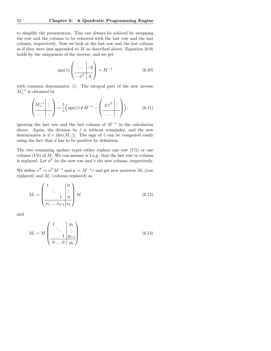to simplify the presentation. This can always be achived by swapping the row and the column to be removed with the last row and the last column, respectively. Now we look at the last row and the last column as if they were just appended to  $M$  as described above. Equation (6.9) holds by the uniqueness of the inverse, and we get

$$
sgn(\hat{z})\left(\frac{\ldots}{-\hat{x}^{T} | d}\right) = \hat{M}^{-1}
$$
\n(6.10)

with common denominator  $|\hat{z}|$ . The integral part of the new inverse  $M_{\leq}^{-1}$  is obtained by

$$
\left(\frac{\hat{M}_{<}^{-1}\left|\vdots\right|}{\cdots\left|\cdot\right|}\right)=\frac{1}{\hat{z}}\left(\text{sgn}(\hat{z})\,d\,\hat{M}^{-1}-\left(\frac{\hat{y}\,\hat{x}^T\left|\vdots\right|}{\cdots\left|\cdot\right|}\right)\right),\tag{6.11}
$$

ignoring the last row and the last column of  $\hat{M}^{-1}$  in the calculation above. Again, the division by  $\hat{z}$  is without remainder, and the new denominator is  $d = |\det(M_<)|$ . The sign of  $\hat{z}$  can be computed easily using the fact that d has to be positive by definition.

The two remaining update types either replace one row (U5) or one column (U6) of  $M$ . We can assume w.l.o.g. that the last row or column is replaced. Let  $u^T$  be the new row and v the new column, respectively.

We define  $x^T := u^T M^{-1}$  and  $y := M^{-1}v$  and get new matrices  $M_r$  (row replaced) and  $M_c$  (column replaced) as

$$
M_r = \begin{pmatrix} 1 & & 0 \\ & \ddots & & 0 \\ & & 1 & 0 \\ \hline x_1 & \dots & x_{k-1} & x_k \end{pmatrix} M \tag{6.12}
$$

and

$$
M_c = M \begin{pmatrix} 1 & & y_1 \\ & \ddots & & \vdots \\ & & 1 & y_{k-1} \\ \hline 0 & \dots & 0 & y_k \end{pmatrix} . \tag{6.13}
$$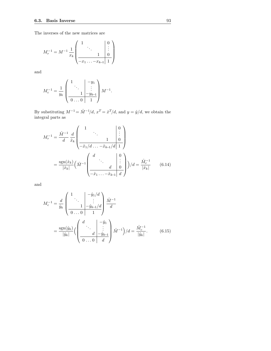The inverses of the new matrices are

$$
M_r^{-1} = M^{-1} \frac{1}{x_k} \begin{pmatrix} 1 & & & 0 \\ & \ddots & & \vdots \\ & & 1 & 0 \\ \hline -x_1 \dots -x_{k-1} & 1 \end{pmatrix}
$$

and

$$
M_c^{-1} = \frac{1}{y_k} \left( \begin{array}{c|c} 1 & & -y_1 \\ \cdot & \cdot & \vdots \\ \hline 1 & -y_{k-1} \\ \hline 0 & \dots & 0 & 1 \end{array} \right) M^{-1}.
$$

By substituting  $M^{-1} = \hat{M}^{-1}/d$ ,  $x^T = \hat{x}^T/d$ , and  $y = \hat{y}/d$ , we obtain the integral parts as

$$
M_r^{-1} = \frac{\hat{M}^{-1}}{d} \frac{d}{\hat{x}_k} \left( \begin{array}{ccc|c} 1 & & & 0 \\ & \ddots & & 1 \\ \hline -\hat{x}_1/d \dots -\hat{x}_{k-1}/d & 1 \end{array} \right)
$$
  
= 
$$
\frac{\text{sgn}(\hat{x}_k)}{|\hat{x}_k|} \left( \hat{M}^{-1} \left( \begin{array}{ccc|c} d & & & 0 \\ & \ddots & & \vdots \\ \hline -\hat{x}_1 \dots -\hat{x}_{k-1} & d \end{array} \right) / d = \frac{\hat{M}_r^{-1}}{|\hat{x}_k|} \qquad (6.14)
$$

and

$$
M_c^{-1} = \frac{d}{\hat{y}_k} \left( \begin{array}{ccc} 1 & -\hat{y}_1/d \\ \ddots & \vdots \\ 1 & -\hat{y}_{k-1}/d \\ 0 & \dots 0 & 1 \end{array} \right) \frac{\hat{M}^{-1}}{d}
$$
\n
$$
= \frac{\text{sgn}(\hat{y}_k)}{|\hat{y}_k|} \left( \begin{array}{ccc} d & -\hat{y}_1 \\ \ddots & \vdots \\ d & -\hat{y}_{k-1} \\ 0 & \dots 0 & d \end{array} \right) \hat{M}^{-1} \right) / d = \frac{\hat{M}_c^{-1}}{|\hat{y}_k|}. \tag{6.15}
$$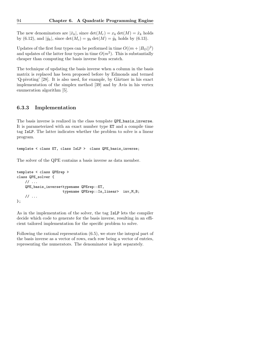The new denominators are  $|\hat{x}_k|$ , since  $\det(M_r) = x_k \det(M) = \hat{x}_k$  holds by (6.12), and  $|\hat{y}_k|$ , since  $\det(M_c) = y_k \det(M) = \hat{y}_k$  holds by (6.13).

Updates of the first four types can be performed in time  $O((m + |B_O|)^2)$ and updates of the latter four types in time  $O(m^2)$ . This is substantially cheaper than computing the basis inverse from scratch.

The technique of updating the basis inverse when a column in the basis matrix is replaced has been proposed before by Edmonds and termed 'Q-pivoting' [28]. It is also used, for example, by Gärtner in his exact implementation of the simplex method [39] and by Avis in his vertex enumeration algorithm [5].

#### 6.3.3 Implementation

The basis inverse is realized in the class template QPE basis inverse. It is parameterized with an exact number type ET and a compile time tag IsLP. The latter indicates whether the problem to solve is a linear program.

template < class ET, class IsLP > class QPE\_basis\_inverse;

The solver of the QPE contains a basis inverse as data member.

```
template < class QPErep >
class QPE_solver {
    // ...
    QPE_basis_inverse<typename QPErep::ET,
                      typename QPErep::Is_linear> inv_M_B;
    // ...
};
```
As in the implementation of the solver, the tag IsLP lets the compiler decide which code to generate for the basis inverse, resulting in an efficient tailored implementation for the specific problem to solve.

Following the rational representation (6.5), we store the integral part of the basis inverse as a vector of rows, each row being a vector of entries, representing the numerators. The denominator is kept separately.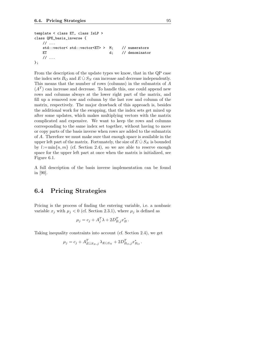```
template < class ET, class IsLP >
class QPE_basis_inverse {
   // ...
   std::vector< std::vector<ET> > M; // numerators
   ET d; // denominator
   // ...
};
```
From the description of the update types we know, that in the QP case the index sets  $B_O$  and  $E \cup S_N$  can increase and decrease independently. This means that the number of rows (columns) in the submatrix of A  $(A<sup>T</sup>)$  can increase and decrease. To handle this, one could append new rows and columns always at the lower right part of the matrix, and fill up a removed row and column by the last row and column of the matrix, respectively. The major drawback of this approach is, besides the additional work for the swapping, that the index sets get mixed up after some updates, which makes multiplying vectors with the matrix complicated and expensive. We want to keep the rows and columns corresponding to the same index set together, without having to move or copy parts of the basis inverse when rows are added to the submatrix of A. Therefore we must make sure that enough space is available in the upper left part of the matrix. Fortunately, the size of  $E \cup S_N$  is bounded by  $l:=\min\{n,m\}$  (cf. Section 2.4), so we are able to reserve enough space for the upper left part at once when the matrix is initialized, see Figure 6.1.

A full description of the basis inverse implementation can be found in [90].

## 6.4 Pricing Strategies

Pricing is the process of finding the entering variable, i.e. a nonbasic variable  $x_j$  with  $\mu_j < 0$  (cf. Section 2.3.1), where  $\mu_j$  is defined as

$$
\mu_j = c_j + A_j^T \lambda + 2D_{B,j}^T x_B^*.
$$

Taking inequality constraints into account (cf. Section 2.4), we get

$$
\mu_j = c_j + A_{E \cup S_N, j}^T \lambda_{E \cup S_N} + 2D_{B_O, j}^T x_{B_O}^*.
$$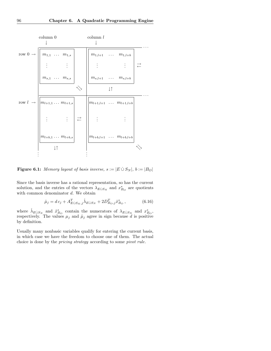

**Figure 6.1:** Memory layout of basis inverse,  $s := |E \cup S_N|$ ,  $b := |B_O|$ 

Since the basis inverse has a rational representation, so has the current solution, and the entries of the vectors  $\lambda_{E \cup S_N}$  and  $x^*_{B_O}$  are quotients with common denominator d. We obtain

$$
\hat{\mu}_j = d c_j + A_{E \cup S_N, j}^T \hat{\lambda}_{E \cup S_N} + 2D_{B_O, j}^T \hat{x}_{B_O}^*,
$$
\n(6.16)

where  $\hat{\lambda}_{E \cup S_N}$  and  $\hat{x}^*_{B_O}$  contain the numerators of  $\lambda_{E \cup S_N}$  and  $x^*_{B_O}$ , respectively. The values  $\mu_j$  and  $\hat{\mu}_j$  agree in sign because d is positive by definition.

Usually many nonbasic variables qualify for entering the current basis, in which case we have the freedom to choose one of them. The actual choice is done by the pricing strategy according to some pivot rule.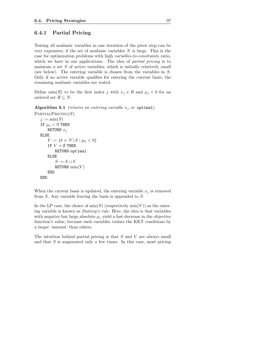#### 6.4.1 Partial Pricing

Testing all nonbasic variables in one iteration of the pivot step can be very expensive, if the set of nonbasic variables  $N$  is large. This is the case for optimization problems with high variables-to-constraints ratio, which we have in our applications. The idea of *partial pricing* is to maintain a set  $S$  of active variables, which is initially relatively small (see below). The entering variable is chosen from the variables in S. Only if no active variable qualifies for entering the current basis, the remaining nonbasic variables are tested.

Define min(R) to be the first index j with  $x_j \in R$  and  $\mu_j < 0$  for an ordered set  $R \subseteq N$ .

Algorithm 6.1 (returns an entering variable  $x_i$  or optimal)

```
PARTIALPRICING(S):
   j := min(S)IF \mu_j < 0 THEN
       RETURN\boldsymbol{x}_jELSE
        V := \{ k \in N \setminus S \mid \mu_k < 0 \}IF V = \emptyset THEN
            RETURN optimal
       ELSE
            S := S \cup VRETURN min(V)END
   END
```
When the current basis is updated, the entering variable  $x_j$  is removed from S. Any variable leaving the basis is appended to S.

In the LP case, the choice of  $\min(S)$  (respectively  $\min(V)$ ) as the entering variable is known as Dantzig's rule. Here, the idea is that variables with negative but large absolute  $\mu_i$  yield a fast decrease in the objective function's value, because such variables violate the KKT conditions by a larger 'amount' than others.

The intuition behind partial pricing is that  $S$  and  $V$  are always small and that S is augmented only a few times. In this case, most pricing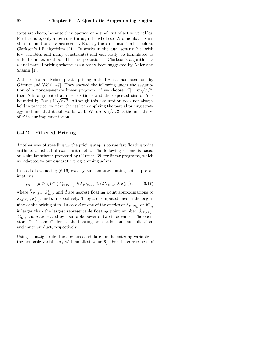steps are cheap, because they operate on a small set of active variables. Furthermore, only a few runs through the whole set  $N$  of nonbasic variables to find the set  $V$  are needed. Exactly the same intuition lies behind Clarkson's LP algorithm [21]. It works in the dual setting (i.e. with few variables and many constraints) and can easily be formulated as a dual simplex method. The interpretation of Clarkson's algorithm as a dual partial pricing scheme has already been suggested by Adler and Shamir [1].

A theoretical analysis of partial pricing in the LP case has been done by Gärtner and Welzl [47]. They showed the following under the assumption of a nondegenerate linear program: if we choose  $|S| = m\sqrt{n/2}$ , then  $S$  is augmented at most  $m$  times and the expected size of  $S$  is bounded by  $2(m+1)\sqrt{n/2}$ . Although this assumption does not always hold in practice, we nevertheless keep applying the partial pricing strategy and find that it still works well. We use  $m\sqrt{n/2}$  as the initial size of S in our implementation.

#### 6.4.2 Filtered Pricing

Another way of speeding up the pricing step is to use fast floating point arithmetic instead of exact arithmetic. The following scheme is based on a similar scheme proposed by Gärtner [39] for linear programs, which we adapted to our quadratic programming solver.

Instead of evaluating (6.16) exactly, we compute floating point approximations

$$
\tilde{\mu}_j = (\tilde{d} \otimes c_j) \oplus (A_{E \cup S_N, j}^T \odot \tilde{\lambda}_{E \cup S_N}) \oplus (2D_{B_O, j}^T \odot \tilde{x}_{B_O}^*), \qquad (6.17)
$$

where  $\tilde{\lambda}_{E\dot{\cup} S_N}, \tilde{x}_{B_O}^*$ , and  $\tilde{d}$  are nearest floating point approximations to  $\hat{\lambda}_{E \cup S_N}, \hat{x}^*_{B_O},$  and d, respectively. They are computed once in the beginning of the pricing step. In case  $d$  or one of the entries of  $\hat{\lambda}_{E \cup S_N}$  or  $\hat{x}^*_{Bo}$ is larger than the largest representable floating point number,  $\hat{\lambda}_{E \cup S_N},$  $\hat{x}_{Bo}^{*}$ , and d are scaled by a suitable power of two in advance. The operators  $\oplus$ ,  $\otimes$ , and  $\odot$  denote the floating point addition, multiplication, and inner product, respectively.

Using Dantzig's rule, the obvious candidate for the entering variable is the nonbasic variable  $x_j$  with smallest value  $\tilde{\mu}_j$ . For the correctness of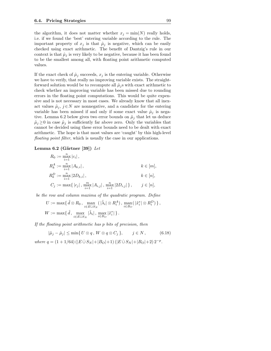the algorithm, it does not matter whether  $x_j = \min(N)$  really holds, i.e. if we found the 'best' entering variable according to the rule. The important property of  $x_j$  is that  $\hat{\mu}_j$  is negative, which can be easily checked using exact arithmetic. The benefit of Dantzig's rule in our context is that  $\hat{\mu}_j$  is very likely to be negative, because it has been found to be the smallest among all, with floating point arithmetic computed values.

If the exact check of  $\hat{\mu}_j$  succeeds,  $x_j$  is the entering variable. Otherwise we have to verify, that really no improving variable exists. The straightforward solution would be to recompute all  $\hat{\mu}_i$  s with exact arithmetic to check whether an improving variable has been missed due to rounding errors in the floating point computations. This would be quite expensive and is not necessary in most cases. We already know that all inexact values  $\tilde{\mu}_j$ ,  $j \in N$  are nonnegative, and a candidate for the entering variable has been missed if and only if some exact value  $\hat{\mu}_j$  is negative. Lemma 6.2 below gives two error bounds on  $\tilde{\mu}_j$  that let us deduce  $\tilde{\mu}_j \geq 0$  in case  $\tilde{\mu}_j$  is sufficiently far above zero. Only the variables that cannot be decided using these error bounds need to be dealt with exact arithmetic. The hope is that most values are 'caught' by this high-level floating point filter, which is usually the case in our applications.

Lemma 6.2 (Gärtner [39]) Let

$$
R_0 := \max_{i=1}^{n} |c_i|,
$$
  
\n
$$
R_k^A := \max_{i=1}^{n} |A_{k,i}|,
$$
  
\n
$$
R_k^D := \max_{i=1}^{n} |2D_{k,i}|,
$$
  
\n
$$
C_j := \max\{|c_j|, \max_{i=1}^{m} |A_{i,j}|, \max_{i=1}^{n} |2D_{i,j}|\}, \quad j \in [n],
$$

be the row and column maxima of the quadratic program. Define

$$
U := \max\{\tilde{d} \otimes R_0, \max_{i \in E \cup S_N} (\vert \tilde{\lambda}_i \vert \otimes R_i^A), \max_{i \in B_O} (\vert \tilde{x}_i^* \vert \otimes R_i^D) \},\
$$
  

$$
W := \max\{\tilde{d}, \max_{i \in E \cup S_N} \vert \tilde{\lambda}_i \vert, \max_{i \in B_O} \vert \tilde{x}_i^* \vert \}.
$$

If the floating point arithmetic has p bits of precision, then

$$
|\tilde{\mu}_j - \hat{\mu}_j| \le \min\{ U \otimes q, W \otimes q \otimes C_j \}, \qquad j \in N, \tag{6.18}
$$

where  $q = (1 + 1/64) (|E \cup S_N| + |B_O| + 1) (|E \cup S_N| + |B_O| + 2) 2^{-p}$ .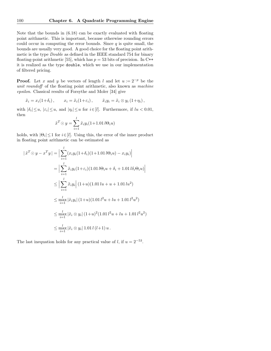Note that the bounds in (6.18) can be exactly evaluated with floating point arithmetic. This is important, because otherwise rounding errors could occur in computing the error bounds. Since  $q$  is quite small, the bounds are usually very good. A good choice for the floating point arithmetic is the type Double as defined in the IEEE standard 754 for binary floating-point arithmetic [55], which has  $p = 53$  bits of precision. In C<sup>++</sup> it is realized as the type double, which we use in our implementation of filtered pricing.

**Proof.** Let x and y be vectors of length l and let  $u := 2^{-p}$  be the unit roundoff of the floating point arithmetic, also known as machine epsilon. Classical results of Forsythe and Moler [34] give

$$
\tilde{x}_i = x_i(1+\delta_i), \qquad x_i = \tilde{x}_i(1+\varepsilon_i), \qquad \tilde{x}_i y_i = \tilde{x}_i \otimes y_i (1+\eta_i),
$$

with  $|\delta_i| \leq u$ ,  $|\varepsilon_i| \leq u$ , and  $|\eta_i| \leq u$  for  $i \in [l]$ . Furthermore, if  $lu < 0.01$ , then

$$
\tilde{x}^T \odot y = \sum_{i=1}^l \tilde{x}_i y_i (1+1.01 l \Theta_i u)
$$

holds, with  $|\Theta_i| \leq 1$  for  $i \in [l]$ . Using this, the error of the inner product in floating point arithmetic can be estimated as

$$
|\tilde{x}^T \odot y - x^T y| = \Big| \sum_{i=1}^l (x_i y_i (1 + \delta_i)(1 + 1.01 l\Theta_i u) - x_i y_i) \Big|
$$
  
\n
$$
= \Big| \sum_{i=1}^l \tilde{x}_i y_i (1 + \varepsilon_i)(1.01 l\Theta_i u + \delta_i + 1.01 l\delta_i \Theta_i u) \Big|
$$
  
\n
$$
\leq \Big| \sum_{i=1}^l \tilde{x}_i y_i \Big| (1 + u)(1.01 l u + u + 1.01 l u^2)
$$
  
\n
$$
\leq \max_{i=1}^l |\tilde{x}_i y_i| (1 + u)(1.01 l^2 u + l u + 1.01 l^2 u^2)
$$
  
\n
$$
\leq \max_{i=1}^l |\tilde{x}_i \otimes y_i| (1 + u)^2 (1.01 l^2 u + l u + 1.01 l^2 u^2)
$$
  
\n
$$
\leq \max_{i=1}^l |\tilde{x}_i \otimes y_i| 1.01 l (l+1) u.
$$

The last inequation holds for any practical value of l, if  $u = 2^{-53}$ .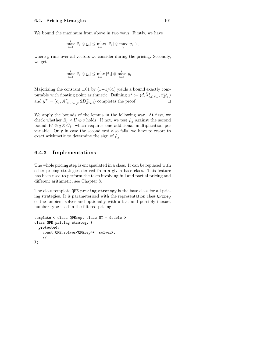We bound the maximum from above in two ways. Firstly, we have

$$
\max_{i=1}^l |\tilde{x}_i \otimes y_i| \leq \max_{i=1}^l (|\tilde{x}_i| \otimes \max_y |y_i|),
$$

where  $y$  runs over all vectors we consider during the pricing. Secondly, we get

$$
\max_{i=1}^l |\tilde{x}_i \otimes y_i| \leq \max_{i=1}^l |\tilde{x}_i| \otimes \max_{i=1}^l |y_i|.
$$

Majorizing the constant 1.01 by  $(1+1/64)$  yields a bound exactly computable with floating point arithmetic. Defining  $x^T:=(d,\hat{\lambda}^T_{E\dot{\cup} S_N},\hat{x}^{*T}_{B_O})$ and  $y^T := (c_j, A_{E \cup S_N, j}^T, 2D_{B_O, j}^T)$  completes the proof.

We apply the bounds of the lemma in the following way. At first, we check whether  $\tilde{\mu}_j \geq U \otimes q$  holds. If not, we test  $\tilde{\mu}_j$  against the second bound  $W \otimes q \otimes C_j$ , which requires one additional multiplication per variable. Only in case the second test also fails, we have to resort to exact arithmetic to determine the sign of  $\hat{\mu}_j$ .

#### 6.4.3 Implementations

The whole pricing step is encapsulated in a class. It can be replaced with other pricing strategies derived from a given base class. This feature has been used to perform the tests involving full and partial pricing and different arithmetic, see Chapter 8.

The class template QPE\_pricing\_strategy is the base class for all pricing strategies. It is parameterized with the representation class QPErep of the ambient solver and optionally with a fast and possibly inexact number type used in the filtered pricing.

```
template < class QPErep, class NT = double >
class QPE_pricing_strategy {
 protected:
    const QPE_solver<QPErep>* solverP;
    // ...
};
```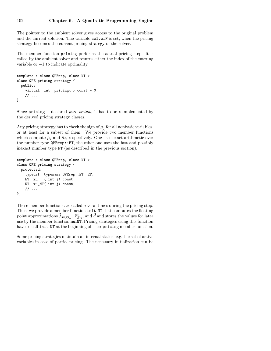The pointer to the ambient solver gives access to the original problem and the current solution. The variable solverP is set, when the pricing strategy becomes the current pricing strategy of the solver.

The member function pricing performs the actual pricing step. It is called by the ambient solver and returns either the index of the entering variable or −1 to indicate optimality.

```
template < class QPErep, class NT >
class QPE_pricing_strategy {
 public:
    virtual int pricing( ) const = 0;
    // ...
};
```
Since pricing is declared *pure virtual*, it has to be reimplemented by the derived pricing strategy classes.

Any pricing strategy has to check the sign of  $\mu_i$  for all nonbasic variables, or at least for a subset of them. We provide two member functions which compute  $\hat{\mu}_i$  and  $\tilde{\mu}_i$ , respectively. One uses exact arithmetic over the number type QPErep::ET, the other one uses the fast and possibly inexact number type NT (as described in the previous section).

```
template < class QPErep, class NT >
class QPE_pricing_strategy {
  protected:
    typedef typename QPErep::ET ET;
   ET mu ( int j) const;
   NT mu_NT( int j) const;
    // ...
};
```
These member functions are called several times during the pricing step. Thus, we provide a member function init NT that computes the floating point approximations  $\tilde{\lambda}_{E \cup S_N}$ ,  $\tilde{x}_{B_O}^*$ , and  $\tilde{d}$  and stores the values for later use by the member function mu NT. Pricing strategies using this function have to call init NT at the beginning of their pricing member function.

Some pricing strategies maintain an internal status, e.g. the set of active variables in case of partial pricing. The necessary initialization can be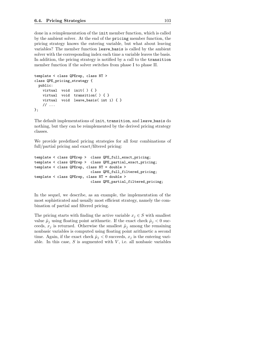done in a reimplementation of the init member function, which is called by the ambient solver. At the end of the pricing member function, the pricing strategy knows the entering variable, but what about leaving variables? The member function leave basis is called by the ambient solver with the corresponding index each time a variable leaves the basis. In addition, the pricing strategy is notified by a call to the transition member function if the solver switches from phase I to phase II.

```
template < class QPErep, class NT >
class QPE_pricing_strategy {
 public:
   virtual void init( ) { }
   virtual void transition( ) { }
   virtual void leave_basis( int i) { }
   // ...
};
```
The default implementations of init, transition, and leave basis do nothing, but they can be reimplemented by the derived pricing strategy classes.

We provide predefined pricing strategies for all four combinations of full/partial pricing and exact/filtered pricing:

```
template < class QPErep > class QPE_full_exact_pricing;
template < class QPErep > class QPE_partial_exact_pricing;
template < class QPErep, class NT = double >
                           class QPE_full_filtered_pricing;
template < class QPErep, class NT = double >
                           class QPE_partial_filtered_pricing;
```
In the sequel, we describe, as an example, the implementation of the most sophisticated and usually most efficient strategy, namely the combination of partial and filtered pricing.

The pricing starts with finding the active variable  $x_i \in S$  with smallest value  $\tilde{\mu}_i$  using floating point arithmetic. If the exact check  $\hat{\mu}_i < 0$  succeeds,  $x_j$  is returned. Otherwise the smallest  $\tilde{\mu}_j$  among the remaining nonbasic variables is computed using floating point arithmetic a second time. Again, if the exact check  $\hat{\mu}_i < 0$  succeeds,  $x_i$  is the entering variable. In this case,  $S$  is augmented with  $V$ , i.e. all nonbasic variables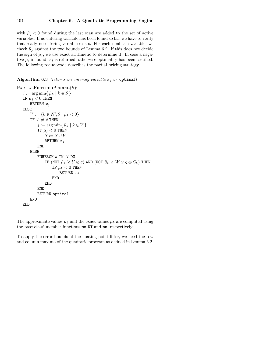with  $\tilde{\mu}_j < 0$  found during the last scan are added to the set of active variables. If no entering variable has been found so far, we have to verify that really no entering variable exists. For each nonbasic variable, we check  $\tilde{\mu}_j$  against the two bounds of Lemma 6.2. If this does not decide the sign of  $\hat{\mu}_i$ , we use exact arithmetic to determine it. In case a negative  $\hat{\mu}_j$  is found,  $x_j$  is returned, otherwise optimality has been certified. The following pseudocode describes the partial pricing strategy.

Algorithm 6.3 (returns an entering variable  $x_j$  or optimal)

```
PARTIALFILTEREDPRICING(S):
    j := \arg \min \{ \tilde{\mu}_k \mid k \in S \}IF \hat{\mu}_j < 0 THEN
         RETURN x_iELSE
         V := \{k \in N \backslash S \mid \tilde{\mu}_k < 0\}IF V \neq \emptyset THEN
               j := \arg \min \{ \tilde{\mu}_k \mid k \in V \}IF \hat{\mu}_j < 0 THEN
                    \dot{S} := S \cup VRETURN x_jEND
         ELSE
               FOREACH k IN N DO
                    IF (NOT \tilde{\mu}_k \geq U \otimes q) AND (NOT \tilde{\mu}_k \geq W \otimes q \otimes C_k) THEN
                          IF \hat{\mu}_k < 0 THEN
                               RETURN x_jEND
                    END
               END
               RETURN optimal
         END
    END
```
The approximate values  $\tilde{\mu}_k$  and the exact values  $\hat{\mu}_k$  are computed using the base class' member functions mu NT and mu, respectively.

To apply the error bounds of the floating point filter, we need the row and column maxima of the quadratic program as defined in Lemma 6.2.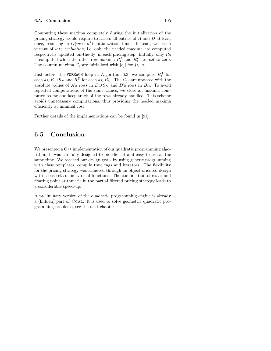Computing these maxima completely during the initialization of the pricing strategy would require to access all entries of A and D at least once, resulting in  $O(mn+n^2)$  initialization time. Instead, we use a variant of lazy evaluation, i.e. only the needed maxima are computed respectively updated 'on-the-fly' in each pricing step. Initially, only  $R_0$ is computed while the other row maxima  $R_k^A$  and  $R_k^D$  are set to zero. The column maxima  $C_j$  are initialized with  $|c_j|$  for  $j \in [n]$ .

Just before the FOREACH loop in Algorithm 6.3, we compute  $R_k^A$  for each  $k \in E \cup S_N$  and  $R_k^D$  for each  $k \in B_O$ . The  $C_j$ s are updated with the absolute values of A's rows in  $E \cup S_N$  and D's rows in  $B_O$ . To avoid repeated computations of the same values, we store all maxima computed so far and keep track of the rows already handled. This scheme avoids unnecessary computations, thus providing the needed maxima efficiently at minimal cost.

Further details of the implementations can be found in [91].

### 6.5 Conclusion

We presented a C<sup>++</sup> implementation of our quadratic programming algorithm. It was carefully designed to be efficient and easy to use at the same time. We reached our design goals by using generic programming with class templates, compile time tags and iterators. The flexibility for the pricing strategy was achieved through an object-oriented design with a base class and virtual functions. The combination of exact and floating point arithmetic in the partial filtered pricing strategy leads to a considerable speed-up.

A preliminary version of the quadratic programming engine is already a (hidden) part of Cgal. It is used to solve geometric quadratic programming problems, see the next chapter.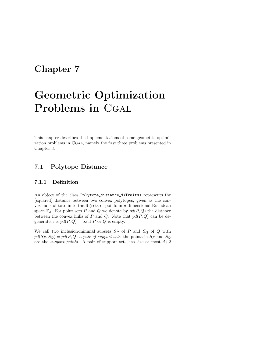## Chapter 7

# Geometric Optimization Problems in CGAL

This chapter describes the implementations of some geometric optimization problems in Cgal, namely the first three problems presented in Chapter 3.

## 7.1 Polytope Distance

#### 7.1.1 Definition

An object of the class Polytope\_distance\_d<Traits> represents the (squared) distance between two convex polytopes, given as the convex hulls of two finite (multi)sets of points in d-dimensional Euclidean space  $\mathbb{E}_d$ . For point sets P and Q we denote by  $pd(P,Q)$  the distance between the convex hulls of P and Q. Note that  $pd(P,Q)$  can be degenerate, i.e.  $pd(P,Q) = \infty$  if P or Q is empty.

We call two inclusion-minimal subsets  $S_P$  of P and  $S_Q$  of Q with  $pd(S_P, S_Q) = pd(P, Q)$  a pair of support sets, the points in  $S_P$  and  $S_Q$ are the *support points*. A pair of support sets has size at most  $d+2$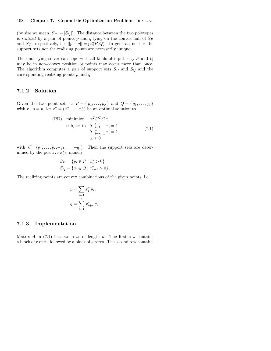(by size we mean  $|S_P| + |S_Q|$ ). The distance between the two polytopes is *realized* by a pair of points  $p$  and  $q$  lying on the convex hull of  $S_P$ and  $S_Q$ , respectively, i.e.  $||p - q|| = pd(P, Q)$ . In general, neither the support sets nor the realizing points are necessarily unique.

The underlying solver can cope with all kinds of input, e.g. P and Q may be in non-convex position or points may occur more than once. The algorithm computes a pair of support sets  $S_P$  and  $S_Q$  and the corresponding realizing points  $p$  and  $q$ .

#### 7.1.2 Solution

Given the two point sets as  $P = \{p_1, \ldots, p_r\}$  and  $Q = \{q_1, \ldots, q_s\}$ with  $r+s=n$ , let  $x^* = (x_1^*, \ldots, x_n^*)$  be an optimal solution to

(PD) minimize 
$$
x^T C^T C x
$$
  
\nsubject to  $\sum_{i=1}^r x_i = 1$   
\n $\sum_{i=r+1}^n x_i = 1$   
\n $x \ge 0$ , (7.1)

with  $C = (p_1, \ldots, p_r, -q_1, \ldots, -q_s)$ . Then the support sets are determined by the positive  $x_i^*$ s, namely

$$
S_P = \{ p_i \in P \mid x_i^* > 0 \},
$$
  
\n
$$
S_Q = \{ q_i \in Q \mid x_{r+i}^* > 0 \}.
$$

The realizing points are convex combinations of the given points, i.e.

$$
p = \sum_{i=1}^{r} x_i^* p_i ,
$$
  

$$
q = \sum_{i=1}^{s} x_{i+r}^* q_i .
$$

#### 7.1.3 Implementation

Matrix  $A$  in (7.1) has two rows of length  $n$ . The first row contains a block of r ones, followed by a block of s zeros. The second row contains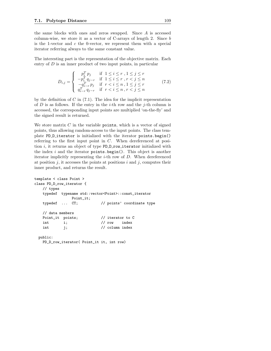the same blocks with ones and zeros swapped. Since A is accessed column-wise, we store it as a vector of C-arrays of length 2. Since  $b$ is the 1-vector and  $c$  the 0-vector, we represent them with a special iterator referring always to the same constant value.

The interesting part is the representation of the objective matrix. Each entry of  $D$  is an inner product of two input points, in particular

$$
D_{i,j} = \begin{cases} p_i^T p_j & \text{if } 1 \le i \le r \text{ , } 1 \le j \le r \\ -p_i^T q_{j-r} & \text{if } 1 \le i \le r \text{ , } r < j \le n \\ -q_{i-r}^T p_j & \text{if } r < i \le n \text{ , } 1 \le j \le r \\ q_{i-r}^T q_{j-r} & \text{if } r < i \le n \text{ , } r < j \le n \end{cases} \tag{7.2}
$$

by the definition of  $C$  in (7.1). The idea for the implicit representation of  $D$  is as follows. If the entry in the *i*-th row and the *j*-th column is accessed, the corresponding input points are multiplied 'on-the-fly' and the signed result is returned.

We store matrix  $C$  in the variable points, which is a vector of signed points, thus allowing random-access to the input points. The class template PD\_D\_iterator is initialized with the iterator points.begin() referring to the first input point in  $C$ . When dereferenced at position  $i$ , it returns an object of type PD\_D\_row\_iterator initialized with the index  $i$  and the iterator points. begin(). This object is another iterator implicitly representing the  $i$ -th row of  $D$ . When dereferenced at position  $j$ , it accesses the points at positions i and j, computes their inner product, and returns the result.

```
template < class Point >
class PD_D_row_iterator {
   // types
   typedef typename std::vector<Point>::const_iterator
               Point_it;
   typedef ... CT; // points' coordinate type
   // data members
   Point_it points; \frac{1}{1} // iterator to C
   int i; // row index
   int j; // column index
 public:
   PD_D_row_iterator( Point_it it, int row)
```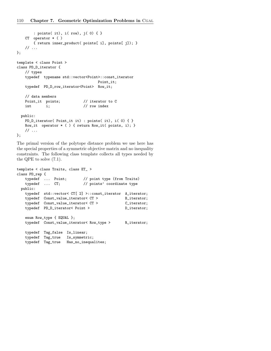```
: points( it), i( row), j( 0) { }
   CT operator * ( )
       { return inner_product( points[ i], points[ j]); }
    // ...
};
template < class Point >
class PD_D_iterator {
    // types
   typedef typename std::vector<Point>::const_iterator
                                     Point_it;
   typedef PD_D_row_iterator<Point> Row_it;
    // data members
   Point_it points; \frac{1}{1} // iterator to C
    int i; // row index
 public:
   PD_D_iterator( Point_it it) : points( it), i( 0) { }
   Row_it operator * ( ) { return Row_it( points, i); }
    // ...
};
```
The primal version of the polytope distance problem we use here has the special properties of a symmetric objective matrix and no inequality constraints. The following class template collects all types needed by the QPE to solve (7.1).

```
template < class Traits, class ET_ >
class PD_rep {
   typedef ... Point; // point type (from Traits)
   typedef ... CT; // points' coordinate type
 public:
   typedef std::vector< CT[ 2] >::const_iterator A_iterator;
   typedef Const_value_iterator< CT > B_iterator;
   typedef Const_value_iterator< CT > C_iterator;
   typedef PD_D_iterator< Point > D_iterator;
   enum Row_type { EQUAL };
   typedef Const_value_iterator< Row_type > R_iterator;
   typedef Tag_false Is_linear;
   typedef Tag_true Is_symmetric;
   typedef Tag_true Has_no_inequalites;
```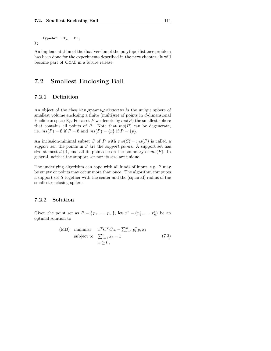typedef ET\_ ET; };

An implementation of the dual version of the polytope distance problem has been done for the experiments described in the next chapter. It will become part of Cgal in a future release.

## 7.2 Smallest Enclosing Ball

#### 7.2.1 Definition

An object of the class Min\_sphere\_d<Traits> is the unique sphere of smallest volume enclosing a finite (multi)set of points in d-dimensional Euclidean space  $\mathbb{E}_d$ . For a set P we denote by  $ms(P)$  the smallest sphere that contains all points of  $P$ . Note that  $ms(P)$  can be degenerate, i.e.  $ms(P) = \emptyset$  if  $P = \emptyset$  and  $ms(P) = \{p\}$  if  $P = \{p\}.$ 

An inclusion-minimal subset S of P with  $ms(S) = ms(P)$  is called a support set, the points in  $S$  are the support points. A support set has size at most  $d+1$ , and all its points lie on the boundary of  $ms(P)$ . In general, neither the support set nor its size are unique.

The underlying algorithm can cope with all kinds of input, e.g. P may be empty or points may occur more than once. The algorithm computes a support set  $S$  together with the center and the (squared) radius of the smallest enclosing sphere.

#### 7.2.2 Solution

Given the point set as  $P = \{p_1, ..., p_n\}$ , let  $x^* = (x_1^*, ..., x_n^*)$  be an optimal solution to

(MB) minimize 
$$
x^T C^T C x - \sum_{i=1}^n p_i^T p_i x_i
$$
  
subject to  $\sum_{i=1}^n x_i = 1$  (7.3)  
 $x \ge 0$ ,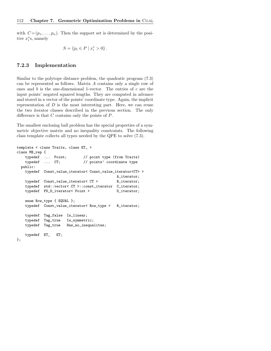with  $C = (p_1, \ldots, p_n)$ . Then the support set is determined by the positive  $x_i^*$ s, namely

$$
S = \{ p_i \in P \mid x_i^* > 0 \} \, .
$$

#### 7.2.3 Implementation

Similar to the polytope distance problem, the quadratic program (7.3) can be represented as follows. Matrix A contains only a single row of ones and  $b$  is the one-dimensional 1-vector. The entries of  $c$  are the input points' negated squared lengths. They are computed in advance and stored in a vector of the points' coordinate type. Again, the implicit representation of  $D$  is the most interesting part. Here, we can reuse the two iterator classes described in the previous section. The only difference is that  $C$  contains only the points of  $P$ .

The smallest enclosing ball problem has the special properties of a symmetric objective matrix and no inequality constraints. The following class template collects all types needed by the QPE to solve (7.3).

```
template < class Traits, class ET_ >
class MB_rep {
   typedef ... Point; // point type (from Traits)
   typedef ... CT; // points' coordinate type
 public:
   typedef Const_value_iterator< Const_value_iterator<CT> >
                                            A_iterator;
   typedef Const_value_iterator< CT > B_iterator;
   typedef std::vector< CT >::const_iterator C_iterator;
   typedef PD_D_iterator< Point > D_iterator;
   enum Row_type { EQUAL };
   typedef Const_value_iterator< Row_type > R_iterator;
   typedef Tag_false Is_linear;
   typedef Tag_true Is_symmetric;
   typedef Tag_true Has_no_inequalites;
   typedef ET_ ET;
};
```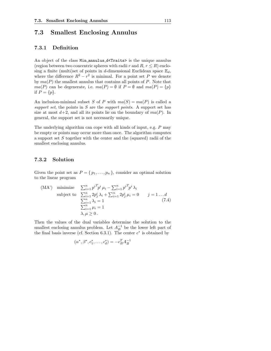## 7.3 Smallest Enclosing Annulus

#### 7.3.1 Definition

An object of the class Min\_annulus\_d<Traits> is the unique annulus (region between two concentric spheres with radii r and  $R, r \leq R$ ) enclosing a finite (multi)set of points in d-dimensional Euclidean space  $\mathbb{E}_d$ , where the difference  $R^2 - r^2$  is minimal. For a point set P we denote by  $ma(P)$  the smallest annulus that contains all points of  $P$ . Note that  $ma(P)$  can be degenerate, i.e.  $ma(P) = \emptyset$  if  $P = \emptyset$  and  $ma(P) = \{p\}$ if  $P = \{p\}.$ 

An inclusion-minimal subset S of P with  $ma(S) = ma(P)$  is called a support set, the points in  $S$  are the support points. A support set has size at most  $d+2$ , and all its points lie on the boundary of  $ma(P)$ . In general, the support set is not necessarily unique.

The underlying algorithm can cope with all kinds of input, e.g. P may be empty or points may occur more than once. The algorithm computes a support set S together with the center and the (squared) radii of the smallest enclosing annulus.

#### 7.3.2 Solution

Given the point set as  $P = \{p_1, \ldots, p_n\}$ , consider an optimal solution to the linear program

(MA') minimize 
$$
\sum_{i=1}^{n} p^{i} p^{i} \mu_{i} - \sum_{i=1}^{n} p^{i} p^{i} \lambda_{i}
$$
  
subject to 
$$
\sum_{i=1}^{n} 2p_{j}^{i} \lambda_{i} + \sum_{i=1}^{n} 2p_{j}^{i} \mu_{i} = 0 \qquad j = 1...d
$$

$$
\sum_{i=1}^{n} \lambda_{i} = 1
$$

$$
\sum_{i=1}^{n} \mu_{i} = 1
$$

$$
\lambda, \mu \geq 0.
$$
 (7.4)

Then the values of the dual variables determine the solution to the smallest enclosing annulus problem. Let  $A_B^{-1}$  be the lower left part of the final basis inverse (cf. Section 6.3.1). The center  $c^*$  is obtained by

$$
(\alpha^*, \beta^*, c_1^*, \dots, c_d^*) = -c_B^T A_B^{-1}
$$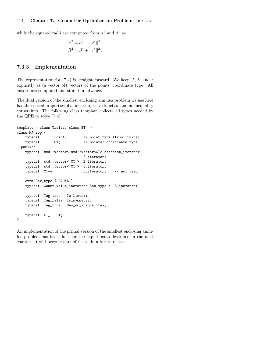while the squared radii are computed from  $\alpha^*$  and  $\beta^*$  as

$$
r^{2} = \alpha^{*} + ||c^{*}||^{2},
$$
  

$$
R^{2} = \beta^{*} + ||c^{*}||^{2}.
$$

#### 7.3.3 Implementation

The representation for  $(7.4)$  is straight forward. We keep A, b, and c explicitly as (a vector of) vectors of the points' coordinate type. All entries are computed and stored in advance.

The dual version of the smallest enclosing annulus problem we use here has the special properties of a linear objective function and no inequality constraints. The following class template collects all types needed by the QPE to solve (7.4).

```
template < class Traits, class ET_ >
class MA_rep {
   typedef ... Point; // point type (from Traits)
   typedef ... CT; // points' coordinate type
 public:
   typedef std::vector< std::vector<CT> >::const_iterator
                             A_iterator;
   typedef std::vector< CT > B_iterator;
   typedef std::vector< CT > C_iterator;
   typedef CT** D_iterator; // not used
   enum Row_type { EQUAL };
   typedef Const_value_iterator< Row_type > R_iterator;
   typedef Tag_true Is_linear;
   typedef Tag_false Is_symmetric;
   typedef Tag_true Has_no_inequalites;
   typedef ET_ ET;
};
```
An implementation of the primal version of the smallest enclosing annulus problem has been done for the experiments described in the next chapter. It will become part of Cgal in a future release.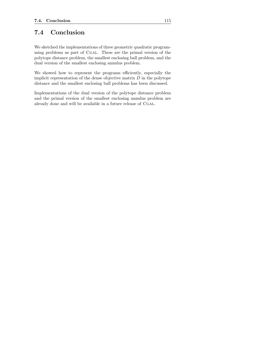## 7.4 Conclusion

We sketched the implementations of three geometric quadratic programming problems as part of Cgal. These are the primal version of the polytope distance problem, the smallest enclosing ball problem, and the dual version of the smallest enclosing annulus problem.

We showed how to represent the programs efficiently, especially the implicit representation of the dense objective matrix  $D$  in the polytope distance and the smallest enclosing ball problems has been discussed.

Implementations of the dual version of the polytope distance problem and the primal version of the smallest enclosing annulus problem are already done and will be available in a future release of Cgal.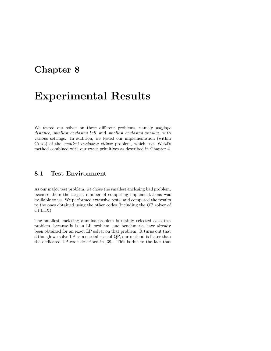## Chapter 8

# Experimental Results

We tested our solver on three different problems, namely polytope distance, smallest enclosing ball, and smallest enclosing annulus, with various settings. In addition, we tested our implementation (within CGAL) of the *smallest enclosing ellipse* problem, which uses Welzl's method combined with our exact primitives as described in Chapter 4.

## 8.1 Test Environment

As our major test problem, we chose the smallest enclosing ball problem, because there the largest number of competing implementations was available to us. We performed extensive tests, and compared the results to the ones obtained using the other codes (including the QP solver of CPLEX).

The smallest enclosing annulus problem is mainly selected as a test problem, because it is an LP problem, and benchmarks have already been obtained for an exact LP solver on that problem. It turns out that although we solve LP as a special case of QP, our method is faster than the dedicated LP code described in [39]. This is due to the fact that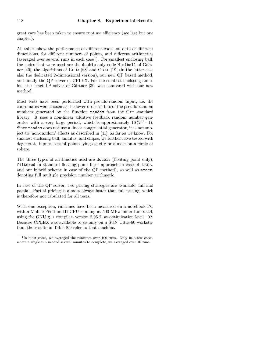great care has been taken to ensure runtime efficiency (see last but one chapter).

All tables show the performance of different codes on data of different dimensions, for different numbers of points, and different arithmetics (averaged over several runs in each case<sup>1</sup>). For smallest enclosing ball, the codes that were used are the double-only code Miniball of Gärtner [40], the algorithms of LEDA  $[68]$  and CGAL [19] (in the latter case also the dedicated 2-dimensional version), our new QP based method, and finally the QP-solver of CPLEX. For the smallest enclosing annulus, the exact LP solver of Gärtner [39] was compared with our new method.

Most tests have been performed with pseudo-random input, i.e. the coordinates were chosen as the lower-order 24 bits of the pseudo-random numbers generated by the function random from the C++ standard library. It uses a non-linear additive feedback random number generator with a very large period, which is approximately  $16 (2^{31}-1)$ . Since random does not use a linear congruential generator, it is not subject to 'non-random' effects as described in [41], as far as we know. For smallest enclosing ball, annulus, and ellipse, we further have tested with degenerate inputs, sets of points lying exactly or almost on a circle or sphere.

The three types of arithmetics used are double (floating point only), filtered (a standard floating point filter approach in case of LEDA, and our hybrid scheme in case of the QP method), as well as exact, denoting full multiple precision number arithmetic.

In case of the QP solver, two pricing strategies are available, full and partial. Partial pricing is almost always faster than full pricing, which is therefore not tabulated for all tests.

With one exception, runtimes have been measured on a notebook PC with a Mobile Pentium III CPU running at 500 MHz under Linux-2.4, using the GNU g++ compiler, version 2.95.2, at optimization level -O3. Because CPLEX was available to us only on a SUN Ultra-60 workstation, the results in Table 8.9 refer to that machine.

<sup>&</sup>lt;sup>1</sup>In most cases, we averaged the runtimes over 100 runs. Only in a few cases, where a single run needed several minutes to complete, we averaged over 10 runs.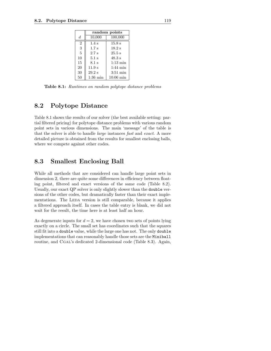|                |                        | random points         |
|----------------|------------------------|-----------------------|
| d.             | 10,000                 | 100,000               |
| $\overline{2}$ | 1.4 s                  | 15.8 s                |
| 3              | 1.7 s                  | 18.2 s                |
| 5              | 2.7 s                  | 25.5 s                |
| 10             | $5.1$ s                | $48.3$ s              |
| 15             | 8.1 s                  | $1:13 \,\mathrm{min}$ |
| 20             | 11.9 s                 | $1:44 \text{ min}$    |
| 30             | 29.2 s                 | $3:51 \text{ min}$    |
| 50             | $1:36 \; \mathrm{min}$ | $10:06 \text{ min}$   |

Table 8.1: Runtimes on random polytope distance problems

## 8.2 Polytope Distance

Table 8.1 shows the results of our solver (the best available setting: partial filtered pricing) for polytope distance problems with various random point sets in various dimensions. The main 'message' of the table is that the solver is able to handle large instances fast and exact. A more detailed picture is obtained from the results for smallest enclosing balls, where we compete against other codes.

## 8.3 Smallest Enclosing Ball

While all methods that are considered can handle large point sets in dimension 2, there are quite some differences in efficiency between floating point, filtered and exact versions of the same code (Table 8.2). Usually, our exact QP solver is only slightly slower than the double versions of the other codes, but dramatically faster than their exact implementations. The LEDA version is still comparable, because it applies a filtered approach itself. In cases the table entry is blank, we did not wait for the result, the time here is at least half an hour.

As degenerate inputs for  $d = 2$ , we have chosen two sets of points lying exactly on a circle. The small set has coordinates such that the squares still fit into a double value, while the large one has not. The only double implementations that can reasonably handle those sets are the Miniball routine, and CGAL's dedicated 2-dimensional code (Table 8.3). Again,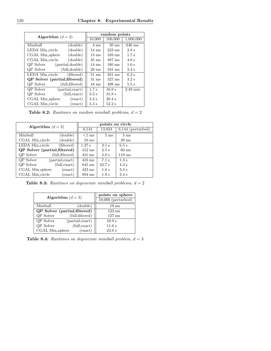|                                              | random points            |                 |                  |            |
|----------------------------------------------|--------------------------|-----------------|------------------|------------|
| Algorithm $(d = 2)$                          |                          |                 |                  | 1,000,000  |
| Miniball                                     | (double)                 | 4 ms            | $50 \text{ ms}$  | $646$ ms   |
| LEDA Min_circle                              | (double)                 | $14 \text{ ms}$ | 223 ms           | 2.8 s      |
|                                              | CGAL Min_sphere (double) |                 | $169 \text{ ms}$ | 1.7 s      |
| CGAL Min_circle (double)                     |                          | $45 \text{ ms}$ | 487 ms           | 4.6 s      |
| $QP$ Solver (partial, double)                |                          | $14 \text{ ms}$ | $160 \text{ ms}$ | 1.6 s      |
|                                              | QP Solver (full, double) |                 | 331 ms           | 3.4 s      |
| LEDA Min_circle (filtered)                   |                          | $51 \text{ ms}$ | $561 \text{ ms}$ | $6.2$ s    |
| QP Solver (partial, filtered)                |                          | $31 \text{ ms}$ | $327 \text{ ms}$ | 3.2 s      |
| $QP$ Solver $\qquad \qquad$ (full, filtered) |                          | $44 \text{ ms}$ | $498$ ms         | 5.5 s      |
| QP Solver (partial, exact)                   |                          | 1.7 s           | 16.9 s           | $2:49$ min |
| QP Solver (full, exact)                      |                          | 3.3 s           | 31.8 s           |            |
| CGAL Min_sphere (exact)                      |                          | 3.2 s           | $30.4$ s         |            |
| CGAL Min_circle (exact)                      |                          | 5.3 s           | $52.2$ s         |            |

Table 8.2: Runtimes on random miniball problems,  $d = 2$ 

| Algorithm $(d=2)$             |                  | points on circle |                     |
|-------------------------------|------------------|------------------|---------------------|
|                               | 6,144            | 13,824           | $6,144$ (perturbed) |
| Miniball<br>(double)          | $<1$ ms          | $5 \text{ ms}$   | $5 \text{ ms}$      |
| (double)<br>CGAL Min_circle   | $10 \text{ ms}$  |                  | $29 \text{ ms}$     |
| LEDA Min_circle<br>(filtered) | $1.27$ s         | 3.1 s            | 6.5 s               |
| QP Solver (partial, filtered) | $412 \text{ ms}$ | 2.5 s            | $60 \text{ ms}$     |
| QP Solver<br>(full, filtered) | $431$ ms         | 4.8 s            | $110 \text{ ms}$    |
| (partial, exact)<br>QP Solver | $416$ ms         | $7.1$ s          | 1.3 s               |
| QP Solver<br>(full, exact)    | 845 ms           | 23.7 s           | 4.3 s               |
| CGAL Min_sphere<br>(exact)    | $423$ ms         | 1.0 s            | 3.4 s               |
| CGAL Min_circle<br>(exact)    | 894 ms           | 1.9 s            | 3.4 s               |

Table 8.3: Runtimes on degenerate miniball problems,  $d = 2$ 

| Algorithm $(d = 3)$           | points on sphere<br>$10,000$ (perturbed) |
|-------------------------------|------------------------------------------|
| Miniball<br>(double)          | $19 \text{ ms}$                          |
| QP Solver (partial, filtered) | $123 \text{ ms}$                         |
| QP Solver<br>(full, filtered) | $127 \text{ ms}$                         |
| QP Solver<br>(partial, exact) | 10.9 s                                   |
| QP Solver<br>(full, exact)    | 11.6 s                                   |
| CGAL Min_sphere<br>(exact)    | 23.8 s                                   |

Table 8.4: Runtimes on degenerate miniball problem,  $d = 3$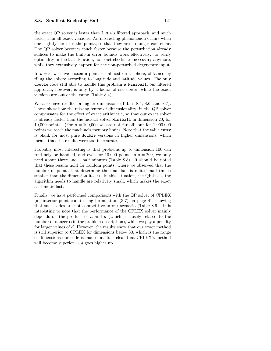the exact QP solver is faster than LEDA's filtered approach, and much faster than all exact versions. An interesting phenomenon occurs when one slightly perturbs the points, so that they are no longer cocircular. The QP solver becomes much faster because the perturbation already suffices to make the built-in error bounds work effectively: to verify optimality in the last iteration, no exact checks are necessary anymore, while they extensively happen for the non-perturbed degenerate input.

In  $d = 3$ , we have chosen a point set almost on a sphere, obtained by tiling the sphere according to longitude and latitude values. The only double code still able to handle this problem is Miniball; our filtered approach, however, is only by a factor of six slower, while the exact versions are out of the game (Table 8.4).

We also have results for higher dimensions (Tables 8.5, 8.6, and 8.7). These show how the missing 'curse of dimensionality' in the QP solver compensates for the effect of exact arithmetic, so that our exact solver is already faster than the inexact solver Miniball in dimension 20, for 10,000 points. (For  $n = 100,000$  we are not far off, but for 1,000,000 points we reach the machine's memory limit). Note that the table entry is blank for most pure double versions in higher dimensions, which means that the results were too inaccurate.

Probably most interesting is that problems up to dimension 100 can routinely be handled, and even for 10,000 points in  $d = 200$ , we only need about three and a half minutes (Table 8.8). It should be noted that these results hold for random points, where we observed that the number of points that determine the final ball is quite small (much smaller than the dimension itself). In this situation, the QP-bases the algorithm needs to handle are relatively small, which makes the exact arithmetic fast.

Finally, we have performed comparisons with the QP solver of CPLEX (an interior point code) using formulation (3.7) on page 41, showing that such codes are not competitive in our scenario (Table 8.9). It is interesting to note that the performance of the CPLEX solver mainly depends on the product of  $n$  and  $d$  (which is closely related to the number of nonzeros in the problem description), while we pay a penalty for larger values of d. However, the results show that our exact method is still superior to CPLEX for dimensions below 30, which is the range of dimensions our code is made for. It is clear that CPLEX's method will become superior as d goes higher up.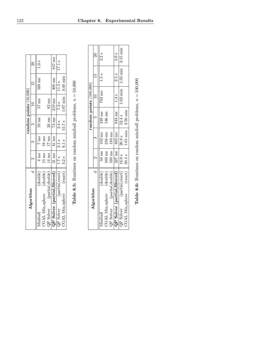| double)<br>double <sup>`</sup><br>Algorithm<br>CGAL Min_sphere<br>linibal |                 |                  |                   | random points (10,000 |               |                   |
|---------------------------------------------------------------------------|-----------------|------------------|-------------------|-----------------------|---------------|-------------------|
|                                                                           |                 |                  |                   |                       | $\frac{5}{1}$ | $\frac{5}{20}$    |
|                                                                           | $4 \text{ ms}$  | 7 ms             | 16 <sub>ms</sub>  | $57$ ms               | $168$ ms      | $1.0$ s           |
|                                                                           | $13 \text{ ms}$ | 18 <sub>ms</sub> |                   |                       |               |                   |
| (partial,double)<br><b>QP</b> Solver                                      | $14 \text{ ms}$ | 17 ms            | $26$ ms           | $62 \text{ ms}$       |               |                   |
| QP Solver (partial, filtered)                                             | $31 \text{ ms}$ | $41$ ms          | $74 \text{ ms}$   | $219$ ms              | $408$ ms      | 847 ms            |
| partial, exact<br><b>QP</b> Solver                                        | 1.7 s           | 2.1s             | 3.4 s             | 7.2s                  | 11.5 s        | 17.1 <sub>s</sub> |
| $\epsilon$ xact $)$<br><b>CGAL</b> Min-sphere                             | 3.2s            | 6.1s             | 15.7 <sub>s</sub> | $1:07$ min            | $3:40$ min    |                   |

Table 8.5: Runtimes on random miniball problems,  $n = 10,000$ 

|                         | Z<br>$\frac{1}{2}$ | 3.2s<br>1.5s     |                        |                  | 5.9s<br>2.5s                  | $1:33$ min $\vert$ 2:15 min |                        |
|-------------------------|--------------------|------------------|------------------------|------------------|-------------------------------|-----------------------------|------------------------|
|                         |                    | $792$ ms         |                        |                  | 1.4 s                         | $1:02$ min.                 |                        |
| random points (100,000) |                    | $249 \:\rm{ms}$  | 546 ms                 |                  | 644 ms                        | 52.4s                       | $\vert$ 2:50 min       |
|                         |                    | $102 \text{ ms}$ | 256 ms                 | $183 \text{ ms}$ | $403$ ms                      | $20.8\,\mathrm{s}$          | $1:01$ min             |
|                         |                    | $50 \text{ ms}$  | $.69$ ms               | $.60$ ms         | $327 \text{ ms}$              | 10.9 s                      | 30.4 s                 |
|                         |                    | double)          | double)                | (partial,double) |                               | partial, exact              | $\text{exact}$         |
| Algorithm               |                    | .<br>Iinibal     | <b>CGAL</b> Min_sphere | <b>QP</b> Solver | QP Solver (partial, filtered) | JP Solver                   | <b>CGAL Min_sphere</b> |

Table 8.6: Runtimes on random miniball problems,  $n = 100,000$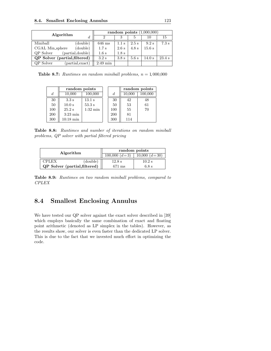| Algorithm                      |                    | random points $(1,000,000)$ |         |        |        |  |  |
|--------------------------------|--------------------|-----------------------------|---------|--------|--------|--|--|
| $\boldsymbol{d}$               | 2                  |                             |         |        | 15     |  |  |
| (double)<br>Miniball           | $646$ ms           | $1.1$ s                     | $2.5$ s | 9.2 s  | 7.3 s  |  |  |
| (double)<br>CGAL Min_sphere    | 1.7 s              | 2.6 s                       | 4.8 s   | 15.6 s |        |  |  |
| (partial, double)<br>QP Solver | 1.6 s              | 1.8 s                       |         |        |        |  |  |
| QP Solver (partial, filtered)  | 3.2 s              | 3.8 s                       | 5.6 s   | 14.0 s | 23.4 s |  |  |
| QP Solver<br>(partial, exact)  | $2:49 \text{ min}$ |                             |         |        |        |  |  |

Table 8.7: Runtimes on random miniball problems,  $n = 1,000,000$ 

|                | random points       |                        |                  |        | random points |
|----------------|---------------------|------------------------|------------------|--------|---------------|
| $\overline{d}$ | 10,000              | 100,000                | $\boldsymbol{d}$ | 10,000 | 100,000       |
| 30             | 3.3 s               | 13.1 s                 | 30               | 42     | 48            |
| 50             | 10.0 s              | 53.3 s                 | 50               | 53     | 61            |
| 100            | $25.2$ s            | $1:32 \; \mathrm{min}$ | 100              | 55     | 70            |
| 200            | $3:23$ min          |                        | 200              | 81     |               |
| 300            | $10:18 \text{ min}$ |                        | 300              | 114    |               |

Table 8.8: Runtimes and number of iterations on random miniball problems, QP solver with partial filtered pricing

| Algorithm                     | random points                    |          |  |
|-------------------------------|----------------------------------|----------|--|
|                               | $100,000(d=3)$   10,000 $(d=30)$ |          |  |
| (double)<br><b>CPLEX</b>      | 12.8 s                           | $10.2$ s |  |
| QP Solver (partial, filtered) | $671 \text{ ms}$                 | 6.8 s    |  |

Table 8.9: Runtimes on two random miniball problems, compared to  $\cal{C}\cal{P} \cal{L} \cal{E} \cal{X}$ 

## 8.4 Smallest Enclosing Annulus

We have tested our QP solver against the exact solver described in [39] which employs basically the same combination of exact and floating point arithmetic (denoted as LP simplex in the tables). However, as the results show, our solver is even faster than the dedicated LP solver. This is due to the fact that we invested much effort in optimizing the code.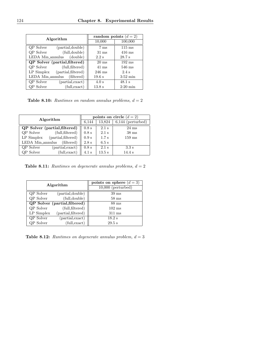| Algorithm                           |                 | random points $(d=2)$  |
|-------------------------------------|-----------------|------------------------|
|                                     | 10,000          | 100,000                |
| QP Solver<br>(partial, double)      | 7 <sub>ms</sub> | $115 \text{ ms}$       |
| QP Solver<br>(full, double)         | $31 \text{ ms}$ | $416 \text{ ms}$       |
| LEDA Min_annulus<br>(double)        | $2.2$ s         | 28.7 s                 |
| QP Solver (partial, filtered)       | $20 \text{ ms}$ | $192 \text{ ms}$       |
| QP Solver<br>(full, filtered)       | $41 \text{ ms}$ | $546$ ms               |
| $LP$ Simplex<br>(partial, filtered) | $246$ ms        | $2.4$ s                |
| LEDA Min_annulus<br>(filtered)      | 19.6 s          | $3:52 \; \mathrm{min}$ |
| QP Solver<br>(partial, exact)       | 4.0 s           | $48.1$ s               |
| QP Solver<br>(full, exact)          | 13.8 s          | $2:20 \text{ min}$     |

Table 8.10: Runtimes on random annulus problems,  $d = 2$ 

| Algorithm                         | points on circle $(d = 2)$ |         |                     |  |
|-----------------------------------|----------------------------|---------|---------------------|--|
|                                   | 6.144                      | 13,824  | $6,144$ (perturbed) |  |
| QP Solver (partial, filtered)     | 0.8 s                      | $2.1$ s | $24 \text{ ms}$     |  |
| QP Solver<br>(full, filtered)     | $0.8$ s                    | $2.1$ s | $38 \text{ ms}$     |  |
| LP Simplex<br>(partial, filtered) | 0.9 s                      | 1.7 s   | $159 \text{ ms}$    |  |
| LEDA Min_annulus<br>(filtered)    | 2.8 s                      | 6.5 s   |                     |  |
| QP Solver<br>(partial, exact)     | $0.8$ s                    | $2.1$ s | 3.3 s               |  |
| (full, exact)<br>QP Solver        | $4.1$ s                    | 13.5 s  | 14.4 s              |  |

Table 8.11: Runtimes on degenerate annulus problems,  $d = 2$ 

|                      | Algorithm                     | points on sphere $(d=3)$ |
|----------------------|-------------------------------|--------------------------|
|                      |                               | $10,000$ (perturbed)     |
| QP Solver            | (partial, double)             | $39 \text{ ms}$          |
| $\mathrm{QP}$ Solver | (full, double)                | $58 \text{ ms}$          |
|                      | QP Solver (partial, filtered) | 88 ms                    |
| QP Solver            | (full, filtered)              | $102 \text{ ms}$         |
| LP Simplex           | (partial, filtered)           | $311 \text{ ms}$         |
| QP Solver            | (partial, exact)              | $18.2$ s                 |
| QP Solver            | (full, exact)                 | 29.5 s                   |

Table 8.12: Runtimes on degenerate annulus problem,  $d = 3$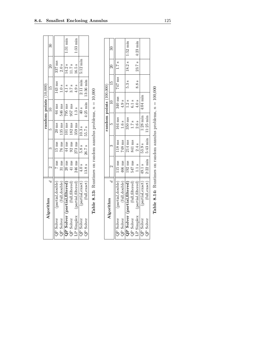|                  | Algorithm                                                            |                   |                 |                  | random points (10,000) |                     |                    |            |
|------------------|----------------------------------------------------------------------|-------------------|-----------------|------------------|------------------------|---------------------|--------------------|------------|
|                  |                                                                      |                   |                 |                  |                        | $\frac{5}{1}$       | $\approx$          | S.         |
| <b>OP</b> Solver | partial.double                                                       | $7 \text{ ms}$    | $15 \text{ ms}$ | $20 \text{ ms}$  | $64$ ms                | 143 ms              | $337 \text{ ms}$   |            |
| JP Solver        | (full, double)                                                       | $31 \text{ ms}$   | $76$ ms         | $135 \text{ ms}$ | 546 ms                 |                     | 2.0 s              |            |
|                  | <b>P</b> Solver (partial, filtered)                                  | $20$ ms           | $44$ ms         | $.01$ ms         | $795$ ms               | 4.1s                | 14.2 <sub>s</sub>  | $1:31$ min |
| <b>JP</b> Solver | (full, filtered)                                                     | $41$ ms           | 92 ms           | $182$ ms         | $957$ ms               | 3.7s                | 1.7s               |            |
| LP Simplex       | partial, filtered                                                    | 246 ms            | $273$ ms        | 359 ms           | 1.3 <sub>s</sub>       | 4.9 s               | 16.5 s             | $1:33$ min |
| <b>QP</b> Solver | partial, exact                                                       | 4.0 <sub>s</sub>  | 5.8 s           | 10.3 s           | 40 s                   | $2:11$ min          | $5:12 \text{ min}$ |            |
| <b>QP</b> Solver | (full, exact)                                                        | 13.8 <sub>s</sub> | 26.7 s          | 55.7 s           | $4:25$ min             | $13:36 \text{ min}$ |                    |            |
|                  | <b>Table 8.13:</b> Runtimes on random annulus problems, $n = 10,000$ |                   |                 |                  |                        |                     |                    |            |

| $\alpha$ on random annihis problems $n =$<br>ı                                           |
|------------------------------------------------------------------------------------------|
| $-2$<br>j                                                                                |
| ï<br>ׇ֚֘֡                                                                                |
| $\frac{1}{2}$                                                                            |
| is seen in<br>֖֖֖֖ׅׅ֪ׅ֖֧ׅ֖֧֚֚֚֚֚֚֚֚֚֚֚֚֚֚֚֚֚֚֚֚֚֚֚֚֚֚֚֚֡֬֝֝֝֝<br>$\overline{a}$<br>ׇ֚֚֘֕ |
| $\frac{1}{2}$<br>١<br>۔<br>ء                                                             |
| $\frac{1}{2}$<br>j<br>ŕ<br>Ì                                                             |

|                  | Algorithm                    |                   |          |            | random points (100,000) |                  |                 |                    |
|------------------|------------------------------|-------------------|----------|------------|-------------------------|------------------|-----------------|--------------------|
|                  |                              |                   |          |            |                         | $-15$            | $\overline{20}$ | S.                 |
| <b>QP</b> Solver | partial, double              | $15 \mathrm{~ms}$ | $118$ ms | $164$ ms   | $340$ ms                | $747 \text{ ms}$ | 1.7s            |                    |
| <b>QP</b> Solver | (full, double)               | $466$ ms          | $748$ ms | 1.6s       | 4.9 s                   |                  |                 |                    |
|                  | QP Solver (partial, filtered | $192$ ms          | $214$ ms | $350$ ms   | 1.2s                    | 5.3s             | 18.2 s          | $1:52 \text{ min}$ |
| P Solver         | (full, filtered)             | $547$ ms          | 841 ms   | 1.7s       |                         |                  |                 |                    |
| LP Simplex       | partial, filtered            | 1.1s              | 2.4 s    | 2.6s       | 4.0 s                   | 8.8 <sub>s</sub> | 23.7 s          | $4:23$ min         |
| <b>QP</b> Solver | partial, exact               | 49.1 s            | 53.9s    | $1:28$ min | 1:04 min                |                  |                 |                    |
| QP Solver        | (full, exact)                | $2:22$ min        | 5:43 min | $1:25$ min |                         |                  |                 |                    |

Table 8.14: Runtimes on random annulus problems,  $n = 100,000$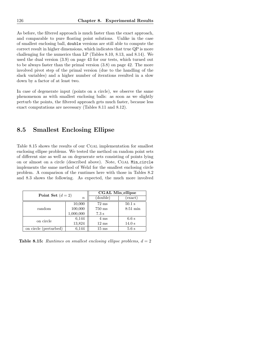As before, the filtered approach is much faster than the exact approach, and comparable to pure floating point solutions. Unlike in the case of smallest enclosing ball, double versions are still able to compute the correct result in higher dimensions, which indicates that true QP is more challenging for the numerics than LP (Tables 8.10, 8.13, and 8.14). We used the dual version (3.9) on page 43 for our tests, which turned out to be always faster than the primal version (3.8) on page 42. The more involved pivot step of the primal version (due to the handling of the slack variables) and a higher number of iterations resulted in a slow down by a factor of at least two.

In case of degenerate input (points on a circle), we observe the same phenomenon as with smallest enclosing balls: as soon as we slightly perturb the points, the filtered approach gets much faster, because less exact computations are necessary (Tables 8.11 and 8.12).

## 8.5 Smallest Enclosing Ellipse

Table 8.15 shows the results of our CGAL implementation for smallest enclosing ellipse problems. We tested the method on random point sets of different size as well as on degenerate sets consisting of points lying on or almost on a circle (described above). Note, CGAL Min\_circle implements the same method of Welzl for the smallest enclosing circle problem. A comparison of the runtimes here with those in Tables 8.2 and 8.3 shows the following. As expected, the much more involved

| Point Set $(d=2)$     |                  | <b>CGAL Min-ellipse</b> |                       |
|-----------------------|------------------|-------------------------|-----------------------|
|                       | $\boldsymbol{n}$ | (double)                | (exact)               |
|                       | 10,000           | $72 \text{ ms}$         | $50.1$ s              |
| random                | 100,000          | $750 \text{ ms}$        | $8:51 \,\mathrm{min}$ |
|                       | 1,000,000        | 7.3 s                   |                       |
| on circle             | 6,144            | 4 ms                    | 6.6 s                 |
|                       | 13,824           | $12 \text{ ms}$         | 14.0 s                |
| on circle (perturbed) | 6,144            | $15 \text{ ms}$         | 5.6s                  |

**Table 8.15:** Runtimes on smallest enclosing ellipse problems,  $d = 2$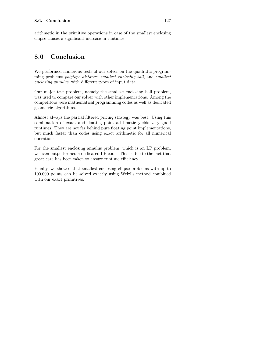arithmetic in the primitive operations in case of the smallest enclosing ellipse causes a significant increase in runtimes.

## 8.6 Conclusion

We performed numerous tests of our solver on the quadratic programming problems polytope distance, smallest enclosing ball, and smallest enclosing annulus, with different types of input data.

Our major test problem, namely the smallest enclosing ball problem, was used to compare our solver with other implementations. Among the competitors were mathematical programming codes as well as dedicated geometric algorithms.

Almost always the partial filtered pricing strategy was best. Using this combination of exact and floating point arithmetic yields very good runtimes. They are not far behind pure floating point implementations, but much faster than codes using exact arithmetic for all numerical operations.

For the smallest enclosing annulus problem, which is an LP problem, we even outperformed a dedicated LP code. This is due to the fact that great care has been taken to ensure runtime efficiency.

Finally, we showed that smallest enclosing ellipse problems with up to 100,000 points can be solved exactly using Welzl's method combined with our exact primitives.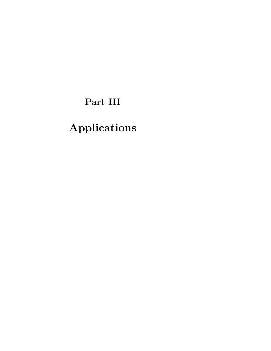Part III

Applications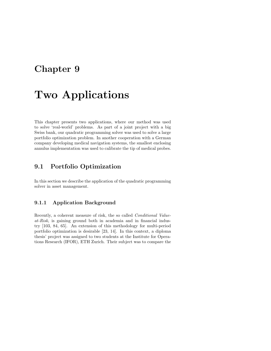# Chapter 9

# Two Applications

This chapter presents two applications, where our method was used to solve 'real-world' problems. As part of a joint project with a big Swiss bank, our quadratic programming solver was used to solve a large portfolio optimization problem. In another cooperation with a German company developing medical navigation systems, the smallest enclosing annulus implementation was used to calibrate the tip of medical probes.

## 9.1 Portfolio Optimization

In this section we describe the application of the quadratic programming solver in asset management.

## 9.1.1 Application Background

Recently, a coherent measure of risk, the so called Conditional Valueat-Risk, is gaining ground both in academia and in financial industry [103, 84, 65]. An extension of this methodology for multi-period portfolio optimization is desirable [23, 14]. In this context, a diploma thesis' project was assigned to two students at the Institute for Operations Research (IFOR), ETH Zurich. Their subject was to compare the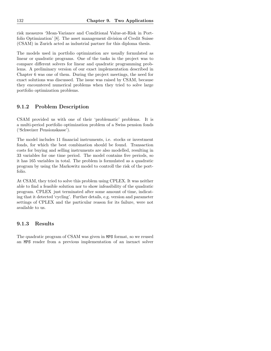risk measures 'Mean-Variance and Conditional Value-at-Risk in Portfolio Optimization' [8]. The asset management division of Credit Suisse (CSAM) in Zurich acted as industrial partner for this diploma thesis.

The models used in portfolio optimization are usually formulated as linear or quadratic programs. One of the tasks in the project was to compare different solvers for linear and quadratic programming problems. A preliminary version of our exact implementation described in Chapter 6 was one of them. During the project meetings, the need for exact solutions was discussed. The issue was raised by CSAM, because they encountered numerical problems when they tried to solve large portfolio optimization problems.

#### 9.1.2 Problem Description

CSAM provided us with one of their 'problematic' problems. It is a multi-period portfolio optimization problem of a Swiss pension fonds ('Schweizer Pensionskasse').

The model includes 11 financial instruments, i.e. stocks or investment fonds, for which the best combination should be found. Transaction costs for buying and selling instruments are also modelled, resulting in 33 variables for one time period. The model contains five periods, so it has 165 variables in total. The problem is formulated as a quadratic program by using the Markowitz model to controll the risk of the portfolio.

At CSAM, they tried to solve this problem using CPLEX. It was neither able to find a feasible solution nor to show infeasibility of the quadratic program. CPLEX just terminated after some amount of time, indicating that it detected 'cycling'. Further details, e.g. version and parameter settings of CPLEX and the particular reason for its failure, were not available to us.

## 9.1.3 Results

The quadratic program of CSAM was given in MPS format, so we reused an MPS reader from a previous implementation of an inexact solver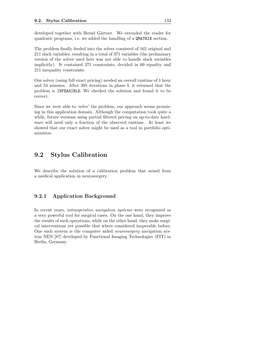developed together with Bernd Gärtner. We extended the reader for quadratic programs, i.e. we added the handling of a QMATRIX section.

The problem finally feeded into the solver consisted of 165 original and 211 slack variables, resulting in a total of 371 variables (the preliminary version of the solver used here was not able to handle slack variables implicitly). It contained 271 constraints, devided in 60 equality and 211 inequality constraints.

Our solver (using full exact pricing) needed an overall runtime of 1 hour and 53 minutes. After 395 iterations in phase I, it returned that the problem is INFEASIBLE. We checked the solution and found it to be correct.

Since we were able to 'solve' the problem, our approach seems promising in this application domain. Although the computation took quite a while, future versions using partial filtered pricing on up-to-date hardware will need only a fraction of the observed runtime. At least we showed that our exact solver might be used as a tool in portfolio optimization.

## 9.2 Stylus Calibration

We describe the solution of a calibration problem that arised from a medical application in neurosurgery.

## 9.2.1 Application Background

In recent years, *intraoperative navigation systems* were recognized as a very powerful tool for surgical cases. On the one hand, they improve the results of such operations, while on the other hand, they make surgical interventions yet possible that where considered inoperable before. One such system is the computer aided neurosurgery navigation system NEN [87] developed by Functional Imaging Technologies (FIT) in Berlin, Germany.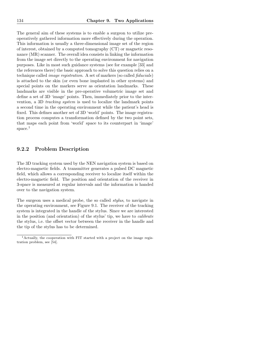The general aim of these systems is to enable a surgeon to utilize preoperatively gathered information more effectively during the operation. This information is usually a three-dimensional image set of the region of interest, obtained by a computed tomography (CT) or magnetic resonance (MR) scanner. The overall idea consists in linking the information from the image set directly to the operating environment for navigation purposes. Like in most such guidance systems (see for example [33] and the references there) the basic approach to solve this question relies on a technique called image registration. A set of markers (so called fiducials) is attached to the skin (or even bone implanted in other systems) and special points on the markers serve as orientation landmarks. These landmarks are visible in the pre-operative volumetric image set and define a set of 3D 'image' points. Then, immediately prior to the intervention, a 3D tracking system is used to localize the landmark points a second time in the operating environment while the patient's head is fixed. This defines another set of 3D 'world' points. The image registration process computes a transformation defined by the two point sets, that maps each point from 'world' space to its counterpart in 'image' space.<sup>1</sup>

#### 9.2.2 Problem Description

The 3D tracking system used by the NEN navigation system is based on electro-magnetic fields. A transmitter generates a pulsed DC magnetic field, which allows a corresponding receiver to localize itself within the electro-magnetic field. The position and orientation of the receiver in 3-space is measured at regular intervals and the information is handed over to the navigation system.

The surgeon uses a medical probe, the so called stylus, to navigate in the operating environment, see Figure 9.1. The receiver of the tracking system is integrated in the handle of the stylus. Since we are interested in the position (and orientation) of the stylus' tip, we have to calibrate the stylus, i.e. the offset vector between the receiver in the handle and the tip of the stylus has to be determined.

<sup>1</sup>Actually, the cooperation with FIT started with a project on the image registration problem, see [54].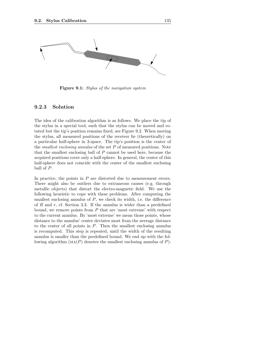

Figure 9.1: Stylus of the navigation system

## 9.2.3 Solution

The idea of the calibration algorithm is as follows. We place the tip of the stylus in a special tool, such that the stylus can be moved and rotated but the tip's position remains fixed, see Figure 9.2. When moving the stylus, all measured positions of the receiver lie (theoretically) on a particular half-sphere in 3-space. The tip's position is the center of the *smallest enclosing annulus* of the set  $P$  of measured positions. Note that the smallest enclosing ball of  $P$  cannot be used here, because the acquired positions cover only a half-sphere. In general, the center of this half-sphere does not coincide with the center of the smallest enclosing ball of P.

In practice, the points in  $P$  are distorted due to measurement errors. There might also be outliers due to extraneous causes (e.g. through metallic objects) that distort the electro-magnetic field. We use the following heuristic to cope with these problems. After computing the smallest enclosing annulus of  $P$ , we check its width, i.e. the difference of  $R$  and  $r$ , cf. Section 3.3. If the annulus is wider than a predefined bound, we remove points from  $P$  that are 'most extreme' with respect to the current annulus. By 'most extreme' we mean those points, whose distance to the annulus' center deviates most from the average distance to the center of all points in  $P$ . Then the smallest enclosing annulus is recomputed. This step is repeated, until the width of the resulting annulus is smaller than the predefined bound. We end up with the following algorithm  $(MA(P))$  denotes the smallest enclosing annulus of P):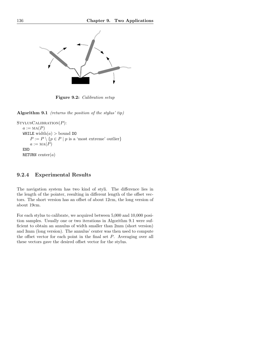

Figure 9.2: Calibration setup

Algorithm 9.1 (returns the position of the stylus' tip)

 $SYYLUSCALIBRATION(P)$ :  $a := MA(P)$ WHILE width $(a) >$  bound DO  $P := P \setminus \{p \in P \mid p \text{ is a 'most extreme' outlier}\}\$  $a := MA(P)$ END RETURN center $(a)$ 

### 9.2.4 Experimental Results

The navigation system has two kind of styli. The difference lies in the length of the pointer, resulting in different length of the offset vectors. The short version has an offset of about 12cm, the long version of about 19cm.

For each stylus to calibrate, we acquired between 5,000 and 10,000 position samples. Usually one or two iterations in Algorithm 9.1 were sufficient to obtain an annulus of width smaller than 2mm (short version) and 3mm (long version). The annulus' center was then used to compute the offset vector for each point in the final set P. Averaging over all these vectors gave the desired offset vector for the stylus.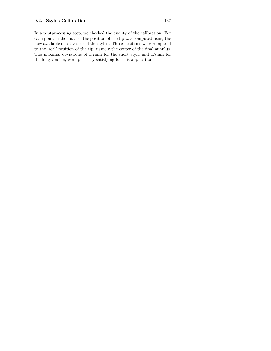In a postprocessing step, we checked the quality of the calibration. For each point in the final  $P$ , the position of the tip was computed using the now available offset vector of the stylus. These positions were compared to the 'real' position of the tip, namely the center of the final annulus. The maximal deviations of 1.2mm for the short styli, and 1.8mm for the long version, were perfectly satisfying for this application.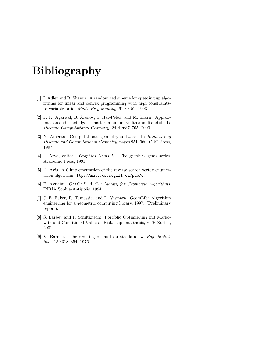# Bibliography

- [1] I. Adler and R. Shamir. A randomized scheme for speeding up algorithms for linear and convex programming with high constraintsto-variable ratio. Math. Programming, 61:39–52, 1993.
- [2] P. K. Agarwal, B. Aronov, S. Har-Peled, and M. Sharir. Approximation and exact algorithms for minimum-width annuli and shells. Discrete Computational Geometry, 24(4):687–705, 2000.
- [3] N. Amenta. Computational geometry software. In Handbook of Discrete and Computational Geometry, pages 951–960. CRC Press, 1997.
- [4] J. Arvo, editor. Graphics Gems II. The graphics gems series. Academic Press, 1991.
- [5] D. Avis. A C implementation of the reverse search vertex enumeration algorithm. ftp://mutt.cs.mcgill.ca/pub/C.
- [6] F. Avnaim.  $C++GAL: A C++ Library for Geometric Algorithms.$ INRIA Sophia-Antipolis, 1994.
- [7] J. E. Baker, R. Tamassia, and L. Vismara. GeomLib: Algorithm engineering for a geometric computing library, 1997. (Preliminary report).
- [8] S. Barbey and P. Schiltknecht. Portfolio Optimierung mit Markowitz und Conditional Value-at-Risk. Diploma thesis, ETH Zurich, 2001.
- [9] V. Barnett. The ordering of multivariate data. J. Roy. Statist. Soc., 139:318–354, 1976.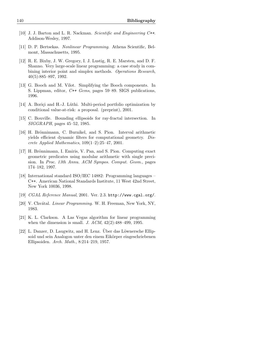- [10] J. J. Barton and L. R. Nackman. Scientific and Engineering C++. Addison-Wesley, 1997.
- [11] D. P. Bertsekas. Nonlinear Programming. Athena Scientific, Belmont, Massachusetts, 1995.
- [12] R. E. Bixby, J. W. Gregory, I. J. Lustig, R. E. Marsten, and D. F. Shanno. Very large-scale linear programming: a case study in combining interior point and simplex methods. Operations Research, 40(5):885–897, 1992.
- [13] G. Booch and M. Vilot. Simplifying the Booch components. In S. Lippman, editor, C++ Gems, pages 59–89. SIGS publications, 1996.
- [14] A. Boriçi and H.-J. Lüthi. Multi-period portfolio optimization by conditional value-at-risk: a proposal. (preprint), 2001.
- [15] C. Bouville. Bounding ellipsoids for ray-fractal intersection. In SIGGRAPH, pages 45–52, 1985.
- [16] H. Brönnimann, C. Burnikel, and S. Pion. Interval arithmetic yields efficient dynamic filters for computational geometry. Discrete Applied Mathematics, 109(1–2):25–47, 2001.
- [17] H. Brönnimann, I. Emiris, V. Pan, and S. Pion. Computing exact geometric predicates using modular arithmetic with single precision. In Proc. 13th Annu. ACM Sympos. Comput. Geom., pages 174–182, 1997.
- [18] International standard ISO/IEC 14882: Programming languages C++. American National Standards Institute, 11 West 42nd Street, New York 10036, 1998.
- [19] CGAL Reference Manual, 2001. Ver. 2.3. http://www.cgal.org/.
- [20] V. Chvátal. *Linear Programming*. W. H. Freeman, New York, NY, 1983.
- [21] K. L. Clarkson. A Las Vegas algorithm for linear programming when the dimension is small. J. ACM, 42(2):488–499, 1995.
- $[22]$  L. Danzer, D. Laugwitz, and H. Lenz. Über das Löwnersche Ellipsoid und sein Analogon unter den einem Eikörper eingeschriebenen Ellipsoiden. Arch. Math., 8:214–219, 1957.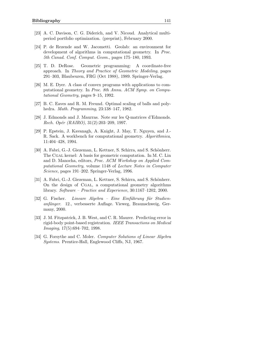- [23] A. C. Davison, C. G. Diderich, and V. Nicoud. Analytical multiperiod portfolio optimization. (preprint), February 2000.
- [24] P. de Rezende and W. Jacometti. Geolab: an environment for development of algorithms in computational geometry. In *Proc.* 5th Canad. Conf. Comput. Geom., pages 175–180, 1993.
- [25] T. D. DeRose. Geometric programming: A coordinate-free approach. In Theory and Practice of Geometric Modeling, pages 291–303, Blaubeuren, FRG (Oct 1988), 1989. Springer-Verlag.
- [26] M. E. Dyer. A class of convex programs with applications to computational geometry. In Proc. 8th Annu. ACM Symp. on Computational Geometry, pages 9–15, 1992.
- [27] B. C. Eaves and R. M. Freund. Optimal scaling of balls and polyhedra. Math. Programming, 23:138–147, 1982.
- [28] J. Edmonds and J. Maurras. Note sur les Q-matrices d'Edmonds. Rech. Opér (RAIRO),  $31(2):203-209$ , 1997.
- [29] P. Epstein, J. Kavanagh, A. Knight, J. May, T. Nguyen, and J.- R. Sack. A workbench for computational geometry. Algorithmica, 11:404–428, 1994.
- [30] A. Fabri, G.-J. Giezeman, L. Kettner, S. Schirra, and S. Schönherr. The Cgal kernel: A basis for geometric computation. In M. C. Lin and D. Manocha, editors, Proc. ACM Workshop on Applied Computational Geometry, volume 1148 of Lecture Notes in Computer Science, pages 191–202. Springer-Verlag, 1996.
- [31] A. Fabri, G.-J. Giezeman, L. Kettner, S. Schirra, and S. Schönherr. On the design of Cgal, a computational geometry algorithms library. Software – Practice and Experience, 30:1167–1202, 2000.
- $[32]$  G. Fischer. Lineare Algebra Eine Einführung für Studienanfänger. 12., verbesserte Auflage. Vieweg, Braunschweig, Germany, 2000.
- [33] J. M. Fitzpatrick, J. B. West, and C. R. Maurer. Predicting error in rigid-body point-based registration. IEEE Transactions on Medical Imaging, 17(5):694–702, 1998.
- [34] G. Forsythe and C. Moler. *Computer Solutions of Linear Algebra* Systems. Prentice-Hall, Englewood Cliffs, NJ, 1967.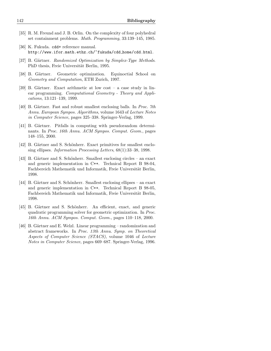- [35] R. M. Freund and J. B. Orlin. On the complexity of four polyhedral set containment problems. Math. Programming, 33:139–145, 1985.
- [36] K. Fukuda. cdd+ reference manual. http://www.ifor.math.ethz.ch/~fukuda/cdd home/cdd.html.
- [37] B. Gärtner. Randomized Optimization by Simplex-Type Methods. PhD thesis, Freie Universität Berlin, 1995.
- [38] B. Gärtner. Geometric optimization. Equinoctial School on Geometry and Computation, ETH Zurich, 1997.
- [39] B. Gärtner. Exact arithmetic at low cost a case study in linear programming. Computational Geometry - Theory and Applications, 13:121–139, 1999.
- [40] B. Gärtner. Fast and robust smallest enclosing balls. In Proc. 7th Annu. European Sympos. Algorithms, volume 1643 of Lecture Notes in Computer Science, pages 325–338. Springer-Verlag, 1999.
- [41] B. Gärtner. Pitfalls in computing with pseudorandom determinants. In Proc. 16th Annu. ACM Sympos. Comput. Geom., pages 148–155, 2000.
- [42] B. Gärtner and S. Schönherr. Exact primitives for smallest enclosing ellipses. Information Processing Letters, 68(1):33–38, 1998.
- [43] B. Gärtner and S. Schönherr. Smallest enclosing circles an exact and generic implementation in C++. Technical Report B 98-04, Fachbereich Mathematik und Informatik, Freie Universität Berlin, 1998.
- [44] B. Gärtner and S. Schönherr. Smallest enclosing ellipses an exact and generic implementation in C++. Technical Report B 98-05, Fachbereich Mathematik und Informatik, Freie Universität Berlin, 1998.
- [45] B. Gärtner and S. Schönherr. An efficient, exact, and generic quadratic programming solver for geometric optimization. In Proc. 16th Annu. ACM Sympos. Comput. Geom., pages 110–118, 2000.
- [46] B. Gärtner and E. Welzl. Linear programming randomization and abstract frameworks. In Proc. 13th Annu. Symp. on Theoretical Aspects of Computer Science (STACS), volume 1046 of Lecture Notes in Computer Science, pages 669–687. Springer-Verlag, 1996.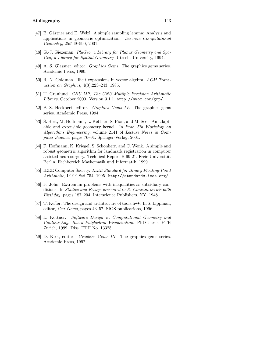- [47] B. Gärtner and E. Welzl. A simple sampling lemma: Analysis and applications in geometric optimization. Discrete Computational Geometry, 25:569–590, 2001.
- [48] G.-J. Giezeman. PlaGeo, a Library for Planar Geometry and Spa-Geo, a Library for Spatial Geometry. Utrecht University, 1994.
- [49] A. S. Glassner, editor. Graphics Gems. The graphics gems series. Academic Press, 1990.
- [50] R. N. Goldman. Illicit expressions in vector algebra. ACM Transaction on Graphics, 4(3):223–243, 1985.
- [51] T. Granlund. GNU MP, The GNU Multiple Precision Arithmetic Library, October 2000. Version 3.1.1. http://swox.com/gmp/.
- [52] P. S. Heckbert, editor. Graphics Gems IV. The graphics gems series. Academic Press, 1994.
- [53] S. Hert, M. Hoffmann, L. Kettner, S. Pion, and M. Seel. An adaptable and extensible geometry kernel. In Proc. 5th Workshop on Algorithms Engineering, volume 2141 of Lecture Notes in Computer Science, pages 76–91. Springer-Verlag, 2001.
- [54] F. Hoffmann, K. Kriegel, S. Schönherr, and C. Wenk. A simple and robust geometric algorithm for landmark registration in computer assisted neurosurgery. Technical Report B 99-21, Freie Universität Berlin, Fachbereich Mathematik und Informatik, 1999.
- [55] IEEE Computer Society. IEEE Standard for Binary Floating-Point Arithmetic, IEEE Std 754, 1995. http://standards.ieee.org/.
- [56] F. John. Extremum problems with inequalities as subsidiary conditions. In Studies and Essays presented to R. Courant on his 60th Birthday, pages 187–204. Interscience Publishers, NY, 1948.
- [57] T. Keffer. The design and architecture of tools.h++. In S. Lippman, editor, C++ Gems, pages 43–57. SIGS publications, 1996.
- [58] L. Kettner. Software Design in Computational Geometry and Contour-Edge Based Polyhedron Visualization. PhD thesis, ETH Zurich, 1999. Diss. ETH No. 13325.
- [59] D. Kirk, editor. Graphics Gems III. The graphics gems series. Academic Press, 1992.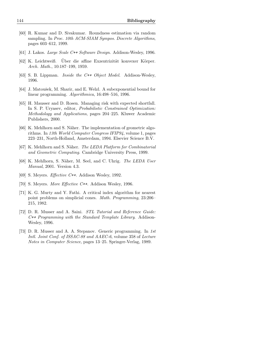- [60] R. Kumar and D. Sivakumar. Roundness estimation via random sampling. In Proc. 10th ACM-SIAM Sympos. Discrete Algorithms, pages 603–612, 1999.
- [61] J. Lakos. Large Scale C++ Software Design. Addison-Wesley, 1996.
- [62] K. Leichtweiß. Über die affine Exzentrizität konvexer Körper. Arch. Math., 10:187–199, 1959.
- [63] S. B. Lippman. *Inside the C++ Object Model*. Addison-Wesley, 1996.
- [64] J. Matoušek, M. Sharir, and E. Welzl. A subexponential bound for linear programming. Algorithmica, 16:498–516, 1996.
- [65] H. Mausser and D. Rosen. Managing risk with expected shortfall. In S. P. Uryasev, editor, Probabilistic Constrained Optimization: Methodology and Applications, pages 204–225. Kluwer Academic Publishers, 2000.
- [66] K. Mehlhorn and S. Näher. The implementation of geometric algorithms. In 13th World Computer Congress IFIP94, volume 1, pages 223–231, North-Holland, Amsterdam, 1994. Elsevier Science B.V.
- [67] K. Mehlhorn and S. Näher. The LEDA Platform for Combinatorial and Geometric Computing. Cambridge University Press, 1999.
- [68] K. Mehlhorn, S. Näher, M. Seel, and C. Uhrig. The LEDA User Manual, 2001. Version 4.3.
- [69] S. Meyers. Effective C++. Addison Wesley, 1992.
- [70] S. Meyers. *More Effective C*++. Addison Wesley, 1996.
- [71] K. G. Murty and Y. Fathi. A critical index algorithm for nearest point problems on simplicial cones. Math. Programming, 23:206– 215, 1982.
- [72] D. R. Musser and A. Saini. STL Tutorial and Reference Guide: C++ Programming with the Standard Template Library. Addison-Wesley, 1996.
- [73] D. R. Musser and A. A. Stepanov. Generic programming. In 1st Intl. Joint Conf. of ISSAC-88 and AAEC-6, volume 358 of Lecture Notes in Computer Science, pages 13–25. Springer-Verlag, 1989.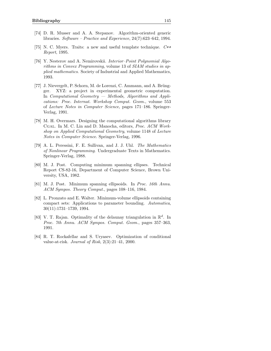- [74] D. R. Musser and A. A. Stepanov. Algorithm-oriented generic libraries. Software – Practice and Experience, 24(7):623–642, 1994.
- [75] N. C. Myers. Traits: a new and useful template technique. C++ Report, 1995.
- [76] Y. Nesterov and A. Nemirovskii. Interior–Point Polynomial Algorithms in Convex Programming, volume 13 of SIAM studies in applied mathematics. Society of Industrial and Applied Mathematics, 1993.
- [77] J. Nievergelt, P. Schorn, M. de Lorenzi, C. Ammann, and A. Brüngger. XYZ: a project in experimental geometric computation. In Computational Geometry — Methods, Algorithms and Applications: Proc. Internat. Workshop Comput. Geom., volume 553 of Lecture Notes in Computer Science, pages 171–186. Springer-Verlag, 1991.
- [78] M. H. Overmars. Designing the computational algorithms library Cgal. In M. C. Lin and D. Manocha, editors, Proc. ACM Workshop on Applied Computational Geometry, volume 1148 of Lecture Notes in Computer Science. Springer-Verlag, 1996.
- [79] A. L. Peressini, F. E. Sullivan, and J. J. Uhl. The Mathematics of Nonlinear Programming. Undergraduate Texts in Mathematics. Springer-Verlag, 1988.
- [80] M. J. Post. Computing minimum spanning ellipses. Technical Report CS-82-16, Department of Computer Science, Brown University, USA, 1982.
- [81] M. J. Post. Minimum spanning ellipsoids. In Proc. 16th Annu. ACM Sympos. Theory Comput., pages 108–116, 1984.
- [82] L. Pronzato and E. Walter. Minimum-volume ellipsoids containing compact sets: Applications to parameter bounding. Automatica, 30(11):1731–1739, 1994.
- [83] V. T. Rajan. Optimality of the delaunay triangulation in  $\mathbb{R}^d$ . In Proc. 7th Annu. ACM Sympos. Comput. Geom., pages 357–363, 1991.
- [84] R. T. Rockafellar and S. Uryasev. Optimization of conditional value-at-risk. Journal of Risk,  $2(3):21-41$ ,  $2000$ .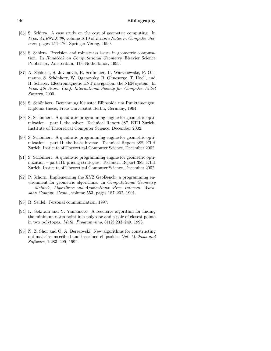- [85] S. Schirra. A case study on the cost of geometric computing. In Proc. ALENEX'99, volume 1619 of Lecture Notes in Computer Science, pages 156–176. Springer-Verlag, 1999.
- [86] S. Schirra. Precision and robustness issues in geometric computation. In Handbook on Computational Geometry. Elsevier Science Publishers, Amsterdam, The Netherlands, 1999.
- [87] A. Schleich, S. Jovanovic, B. Sedlmaier, U. Warschewske, F. Oltmanns, S. Schönherr, W. Oganovsky, B. Ohnesorge, T. Hoell, and H. Scherer. Electromagnetic ENT navigation: the NEN system. In Proc. 4th Annu. Conf. International Society for Computer Aided Surgery, 2000.
- [88] S. Schönherr. Berechnung kleinster Ellipsoide um Punktemengen. Diploma thesis, Freie Universität Berlin, Germany, 1994.
- [89] S. Schönherr. A quadratic programming engine for geometric optimization – part I: the solver. Technical Report 387, ETH Zurich, Institute of Theoretical Computer Science, December 2002.
- [90] S. Schönherr. A quadratic programming engine for geometric optimization – part II: the basis inverse. Technical Report 388, ETH Zurich, Institute of Theoretical Computer Science, December 2002.
- [91] S. Schönherr. A quadratic programming engine for geometric optimization – part III: pricing strategies. Technical Report 389, ETH Zurich, Institute of Theoretical Computer Science, December 2002.
- [92] P. Schorn. Implementing the XYZ GeoBench: a programming environment for geometric algorithms. In Computational Geometry — Methods, Algorithms and Applications: Proc. Internat. Workshop Comput. Geom., volume 553, pages 187–202, 1991.
- [93] R. Seidel. Personal communication, 1997.
- [94] K. Sekitani and Y. Yamamoto. A recursive algorithm for finding the minimum norm point in a polytope and a pair of closest points in two polytopes. Math. Programming, 61(2):233–249, 1993.
- [95] N. Z. Shor and O. A. Berezovski. New algorithms for constructing optimal circumscribed and inscribed ellipsoids. Opt. Methods and Software, 1:283–299, 1992.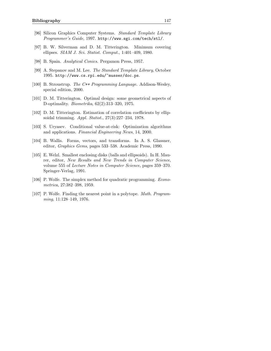- [96] Silicon Graphics Computer Systems. Standard Template Library Programmer's Guide, 1997. http://www.sgi.com/tech/stl/.
- [97] B. W. Silverman and D. M. Titterington. Minimum covering ellipses. SIAM J. Sci. Statist. Comput., 1:401–409, 1980.
- [98] B. Spain. Analytical Conics. Pergamon Press, 1957.
- [99] A. Stepanov and M. Lee. The Standard Template Library, October 1995. http://www.cs.rpi.edu/~musser/doc.ps.
- [100] B. Stroustrup. The C++ Programming Language. Addison-Wesley, special edition, 2000.
- [101] D. M. Titterington. Optimal design: some geometrical aspects of D-optimality. Biometrika, 62(2):313–320, 1975.
- [102] D. M. Titterington. Estimation of correlation coefficients by ellipsoidal trimming. Appl. Statist., 27(3):227–234, 1978.
- [103] S. Uryasev. Conditional value-at-risk: Optimization algorithms and applications. Financial Engineering News, 14, 2000.
- [104] B. Wallis. Forms, vectors, and transforms. In A. S. Glassner, editor, Graphics Gems, pages 533–538. Academic Press, 1990.
- [105] E. Welzl. Smallest enclosing disks (balls and ellipsoids). In H. Maurer, editor, New Results and New Trends in Computer Science, volume 555 of Lecture Notes in Computer Science, pages 359–370. Springer-Verlag, 1991.
- [106] P. Wolfe. The simplex method for quadratic programming. *Econo*metrica, 27:382–398, 1959.
- [107] P. Wolfe. Finding the nearest point in a polytope. *Math. Program*ming, 11:128–149, 1976.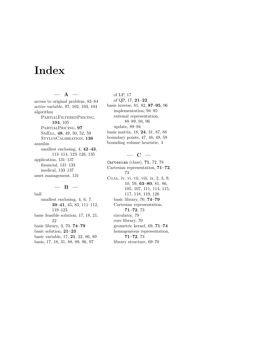# Index

## $-$  A  $$ access to original problem, 83–84 active variable, 97, 102, 103, 104 algorithm PARTIALFILTEREDPRICING, 104, 105 PARTIALPRICING, 97 SmEll, 48, 49, 50, 52, 59 StylusCalibration, 136 annulus smallest enclosing, 4,  $42-43$ , 113–114, 123–126, 135 application, 131–137 financial, 131–133 medical, 133–137 asset management, 131

#### $-$  B  $-$

ball smallest enclosing,  $4, 6, 7$ , 39–41, 45, 83, 111–112, 119–123 basic feasible solution, 17, 18, 21, 22 basic library, 3, 70, 74–79 basic solution, 21–23 basic variable, 17, 21, 22, 86, 89 basis, 17, 18, 31, 88, 89, 96, 97

of LP, 17 of QP, 17, 21–22 basis inverse, 81, 82, 87–95, 96 implementation, 94–95 rational representation, 88–89, 94, 96 update, 89–94 basis matrix, 18, 24, 31, 87, 88 boundary points, 47, 48, 49, 59 bounding volume heuristic, 4

### $C -$

Cartesian (class), 71, 72, 78 Cartesian representation, 71–72, 73 Cgal, iv, vi, vii, viii, ix, 2, 3, 9, 10, 59, 63–80, 81, 86, 105, 107, 111, 114, 115, 117, 118, 119, 126 basic library, 70, 74–79 Cartesian representation, 71–72, 73 circulator, 79 core library, 70 geometric kernel, 69, 71–74 homogeneous representation, 71–72, 73 library structure, 69–70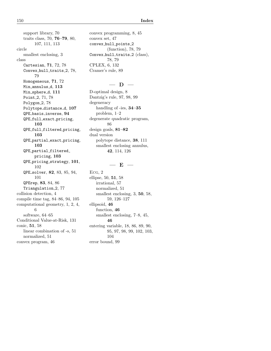support library, 70 traits class, 70, 76–79, 80, 107, 111, 113 circle smallest enclosing, 3 class Cartesian, 71, 72, 78 Convex\_hull\_traits\_2, 78, 79 Homogeneous, 71, 72 Min\_annulus\_d, 113 Min\_sphere\_d, 111 Point 2, 71, 78 Polygon<sub>2</sub>, 78 Polytope\_distance\_d, 107 QPE basis inverse, 94 QPE full exact pricing, 103 QPE full filtered pricing, 103 QPE partial exact pricing, 103 QPE\_partial\_filtered\_ pricing, 103  $QPE\_pricing\_strategy, 101,$ 102 QPE solver, 82, 83, 85, 94, 101 QPErep, 83, 84, 86 Triangulation<sub>2</sub>, 77 collision detection, 4 compile time tag, 84–86, 94, 105 computational geometry, 1, 2, 4, 6 software, 64–65 Conditional Value-at-Risk, 131 conic, 51, 58 linear combination of -s, 51 normalized, 51 convex program, 46

convex programming, 8, 45 convex set, 47 convex hull points 2 (function), 78, 79 Convex\_hull\_traits\_2 (class), 78, 79 CPLEX, 6, 132 Cramer's rule, 89

#### $-$  D  $-$

D-optimal design, 8 Dantzig's rule, 97, 98, 99 degeneracy handling of -ies,  $34-35$ problem, 1–2 degenerate quadratic program, 86 design goals, 81–82 dual version polytope distance, 38, 111 smallest enclosing annulus, 42, 114, 126

#### $-$  E  $-$

Ecg, 2 ellipse, 50, 51, 58 irrational, 57 normalized, 51 smallest enclosing, 3, 50, 58, 59, 126–127 ellipsoid, 46 function, 46 smallest enclosing, 7–8, 45, 46 entering variable, 18, 86, 89, 90, 95, 97, 98, 99, 102, 103, 104 error bound, 99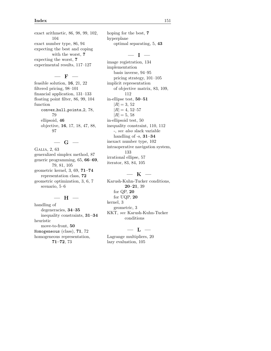exact arithmetic, 86, 98, 99, 102, 104 exact number type, 86, 94 expecting the best and coping with the worst,  $7$ expecting the worst, 7 experimental results, 117–127

## $-$  F  $-$

feasible solution, 16, 21, 22 filtered pricing, 98–101 financial application, 131–133 floating point filter, 86, 99, 104 function convex hull points 2, 78, 79 ellipsoid, 46 objective, 16, 17, 18, 47, 88, 97

 $-$  G  $-$ 

Galia, 2, 63 generalized simplex method, 87 generic programming, 65, 66–69, 79, 81, 105 geometric kernel, 3, 69, 71–74 representation class, 72 geometric optimization, 3, 6, 7 scenario, 5–6

#### $-$  H  $-$

handling of degeneracies, 34–35 inequality constraints, 31–34 heuristic move-to-front, 50 Homogeneous (class), 71, 72 homogeneous representation, 71–72, 73

hoping for the best, 7 hyperplane optimal separating, 5, 43

## $-1-$

image registration, 134 implementation basis inverse, 94–95 pricing strategy, 101–105 implicit representation of objective matrix, 83, 109, 112 in-ellipse test, 50–51  $|R| = 3, 52$  $|R| = 4, 52-57$  $|R| = 5, 58$ in-ellipsoid test, 50 inequality constraint, 110, 112 -, see also slack variable handling of -s, 31–34 inexact number type, 102 intraoperative navigation system, 133 irrational ellipse, 57 iterator, 83, 84, 105

## $-$  K  $-$

Karush-Kuhn-Tucker conditions, 20–21, 39 for QP, 20 for UQP, 20 kernel, 3 geometric, 3 KKT, see Karush-Kuhn-Tucker conditions

#### $-$  L  $-$

Lagrange multipliers, 20 lazy evaluation, 105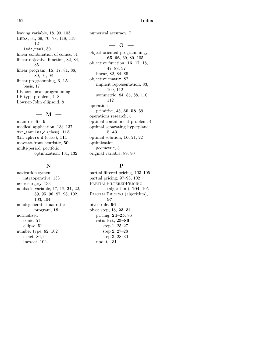leaving variable, 18, 90, 103 Leda, 64, 69, 70, 78, 118, 119, 121 leda\_real, 59 linear combination of conics, 51 linear objective function, 82, 84, 85 linear program, 15, 17, 81, 88, 89, 94, 98 linear programming, 3, 15 basis, 17 LP, see linear programming LP-type problem, 4, 8 Löwner-John ellipsoid, 8

 $-$  M  $-$ 

main results, 9 medical application, 133–137 Min\_annulus\_d (class), 113 Min\_sphere\_d (class), 111 move-to-front heuristic, 50 multi-period portfolio optimization, 131, 132

## $- N -$

navigation system intraoperative, 133 neurosurgery, 133 nonbasic variable, 17, 18, 21, 22, 89, 95, 96, 97, 98, 102, 103, 104 nondegenerate quadratic program, 19 normalized conic, 51 ellipse, 51 number type, 82, 102 exact, 86, 94 inexact, 102

numerical accuracy, 7

#### $-0-$

object-oriented programming, 65–66, 69, 80, 105 objective function, 16, 17, 18, 47, 88, 97 linear, 82, 84, 85 objective matrix, 82 implicit representation, 83, 109, 112 symmetric, 84, 85, 88, 110, 112 operation primitive, 45, 50–58, 59 operations research, 5 optimal containment problem, 4 optimal separating hyperplane, 5, 43 optimal solution, 16, 21, 22 optimization geometric, 3 original variable, 89, 90

## $-$  P  $-$

partial filtered pricing, 103–105 partial pricing, 97–98, 102 PARTIALFILTEREDPRICING (algorithm), 104, 105 PARTIALPRICING (algorithm), 97 pivot rule, 96 pivot step, 18, 23–31 pricing, 24–25, 86 ratio test, 25–86 step 1, 25–27 step 2, 27–28 step 3, 28–30 update, 31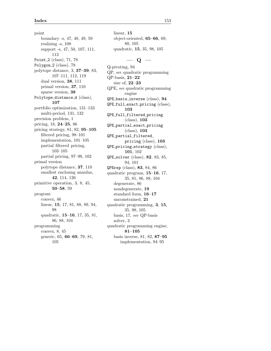point boundary -s, 47, 48, 49, 59 realizing -s, 108 support -s, 47, 50, 107, 111, 113 Point 2 (class), 71, 78 Polygon<sub>-2</sub> (class), 78 polytope distance, 3, 37–39, 83, 107–111, 112, 119 dual version, 38, 111 primal version, 37, 110 sparse version, 38 Polytope\_distance\_d (class), 107 portfolio optimization, 131–133 multi-period, 131, 132 precision problem, 1 pricing, 18, 24–25, 86 pricing strategy, 81, 82, 95–105 filtered pricing, 98–101 implementation, 101–105 partial filtered pricing, 103–105 partial pricing, 97–98, 102 primal version polytope distance, 37, 110 smallest enclosing annulus, 42, 114, 126 primitive operation, 3, 8, 45, 50–58, 59 program convex, 46 linear, 15, 17, 81, 88, 89, 94, 98 quadratic, 15–16, 17, 35, 81, 86, 88, 104 programming convex, 8, 45 generic, 65, 66–69, 79, 81, 105

linear, 15 object-oriented, 65–66, 69, 80, 105 quadratic, 15, 35, 98, 105

## $-$  Q  $-$

Q-pivoting, 94 QP, see quadratic programming QP-basis, 21–22 size of, 22–23 QPE, see quadratic programming engine QPE basis inverse (class), 94 QPE full exact pricing (class), 103 QPE full filtered pricing (class), 103 QPE partial exact pricing (class), 103 QPE partial filtered pricing (class), 103 QPE pricing strategy (class), 101, 102 QPE solver (class), 82, 83, 85, 94, 101 QPErep (class), 83, 84, 86 quadratic program, 15–16, 17, 35, 81, 86, 88, 104 degenerate, 86 nondegenerate, 19 standard form, 16–17 unconstrained, 21 quadratic programming, 3, 15, 35, 98, 105 basis, 17, see QP-basis solver, 3 quadratic programming engine, 81–105 basis inverse, 81, 82, 87–95 implementation, 94–95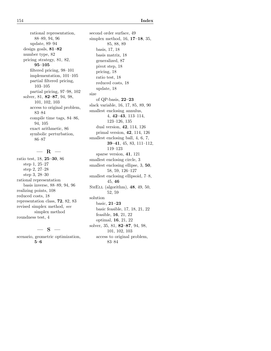rational representation, 88–89, 94, 96 update, 89–94 design goals, 81–82 number type, 82 pricing strategy, 81, 82, 95–105 filtered pricing, 98–101 implementation, 101–105 partial filtered pricing, 103–105 partial pricing, 97–98, 102 solver, 81, 82–87, 94, 98, 101, 102, 103 access to original problem, 83–84 compile time tags, 84–86, 94, 105 exact arithmetic, 86 symbolic perturbation, 86–87

#### $-$  R  $-$

ratio test, 18, 25–30, 86 step 1, 25–27 step 2, 27–28 step 3, 28–30 rational representation basis inverse, 88–89, 94, 96 realizing points, 108 reduced costs, 18 representation class, 72, 82, 83 revised simplex method, see simplex method roundness test, 4

#### $-$  S  $-$

scenario, geometric optimization, 5–6

second order surface, 49 simplex method, 16, 17–18, 35, 85, 88, 89 basis, 17, 18 basis matrix, 18 generalized, 87 pivot step, 18 pricing, 18 ratio test, 18 reduced costs, 18 update, 18 size of QP-basis, 22–23 slack variable, 16, 17, 85, 89, 90 smallest enclosing annulus, 4, 42–43, 113–114, 123–126, 135 dual version, 42, 114, 126 primal version, 42, 114, 126 smallest enclosing ball, 4, 6, 7, 39–41, 45, 83, 111–112, 119–123 sparse version, 41, 121 smallest enclosing circle, 3 smallest enclosing ellipse, 3, 50, 58, 59, 126–127 smallest enclosing ellipsoid, 7–8, 45, 46 SmEll (algorithm), 48, 49, 50, 52, 59 solution basic, 21–23 basic feasible, 17, 18, 21, 22 feasible, 16, 21, 22 optimal, 16, 21, 22 solver, 35, 81, 82–87, 94, 98, 101, 102, 103 access to original problem, 83–84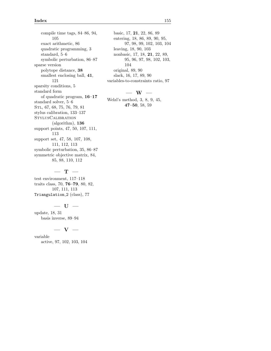compile time tags, 84–86, 94, 105 exact arithmetic, 86 quadratic programming, 3 standard, 5–6 symbolic perturbation, 86–87 sparse version polytope distance, 38 smallest enclosing ball, 41, 121 sparsity conditions, 5 standard form of quadratic program, 16–17 standard solver, 5–6 Stl, 67, 68, 75, 76, 79, 81 stylus calibration, 133–137 StylusCalibration (algorithm), 136 support points, 47, 50, 107, 111, 113 support set, 47, 58, 107, 108, 111, 112, 113 symbolic perturbation, 35, 86–87 symmetric objective matrix, 84, 85, 88, 110, 112

### $-$  T  $-$

test environment, 117–118 traits class, 70, 76–79, 80, 82, 107, 111, 113 Triangulation 2 (class), 77

#### — U —

update, 18, 31 basis inverse, 89–94

 $-$  V  $-$ 

variable active, 97, 102, 103, 104

basic, 17, 21, 22, 86, 89 entering, 18, 86, 89, 90, 95, 97, 98, 99, 102, 103, 104 leaving, 18, 90, 103 nonbasic, 17, 18, 21, 22, 89, 95, 96, 97, 98, 102, 103, 104 original, 89, 90 slack, 16, 17, 89, 90 variables-to-constraints ratio, 97

#### — W —

Welzl's method, 3, 8, 9, 45, 47–50, 58, 59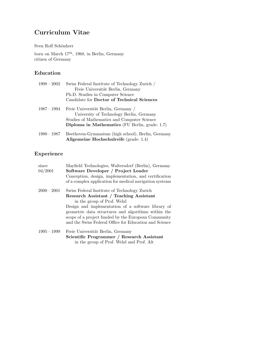## Curriculum Vitae

Sven Rolf Schönherr

born on March 17th, 1968, in Berlin, Germany citizen of Germany

## Education

| $1998 - 2002$ | Swiss Federal Institute of Technology Zurich /<br>Freie Universität Berlin, Germany<br>Ph.D. Studies in Computer Science<br>Candidate for <b>Doctor</b> of <b>Technical Sciences</b> |
|---------------|--------------------------------------------------------------------------------------------------------------------------------------------------------------------------------------|
| $1987 - 1994$ | Freie Universität Berlin, Germany /<br>University of Technology Berlin, Germany<br>Studies of Mathematics and Computer Science<br>Diploma in Mathematics (FU Berlin, grade: 1.7)     |
| $1980 - 1987$ | Beethoven-Gymnasium (high school), Berlin, Germany<br>Allgemeine Hochschulreife (grade: 1.4)                                                                                         |

## Experience

| since         | Mayfield Technologies, Waltersdorf (Berlin), Germany    |
|---------------|---------------------------------------------------------|
| 04/2001       | Software Developer / Project Leader                     |
|               | Conception, design, implementation, and certification   |
|               | of a complex application for medical navigation systems |
| $2000 - 2001$ | Swiss Federal Institute of Technology Zurich            |
|               | Research Assistant / Teaching Assistant                 |
|               | in the group of Prof. Welzl                             |
|               | Design and implementation of a software library of      |
|               | geometric data structures and algorithms within the     |
|               | scope of a project funded by the European Community     |
|               | and the Swiss Federal Office for Education and Science  |
| $1995 - 1999$ | Freie Universität Berlin, Germany                       |
|               | Scientific Programmer / Research Assistant              |
|               | in the group of Prof. Welzl and Prof. Alt               |
|               |                                                         |